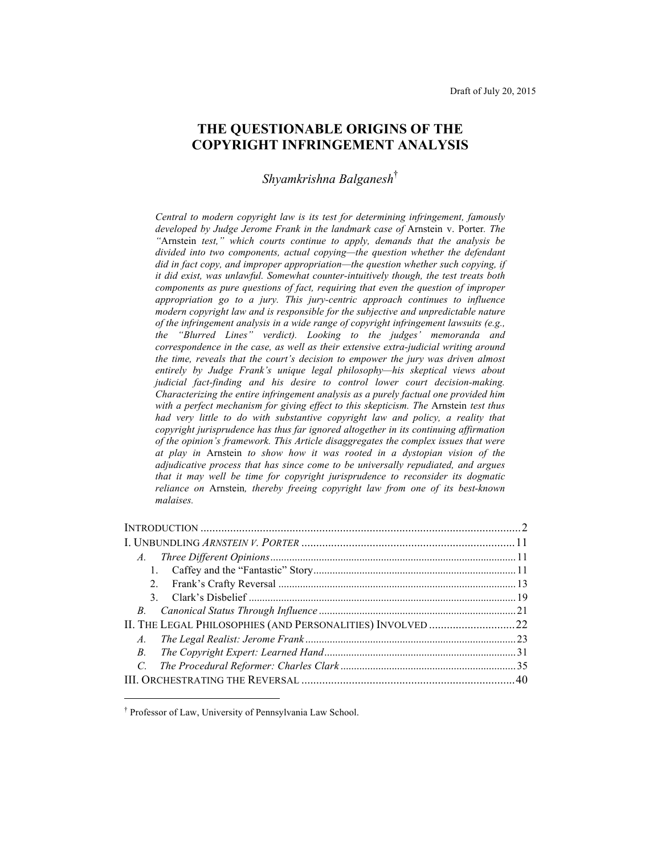# **THE QUESTIONABLE ORIGINS OF THE COPYRIGHT INFRINGEMENT ANALYSIS**

*Shyamkrishna Balganesh*†

*Central to modern copyright law is its test for determining infringement, famously developed by Judge Jerome Frank in the landmark case of* Arnstein v. Porter*. The "*Arnstein *test," which courts continue to apply, demands that the analysis be divided into two components, actual copying—the question whether the defendant did in fact copy, and improper appropriation—the question whether such copying, if it did exist, was unlawful. Somewhat counter-intuitively though, the test treats both components as pure questions of fact, requiring that even the question of improper appropriation go to a jury. This jury-centric approach continues to influence modern copyright law and is responsible for the subjective and unpredictable nature of the infringement analysis in a wide range of copyright infringement lawsuits (e.g., the "Blurred Lines" verdict). Looking to the judges' memoranda and correspondence in the case, as well as their extensive extra-judicial writing around the time, reveals that the court's decision to empower the jury was driven almost entirely by Judge Frank's unique legal philosophy—his skeptical views about judicial fact-finding and his desire to control lower court decision-making. Characterizing the entire infringement analysis as a purely factual one provided him with a perfect mechanism for giving effect to this skepticism. The* Arnstein *test thus had very little to do with substantive copyright law and policy, a reality that copyright jurisprudence has thus far ignored altogether in its continuing affirmation of the opinion's framework. This Article disaggregates the complex issues that were at play in* Arnstein *to show how it was rooted in a dystopian vision of the adjudicative process that has since come to be universally repudiated, and argues that it may well be time for copyright jurisprudence to reconsider its dogmatic reliance on* Arnstein*, thereby freeing copyright law from one of its best-known malaises.*

| A.          |  |
|-------------|--|
|             |  |
| 2.          |  |
|             |  |
| B.          |  |
|             |  |
| $A_{\cdot}$ |  |
| <i>B</i> .  |  |
| C.          |  |
|             |  |

<sup>†</sup> Professor of Law, University of Pennsylvania Law School.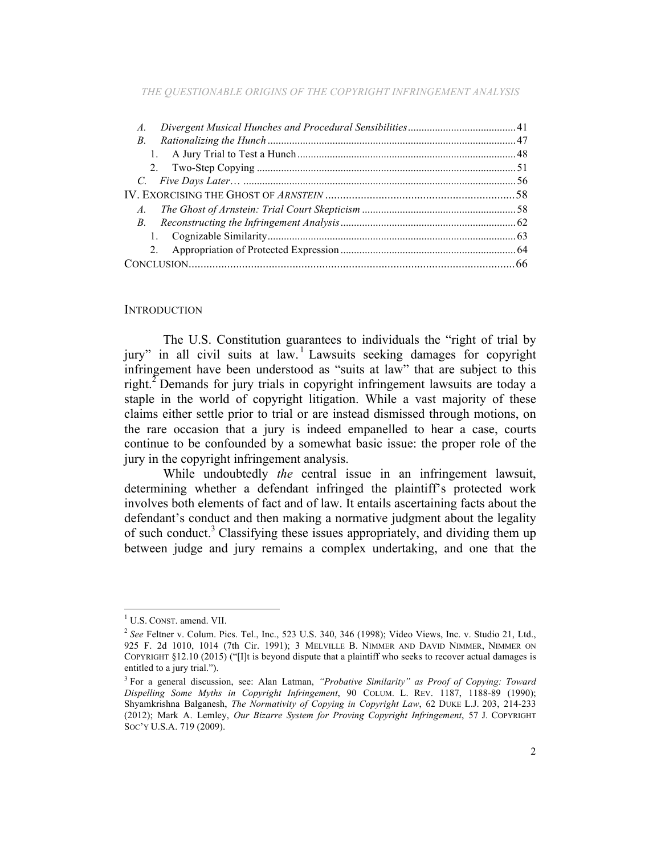| В.         |  |
|------------|--|
|            |  |
|            |  |
|            |  |
|            |  |
| $A_{-}$    |  |
| <i>B</i> . |  |
|            |  |
| 2.         |  |
|            |  |

#### **INTRODUCTION**

The U.S. Constitution guarantees to individuals the "right of trial by jury" in all civil suits at law. <sup>1</sup> Lawsuits seeking damages for copyright infringement have been understood as "suits at law" that are subject to this right.<sup>2</sup> Demands for jury trials in copyright infringement lawsuits are today a staple in the world of copyright litigation. While a vast majority of these claims either settle prior to trial or are instead dismissed through motions, on the rare occasion that a jury is indeed empanelled to hear a case, courts continue to be confounded by a somewhat basic issue: the proper role of the jury in the copyright infringement analysis.

While undoubtedly *the* central issue in an infringement lawsuit, determining whether a defendant infringed the plaintiff's protected work involves both elements of fact and of law. It entails ascertaining facts about the defendant's conduct and then making a normative judgment about the legality of such conduct. <sup>3</sup> Classifying these issues appropriately, and dividing them up between judge and jury remains a complex undertaking, and one that the

<sup>&</sup>lt;sup>1</sup> U.S. CONST. amend. VII.

<sup>&</sup>lt;sup>2</sup> See Feltner v. Colum. Pics. Tel., Inc., 523 U.S. 340, 346 (1998); Video Views, Inc. v. Studio 21, Ltd., 925 F. 2d 1010, 1014 (7th Cir. 1991); 3 MELVILLE B. NIMMER AND DAVID NIMMER, NIMMER ON COPYRIGHT §12.10 (2015) ("[I]t is beyond dispute that a plaintiff who seeks to recover actual damages is entitled to a jury trial.").

<sup>3</sup> For a general discussion, see: Alan Latman, *"Probative Similarity" as Proof of Copying: Toward Dispelling Some Myths in Copyright Infringement*, 90 COLUM. L. REV. 1187, 1188-89 (1990); Shyamkrishna Balganesh, *The Normativity of Copying in Copyright Law*, 62 DUKE L.J. 203, 214-233 (2012); Mark A. Lemley, *Our Bizarre System for Proving Copyright Infringement*, 57 J. COPYRIGHT SOC'Y U.S.A. 719 (2009).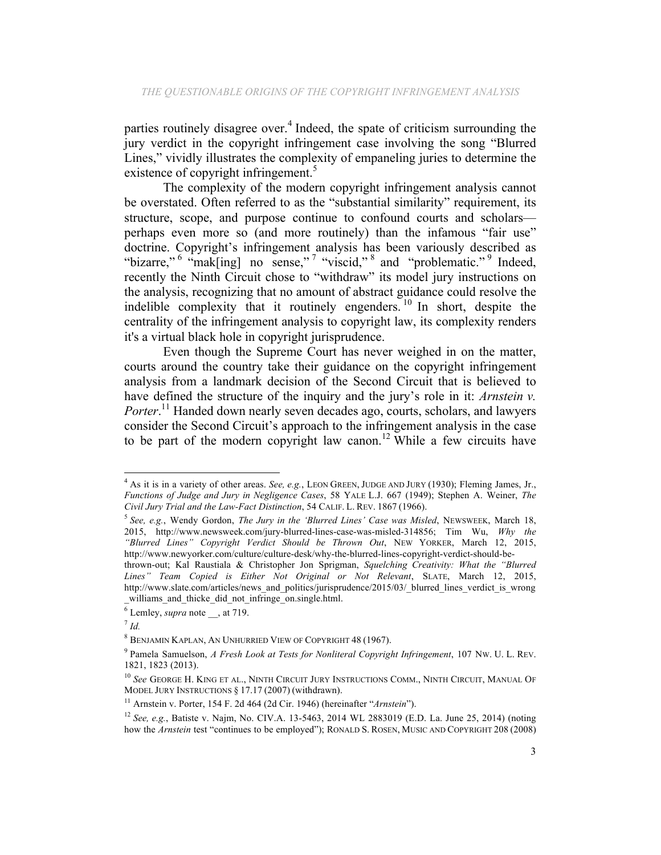parties routinely disagree over. <sup>4</sup> Indeed, the spate of criticism surrounding the jury verdict in the copyright infringement case involving the song "Blurred Lines," vividly illustrates the complexity of empaneling juries to determine the existence of copyright infringement.<sup>5</sup>

The complexity of the modern copyright infringement analysis cannot be overstated. Often referred to as the "substantial similarity" requirement, its structure, scope, and purpose continue to confound courts and scholars perhaps even more so (and more routinely) than the infamous "fair use" doctrine. Copyright's infringement analysis has been variously described as "bizarre," <sup>6</sup> "mak[ing] no sense," <sup>7</sup> "viscid," <sup>8</sup> and "problematic." 9 Indeed, recently the Ninth Circuit chose to "withdraw" its model jury instructions on the analysis, recognizing that no amount of abstract guidance could resolve the indelible complexity that it routinely engenders.<sup>10</sup> In short, despite the centrality of the infringement analysis to copyright law, its complexity renders it's a virtual black hole in copyright jurisprudence.

Even though the Supreme Court has never weighed in on the matter, courts around the country take their guidance on the copyright infringement analysis from a landmark decision of the Second Circuit that is believed to have defined the structure of the inquiry and the jury's role in it: *Arnstein v.*  Porter.<sup>11</sup> Handed down nearly seven decades ago, courts, scholars, and lawyers consider the Second Circuit's approach to the infringement analysis in the case to be part of the modern copyright law canon.<sup>12</sup> While a few circuits have

<sup>&</sup>lt;sup>4</sup> As it is in a variety of other areas. *See, e.g.*, LEON GREEN, JUDGE AND JURY (1930); Fleming James, Jr., *Functions of Judge and Jury in Negligence Cases*, 58 YALE L.J. 667 (1949); Stephen A. Weiner, *The Civil Jury Trial and the Law-Fact Distinction*, 54 CALIF. L. REV. 1867 (1966).

<sup>5</sup> *See, e.g.*, Wendy Gordon, *The Jury in the 'Blurred Lines' Case was Misled*, NEWSWEEK, March 18, 2015, http://www.newsweek.com/jury-blurred-lines-case-was-misled-314856; Tim Wu, *Why the "Blurred Lines" Copyright Verdict Should be Thrown Out*, NEW YORKER, March 12, 2015, http://www.newyorker.com/culture/culture-desk/why-the-blurred-lines-copyright-verdict-should-be-

thrown-out; Kal Raustiala & Christopher Jon Sprigman, *Squelching Creativity: What the "Blurred Lines" Team Copied is Either Not Original or Not Relevant*, SLATE, March 12, 2015, http://www.slate.com/articles/news\_and\_politics/jurisprudence/2015/03/\_blurred\_lines\_verdict\_is\_wrong \_williams\_and\_thicke\_did\_not\_infringe\_on.single.html.

 $\overline{6}$  Lemley, *supra* note , at 719.

 $^7$  *Id.* 

<sup>8</sup> BENJAMIN KAPLAN, AN UNHURRIED VIEW OF COPYRIGHT 48 (1967).

<sup>9</sup> Pamela Samuelson, *A Fresh Look at Tests for Nonliteral Copyright Infringement*, 107 NW. U. L. REV. 1821, 1823 (2013).

<sup>10</sup> *See* GEORGE H. KING ET AL., NINTH CIRCUIT JURY INSTRUCTIONS COMM., NINTH CIRCUIT, MANUAL OF MODEL JURY INSTRUCTIONS § 17.17 (2007) (withdrawn).

<sup>11</sup> Arnstein v. Porter, 154 F. 2d 464 (2d Cir. 1946) (hereinafter "*Arnstein*").

<sup>12</sup> *See, e.g.*, Batiste v. Najm, No. CIV.A. 13-5463, 2014 WL 2883019 (E.D. La. June 25, 2014) (noting how the *Arnstein* test "continues to be employed"); RONALD S. ROSEN, MUSIC AND COPYRIGHT 208 (2008)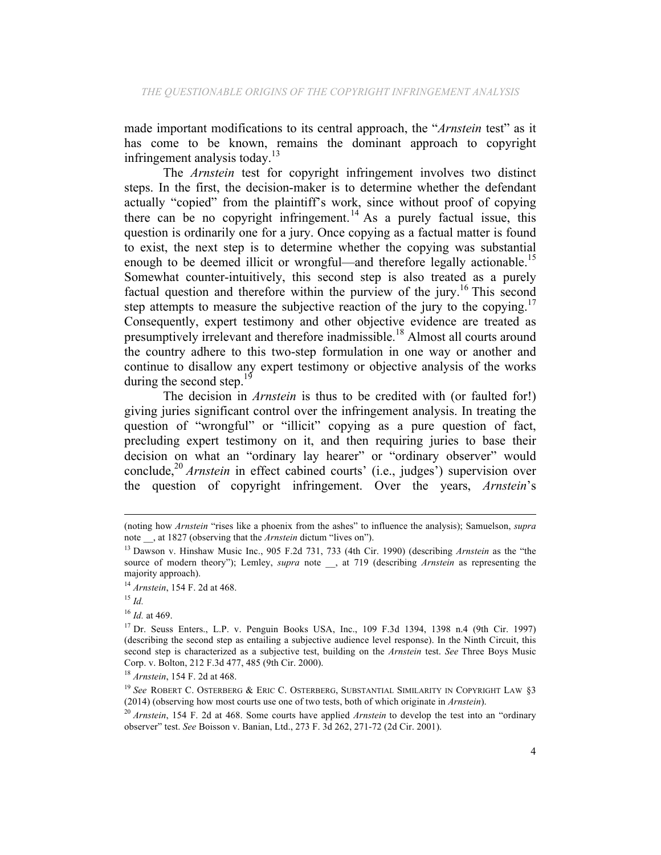made important modifications to its central approach, the "*Arnstein* test" as it has come to be known, remains the dominant approach to copyright infringement analysis today.<sup>13</sup>

The *Arnstein* test for copyright infringement involves two distinct steps. In the first, the decision-maker is to determine whether the defendant actually "copied" from the plaintiff's work, since without proof of copying there can be no copyright infringement.<sup>14</sup> As a purely factual issue, this question is ordinarily one for a jury. Once copying as a factual matter is found to exist, the next step is to determine whether the copying was substantial enough to be deemed illicit or wrongful—and therefore legally actionable.<sup>15</sup> Somewhat counter-intuitively, this second step is also treated as a purely factual question and therefore within the purview of the jury.<sup>16</sup> This second step attempts to measure the subjective reaction of the jury to the copying.<sup>17</sup> Consequently, expert testimony and other objective evidence are treated as presumptively irrelevant and therefore inadmissible.<sup>18</sup> Almost all courts around the country adhere to this two-step formulation in one way or another and continue to disallow any expert testimony or objective analysis of the works during the second step.<sup>19</sup>

The decision in *Arnstein* is thus to be credited with (or faulted for!) giving juries significant control over the infringement analysis. In treating the question of "wrongful" or "illicit" copying as a pure question of fact, precluding expert testimony on it, and then requiring juries to base their decision on what an "ordinary lay hearer" or "ordinary observer" would conclude,<sup>20</sup> *Arnstein* in effect cabined courts' (i.e., judges') supervision over the question of copyright infringement. Over the years, *Arnstein*'s

<sup>&</sup>lt;u> 1989 - Andrea San Andrew Maria (h. 1989).</u><br>1900 - Johann British, fransk politik (h. 1980). (noting how *Arnstein* "rises like a phoenix from the ashes" to influence the analysis); Samuelson, *supra* note \_\_, at 1827 (observing that the *Arnstein* dictum "lives on").

<sup>13</sup> Dawson v. Hinshaw Music Inc., 905 F.2d 731, 733 (4th Cir. 1990) (describing *Arnstein* as the "the source of modern theory"); Lemley, *supra* note \_\_, at 719 (describing *Arnstein* as representing the majority approach).

<sup>14</sup> *Arnstein*, 154 F. 2d at 468.

<sup>15</sup> *Id.*

<sup>16</sup> *Id.* at 469.

<sup>17</sup> Dr. Seuss Enters., L.P. v. Penguin Books USA, Inc., 109 F.3d 1394, 1398 n.4 (9th Cir. 1997) (describing the second step as entailing a subjective audience level response). In the Ninth Circuit, this second step is characterized as a subjective test, building on the *Arnstein* test. *See* Three Boys Music Corp. v. Bolton, 212 F.3d 477, 485 (9th Cir. 2000).

<sup>18</sup> *Arnstein*, 154 F. 2d at 468.

<sup>&</sup>lt;sup>19</sup> See ROBERT C. OSTERBERG & ERIC C. OSTERBERG, SUBSTANTIAL SIMILARITY IN COPYRIGHT LAW §3 (2014) (observing how most courts use one of two tests, both of which originate in *Arnstein*).

<sup>20</sup> *Arnstein*, 154 F. 2d at 468. Some courts have applied *Arnstein* to develop the test into an "ordinary observer" test. *See* Boisson v. Banian, Ltd., 273 F. 3d 262, 271-72 (2d Cir. 2001).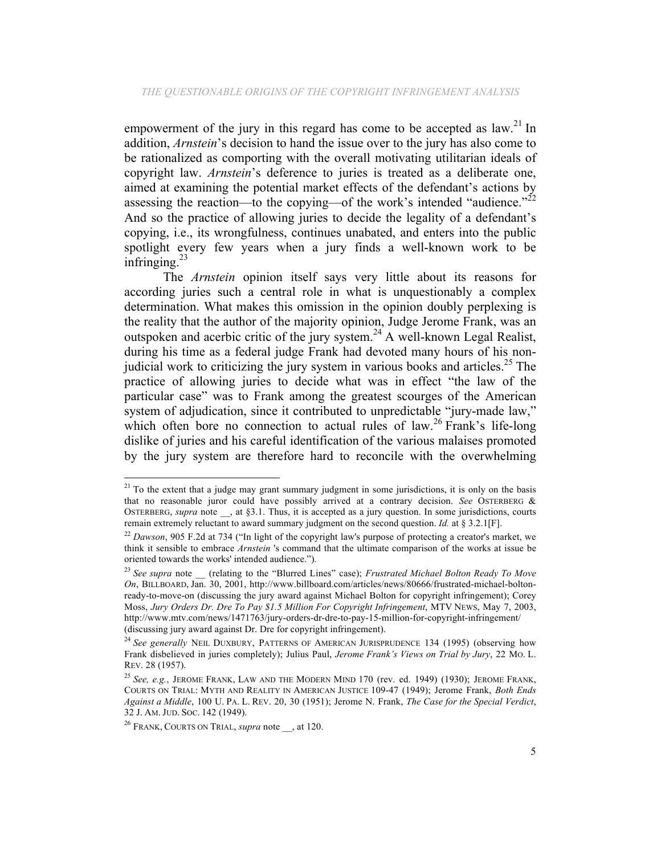empowerment of the jury in this regard has come to be accepted as  $law$ <sup>21</sup>. addition, *Arnstein*'s decision to hand the issue over to the jury has also come to be rationalized as comporting with the overall motivating utilitarian ideals of copyright law. *Arnstein*'s deference to juries is treated as a deliberate one, aimed at examining the potential market effects of the defendant's actions by assessing the reaction—to the copying—of the work's intended "audience." $^{22}$ And so the practice of allowing juries to decide the legality of a defendant's copying, i.e., its wrongfulness, continues unabated, and enters into the public spotlight every few years when a jury finds a well-known work to be infringing. $^{23}$ 

The *Arnstein* opinion itself says very little about its reasons for according juries such a central role in what is unquestionably a complex determination. What makes this omission in the opinion doubly perplexing is the reality that the author of the majority opinion, Judge Jerome Frank, was an outspoken and acerbic critic of the jury system.<sup>24</sup> A well-known Legal Realist, during his time as a federal judge Frank had devoted many hours of his nonjudicial work to criticizing the jury system in various books and articles.<sup>25</sup> The practice of allowing juries to decide what was in effect "the law of the particular case" was to Frank among the greatest scourges of the American system of adjudication, since it contributed to unpredictable "jury-made law," which often bore no connection to actual rules of law.<sup>26</sup> Frank's life-long dislike of juries and his careful identification of the various malaises promoted by the jury system are therefore hard to reconcile with the overwhelming

<sup>&</sup>lt;sup>21</sup> To the extent that a judge may grant summary judgment in some jurisdictions, it is only on the basis that no reasonable juror could have possibly arrived at a contrary decision. *See* OSTERBERG & OSTERBERG, *supra* note \_\_, at §3.1. Thus, it is accepted as a jury question. In some jurisdictions, courts remain extremely reluctant to award summary judgment on the second question. *Id.* at § 3.2.1[F].

<sup>&</sup>lt;sup>22</sup> *Dawson*, 905 F.2d at 734 ("In light of the copyright law's purpose of protecting a creator's market, we think it sensible to embrace *Arnstein* 's command that the ultimate comparison of the works at issue be oriented towards the works' intended audience.").

<sup>&</sup>lt;sup>23</sup> See supra note \_\_ (relating to the "Blurred Lines" case); *Frustrated Michael Bolton Ready To Move On*, BILLBOARD, Jan. 30, 2001, http://www.billboard.com/articles/news/80666/frustrated-michael-boltonready-to-move-on (discussing the jury award against Michael Bolton for copyright infringement); Corey Moss, *Jury Orders Dr. Dre To Pay \$1.5 Million For Copyright Infringement*, MTV NEWS, May 7, 2003, http://www.mtv.com/news/1471763/jury-orders-dr-dre-to-pay-15-million-for-copyright-infringement/ (discussing jury award against Dr. Dre for copyright infringement).

<sup>&</sup>lt;sup>24</sup> See generally NEIL DUXBURY, PATTERNS OF AMERICAN JURISPRUDENCE 134 (1995) (observing how Frank disbelieved in juries completely); Julius Paul, *Jerome Frank's Views on Trial by Jury*, 22 MO. L. REV. 28 (1957).

<sup>25</sup> *See, e.g.*, JEROME FRANK, LAW AND THE MODERN MIND 170 (rev. ed. 1949) (1930); JEROME FRANK, COURTS ON TRIAL: MYTH AND REALITY IN AMERICAN JUSTICE 109-47 (1949); Jerome Frank, *Both Ends Against a Middle*, 100 U. PA. L. REV. 20, 30 (1951); Jerome N. Frank, *The Case for the Special Verdict*, 32 J. AM. JUD. SOC. 142 (1949).

<sup>&</sup>lt;sup>26</sup> FRANK, COURTS ON TRIAL, *supra* note , at 120.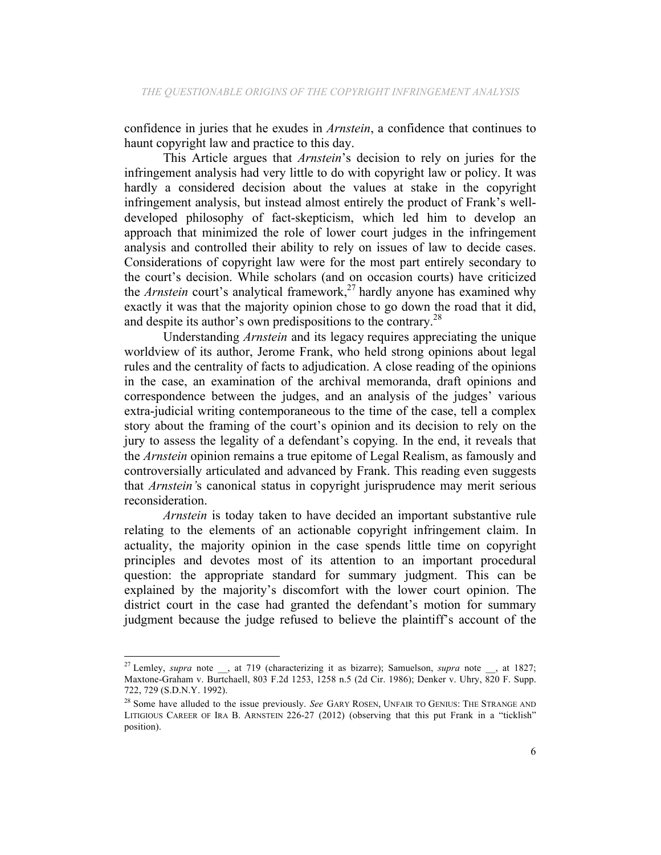confidence in juries that he exudes in *Arnstein*, a confidence that continues to haunt copyright law and practice to this day.

This Article argues that *Arnstein*'s decision to rely on juries for the infringement analysis had very little to do with copyright law or policy. It was hardly a considered decision about the values at stake in the copyright infringement analysis, but instead almost entirely the product of Frank's welldeveloped philosophy of fact-skepticism, which led him to develop an approach that minimized the role of lower court judges in the infringement analysis and controlled their ability to rely on issues of law to decide cases. Considerations of copyright law were for the most part entirely secondary to the court's decision. While scholars (and on occasion courts) have criticized the *Arnstein* court's analytical framework, <sup>27</sup> hardly anyone has examined why exactly it was that the majority opinion chose to go down the road that it did, and despite its author's own predispositions to the contrary.<sup>28</sup>

Understanding *Arnstein* and its legacy requires appreciating the unique worldview of its author, Jerome Frank, who held strong opinions about legal rules and the centrality of facts to adjudication. A close reading of the opinions in the case, an examination of the archival memoranda, draft opinions and correspondence between the judges, and an analysis of the judges' various extra-judicial writing contemporaneous to the time of the case, tell a complex story about the framing of the court's opinion and its decision to rely on the jury to assess the legality of a defendant's copying. In the end, it reveals that the *Arnstein* opinion remains a true epitome of Legal Realism, as famously and controversially articulated and advanced by Frank. This reading even suggests that *Arnstein'*s canonical status in copyright jurisprudence may merit serious reconsideration.

*Arnstein* is today taken to have decided an important substantive rule relating to the elements of an actionable copyright infringement claim. In actuality, the majority opinion in the case spends little time on copyright principles and devotes most of its attention to an important procedural question: the appropriate standard for summary judgment. This can be explained by the majority's discomfort with the lower court opinion. The district court in the case had granted the defendant's motion for summary judgment because the judge refused to believe the plaintiff's account of the

<sup>&</sup>lt;sup>27</sup> Lemley, *supra* note \_\_, at 719 (characterizing it as bizarre); Samuelson, *supra* note \_\_, at 1827; Maxtone-Graham v. Burtchaell, 803 F.2d 1253, 1258 n.5 (2d Cir. 1986); Denker v. Uhry, 820 F. Supp. 722, 729 (S.D.N.Y. 1992).

<sup>&</sup>lt;sup>28</sup> Some have alluded to the issue previously. *See* GARY ROSEN, UNFAIR TO GENIUS: THE STRANGE AND LITIGIOUS CAREER OF IRA B. ARNSTEIN 226-27 (2012) (observing that this put Frank in a "ticklish" position).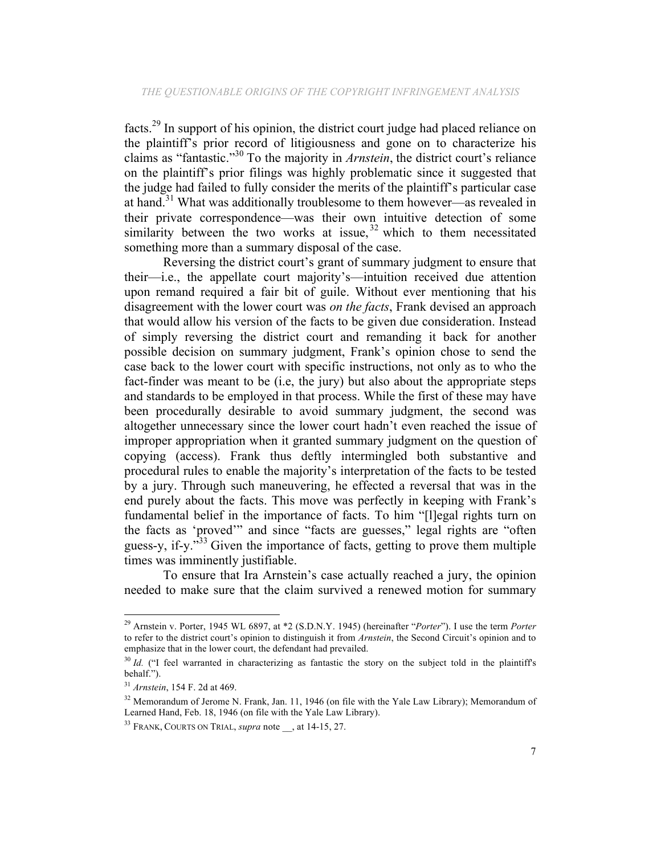facts.<sup>29</sup> In support of his opinion, the district court judge had placed reliance on the plaintiff's prior record of litigiousness and gone on to characterize his claims as "fantastic."30 To the majority in *Arnstein*, the district court's reliance on the plaintiff's prior filings was highly problematic since it suggested that the judge had failed to fully consider the merits of the plaintiff's particular case at hand.<sup>31</sup> What was additionally troublesome to them however—as revealed in their private correspondence—was their own intuitive detection of some similarity between the two works at issue,  $32$  which to them necessitated something more than a summary disposal of the case.

Reversing the district court's grant of summary judgment to ensure that their—i.e., the appellate court majority's—intuition received due attention upon remand required a fair bit of guile. Without ever mentioning that his disagreement with the lower court was *on the facts*, Frank devised an approach that would allow his version of the facts to be given due consideration. Instead of simply reversing the district court and remanding it back for another possible decision on summary judgment, Frank's opinion chose to send the case back to the lower court with specific instructions, not only as to who the fact-finder was meant to be (i.e, the jury) but also about the appropriate steps and standards to be employed in that process. While the first of these may have been procedurally desirable to avoid summary judgment, the second was altogether unnecessary since the lower court hadn't even reached the issue of improper appropriation when it granted summary judgment on the question of copying (access). Frank thus deftly intermingled both substantive and procedural rules to enable the majority's interpretation of the facts to be tested by a jury. Through such maneuvering, he effected a reversal that was in the end purely about the facts. This move was perfectly in keeping with Frank's fundamental belief in the importance of facts. To him "[l]egal rights turn on the facts as 'proved'" and since "facts are guesses," legal rights are "often guess-y, if-y."<sup>33</sup> Given the importance of facts, getting to prove them multiple times was imminently justifiable.

To ensure that Ira Arnstein's case actually reached a jury, the opinion needed to make sure that the claim survived a renewed motion for summary

<sup>29</sup> Arnstein v. Porter, 1945 WL 6897, at \*2 (S.D.N.Y. 1945) (hereinafter "*Porter*"). I use the term *Porter* to refer to the district court's opinion to distinguish it from *Arnstein*, the Second Circuit's opinion and to emphasize that in the lower court, the defendant had prevailed.

<sup>&</sup>lt;sup>30</sup> *Id.* ("I feel warranted in characterizing as fantastic the story on the subject told in the plaintiff's behalf.").

<sup>31</sup> *Arnstein*, 154 F. 2d at 469.

<sup>&</sup>lt;sup>32</sup> Memorandum of Jerome N. Frank, Jan. 11, 1946 (on file with the Yale Law Library); Memorandum of Learned Hand, Feb. 18, 1946 (on file with the Yale Law Library).

<sup>&</sup>lt;sup>33</sup> FRANK, COURTS ON TRIAL, *supra* note , at 14-15, 27.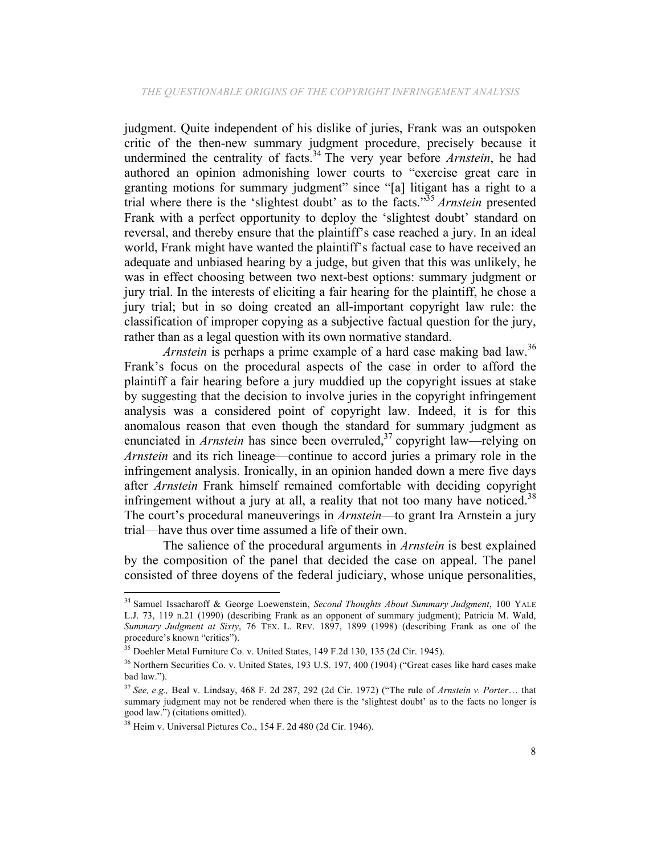judgment. Quite independent of his dislike of juries, Frank was an outspoken critic of the then-new summary judgment procedure, precisely because it undermined the centrality of facts. <sup>34</sup> The very year before *Arnstein*, he had authored an opinion admonishing lower courts to "exercise great care in granting motions for summary judgment" since "[a] litigant has a right to a trial where there is the 'slightest doubt' as to the facts."<sup>35</sup> *Arnstein* presented Frank with a perfect opportunity to deploy the 'slightest doubt' standard on reversal, and thereby ensure that the plaintiff's case reached a jury. In an ideal world, Frank might have wanted the plaintiff's factual case to have received an adequate and unbiased hearing by a judge, but given that this was unlikely, he was in effect choosing between two next-best options: summary judgment or jury trial. In the interests of eliciting a fair hearing for the plaintiff, he chose a jury trial; but in so doing created an all-important copyright law rule: the classification of improper copying as a subjective factual question for the jury, rather than as a legal question with its own normative standard.

*Arnstein* is perhaps a prime example of a hard case making bad law.<sup>36</sup> Frank's focus on the procedural aspects of the case in order to afford the plaintiff a fair hearing before a jury muddied up the copyright issues at stake by suggesting that the decision to involve juries in the copyright infringement analysis was a considered point of copyright law. Indeed, it is for this anomalous reason that even though the standard for summary judgment as enunciated in *Arnstein* has since been overruled,<sup>37</sup> copyright law—relying on *Arnstein* and its rich lineage—continue to accord juries a primary role in the infringement analysis. Ironically, in an opinion handed down a mere five days after *Arnstein* Frank himself remained comfortable with deciding copyright infringement without a jury at all, a reality that not too many have noticed.<sup>38</sup> The court's procedural maneuverings in *Arnstein*—to grant Ira Arnstein a jury trial—have thus over time assumed a life of their own.

The salience of the procedural arguments in *Arnstein* is best explained by the composition of the panel that decided the case on appeal. The panel consisted of three doyens of the federal judiciary, whose unique personalities,

<sup>34</sup> Samuel Issacharoff & George Loewenstein, *Second Thoughts About Summary Judgment*, 100 YALE L.J. 73, 119 n.21 (1990) (describing Frank as an opponent of summary judgment); Patricia M. Wald, *Summary Judgment at Sixty*, 76 TEX. L. REV. 1897, 1899 (1998) (describing Frank as one of the procedure's known "critics").

<sup>35</sup> Doehler Metal Furniture Co. v. United States, 149 F.2d 130, 135 (2d Cir. 1945).

<sup>36</sup> Northern Securities Co. v. United States, 193 U.S. 197, 400 (1904) ("Great cases like hard cases make bad law.").

<sup>37</sup> *See, e.g.,* Beal v. Lindsay, 468 F. 2d 287, 292 (2d Cir. 1972) ("The rule of *Arnstein v. Porter*… that summary judgment may not be rendered when there is the 'slightest doubt' as to the facts no longer is good law.") (citations omitted).

<sup>38</sup> Heim v. Universal Pictures Co., 154 F. 2d 480 (2d Cir. 1946).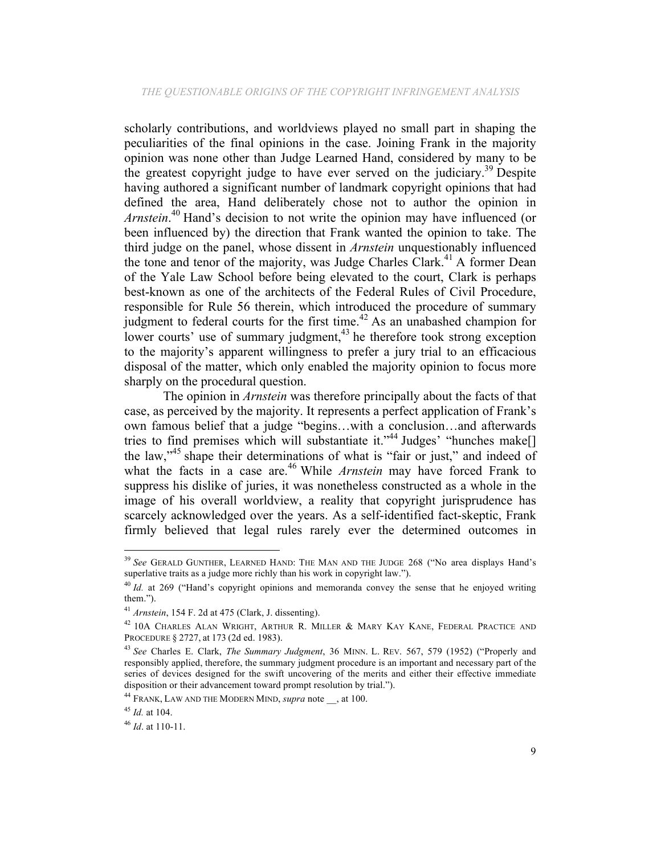scholarly contributions, and worldviews played no small part in shaping the peculiarities of the final opinions in the case. Joining Frank in the majority opinion was none other than Judge Learned Hand, considered by many to be the greatest copyright judge to have ever served on the judiciary.<sup>39</sup> Despite having authored a significant number of landmark copyright opinions that had defined the area, Hand deliberately chose not to author the opinion in *Arnstein*. <sup>40</sup> Hand's decision to not write the opinion may have influenced (or been influenced by) the direction that Frank wanted the opinion to take. The third judge on the panel, whose dissent in *Arnstein* unquestionably influenced the tone and tenor of the majority, was Judge Charles Clark.<sup>41</sup> A former Dean of the Yale Law School before being elevated to the court, Clark is perhaps best-known as one of the architects of the Federal Rules of Civil Procedure, responsible for Rule 56 therein, which introduced the procedure of summary judgment to federal courts for the first time.<sup>42</sup> As an unabashed champion for lower courts' use of summary judgment,<sup>43</sup> he therefore took strong exception to the majority's apparent willingness to prefer a jury trial to an efficacious disposal of the matter, which only enabled the majority opinion to focus more sharply on the procedural question.

The opinion in *Arnstein* was therefore principally about the facts of that case, as perceived by the majority. It represents a perfect application of Frank's own famous belief that a judge "begins…with a conclusion…and afterwards tries to find premises which will substantiate it."<sup>44</sup> Judges' "hunches make<sup>[]</sup> the law,"<sup>45</sup> shape their determinations of what is "fair or just," and indeed of what the facts in a case are.<sup>46</sup> While *Arnstein* may have forced Frank to suppress his dislike of juries, it was nonetheless constructed as a whole in the image of his overall worldview, a reality that copyright jurisprudence has scarcely acknowledged over the years. As a self-identified fact-skeptic, Frank firmly believed that legal rules rarely ever the determined outcomes in

<sup>39</sup> *See* GERALD GUNTHER, LEARNED HAND: THE MAN AND THE JUDGE 268 ("No area displays Hand's superlative traits as a judge more richly than his work in copyright law.").

<sup>&</sup>lt;sup>40</sup> *Id.* at 269 ("Hand's copyright opinions and memoranda convey the sense that he enjoyed writing them.").

<sup>41</sup> *Arnstein*, 154 F. 2d at 475 (Clark, J. dissenting).

<sup>42</sup> 10A CHARLES ALAN WRIGHT, ARTHUR R. MILLER & MARY KAY KANE, FEDERAL PRACTICE AND PROCEDURE § 2727, at 173 (2d ed. 1983).

<sup>43</sup> *See* Charles E. Clark, *The Summary Judgment*, 36 MINN. L. REV. 567, 579 (1952) ("Properly and responsibly applied, therefore, the summary judgment procedure is an important and necessary part of the series of devices designed for the swift uncovering of the merits and either their effective immediate disposition or their advancement toward prompt resolution by trial.").

<sup>44</sup> FRANK, LAW AND THE MODERN MIND, *supra* note \_\_, at 100.

<sup>45</sup> *Id.* at 104.

<sup>46</sup> *Id*. at 110-11.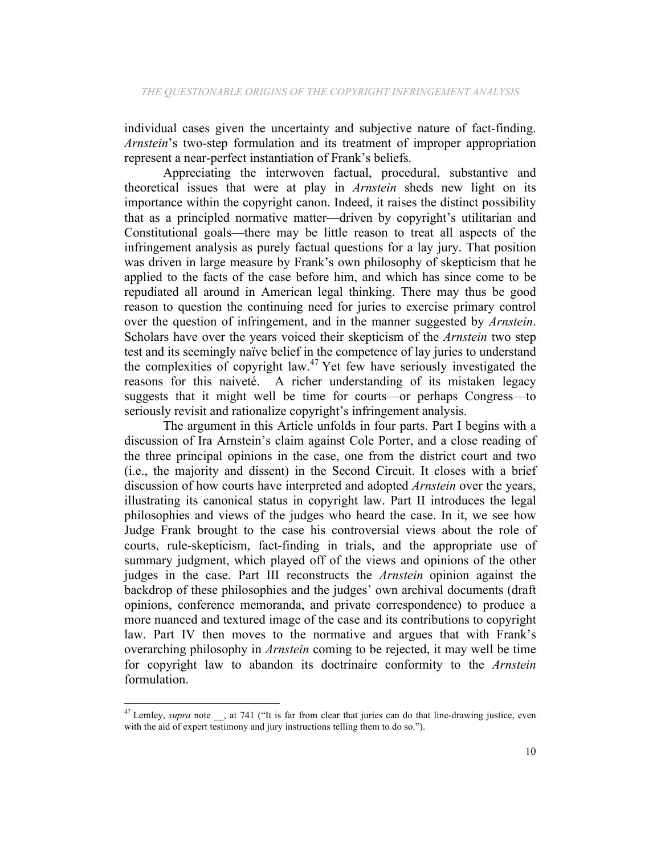individual cases given the uncertainty and subjective nature of fact-finding. *Arnstein*'s two-step formulation and its treatment of improper appropriation represent a near-perfect instantiation of Frank's beliefs.

Appreciating the interwoven factual, procedural, substantive and theoretical issues that were at play in *Arnstein* sheds new light on its importance within the copyright canon. Indeed, it raises the distinct possibility that as a principled normative matter—driven by copyright's utilitarian and Constitutional goals—there may be little reason to treat all aspects of the infringement analysis as purely factual questions for a lay jury. That position was driven in large measure by Frank's own philosophy of skepticism that he applied to the facts of the case before him, and which has since come to be repudiated all around in American legal thinking. There may thus be good reason to question the continuing need for juries to exercise primary control over the question of infringement, and in the manner suggested by *Arnstein*. Scholars have over the years voiced their skepticism of the *Arnstein* two step test and its seemingly naïve belief in the competence of lay juries to understand the complexities of copyright law. <sup>47</sup> Yet few have seriously investigated the reasons for this naiveté. A richer understanding of its mistaken legacy suggests that it might well be time for courts—or perhaps Congress—to seriously revisit and rationalize copyright's infringement analysis.

The argument in this Article unfolds in four parts. Part I begins with a discussion of Ira Arnstein's claim against Cole Porter, and a close reading of the three principal opinions in the case, one from the district court and two (i.e., the majority and dissent) in the Second Circuit. It closes with a brief discussion of how courts have interpreted and adopted *Arnstein* over the years, illustrating its canonical status in copyright law. Part II introduces the legal philosophies and views of the judges who heard the case. In it, we see how Judge Frank brought to the case his controversial views about the role of courts, rule-skepticism, fact-finding in trials, and the appropriate use of summary judgment, which played off of the views and opinions of the other judges in the case. Part III reconstructs the *Arnstein* opinion against the backdrop of these philosophies and the judges' own archival documents (draft opinions, conference memoranda, and private correspondence) to produce a more nuanced and textured image of the case and its contributions to copyright law. Part IV then moves to the normative and argues that with Frank's overarching philosophy in *Arnstein* coming to be rejected, it may well be time for copyright law to abandon its doctrinaire conformity to the *Arnstein* formulation.

<sup>&</sup>lt;sup>47</sup> Lemley, *supra* note , at 741 ("It is far from clear that juries can do that line-drawing justice, even with the aid of expert testimony and jury instructions telling them to do so.").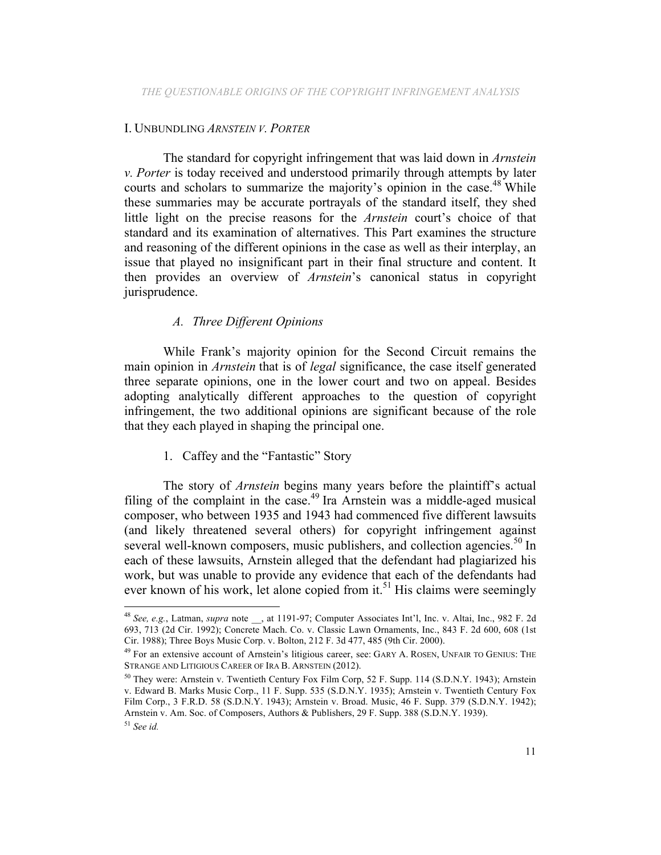### I. UNBUNDLING *ARNSTEIN V. PORTER*

The standard for copyright infringement that was laid down in *Arnstein v. Porter* is today received and understood primarily through attempts by later courts and scholars to summarize the majority's opinion in the case.<sup>48</sup> While these summaries may be accurate portrayals of the standard itself, they shed little light on the precise reasons for the *Arnstein* court's choice of that standard and its examination of alternatives. This Part examines the structure and reasoning of the different opinions in the case as well as their interplay, an issue that played no insignificant part in their final structure and content. It then provides an overview of *Arnstein*'s canonical status in copyright jurisprudence.

# *A. Three Different Opinions*

While Frank's majority opinion for the Second Circuit remains the main opinion in *Arnstein* that is of *legal* significance, the case itself generated three separate opinions, one in the lower court and two on appeal. Besides adopting analytically different approaches to the question of copyright infringement, the two additional opinions are significant because of the role that they each played in shaping the principal one.

### 1. Caffey and the "Fantastic" Story

The story of *Arnstein* begins many years before the plaintiff's actual filing of the complaint in the case.<sup>49</sup> Ira Arnstein was a middle-aged musical composer, who between 1935 and 1943 had commenced five different lawsuits (and likely threatened several others) for copyright infringement against several well-known composers, music publishers, and collection agencies.<sup>50</sup> In each of these lawsuits, Arnstein alleged that the defendant had plagiarized his work, but was unable to provide any evidence that each of the defendants had ever known of his work, let alone copied from it.<sup>51</sup> His claims were seemingly

<sup>&</sup>lt;sup>48</sup> See, e.g., Latman, *supra* note , at 1191-97; Computer Associates Int'l, Inc. v. Altai, Inc., 982 F. 2d 693, 713 (2d Cir. 1992); Concrete Mach. Co. v. Classic Lawn Ornaments, Inc., 843 F. 2d 600, 608 (1st Cir. 1988); Three Boys Music Corp. v. Bolton, 212 F. 3d 477, 485 (9th Cir. 2000).

<sup>49</sup> For an extensive account of Arnstein's litigious career, see: GARY A. ROSEN, UNFAIR TO GENIUS: THE STRANGE AND LITIGIOUS CAREER OF IRA B. ARNSTEIN (2012).

<sup>&</sup>lt;sup>50</sup> They were: Arnstein v. Twentieth Century Fox Film Corp, 52 F. Supp. 114 (S.D.N.Y. 1943); Arnstein v. Edward B. Marks Music Corp., 11 F. Supp. 535 (S.D.N.Y. 1935); Arnstein v. Twentieth Century Fox Film Corp., 3 F.R.D. 58 (S.D.N.Y. 1943); Arnstein v. Broad. Music, 46 F. Supp. 379 (S.D.N.Y. 1942); Arnstein v. Am. Soc. of Composers, Authors & Publishers, 29 F. Supp. 388 (S.D.N.Y. 1939).

<sup>51</sup> *See id.*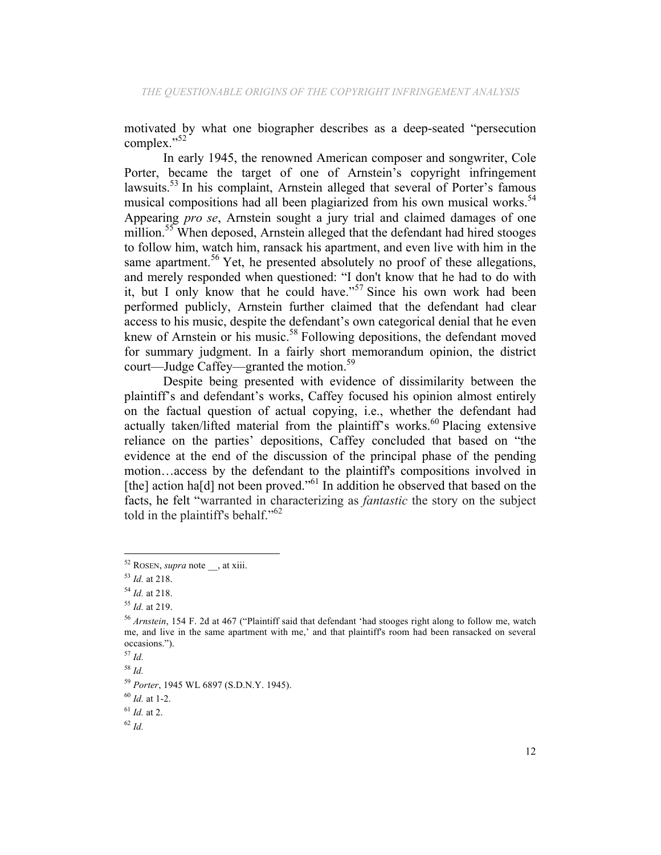motivated by what one biographer describes as a deep-seated "persecution complex."<sup>52</sup>

In early 1945, the renowned American composer and songwriter, Cole Porter, became the target of one of Arnstein's copyright infringement lawsuits.<sup>53</sup> In his complaint, Arnstein alleged that several of Porter's famous musical compositions had all been plagiarized from his own musical works.<sup>54</sup> Appearing *pro se*, Arnstein sought a jury trial and claimed damages of one million.<sup>55</sup> When deposed, Arnstein alleged that the defendant had hired stooges to follow him, watch him, ransack his apartment, and even live with him in the same apartment.<sup>56</sup> Yet, he presented absolutely no proof of these allegations, and merely responded when questioned: "I don't know that he had to do with it, but I only know that he could have."<sup>57</sup> Since his own work had been performed publicly, Arnstein further claimed that the defendant had clear access to his music, despite the defendant's own categorical denial that he even knew of Arnstein or his music.<sup>58</sup> Following depositions, the defendant moved for summary judgment. In a fairly short memorandum opinion, the district court—Judge Caffey—granted the motion.<sup>59</sup>

Despite being presented with evidence of dissimilarity between the plaintiff's and defendant's works, Caffey focused his opinion almost entirely on the factual question of actual copying, i.e., whether the defendant had actually taken/lifted material from the plaintiff's works.<sup>60</sup> Placing extensive reliance on the parties' depositions, Caffey concluded that based on "the evidence at the end of the discussion of the principal phase of the pending motion…access by the defendant to the plaintiff's compositions involved in [the] action ha[d] not been proved."<sup>61</sup> In addition he observed that based on the facts, he felt "warranted in characterizing as *fantastic* the story on the subject told in the plaintiff's behalf."<sup>62</sup>

<sup>52</sup> ROSEN, *supra* note \_\_, at xiii.

<sup>53</sup> *Id.* at 218.

<sup>54</sup> *Id.* at 218.

<sup>55</sup> *Id.* at 219.

<sup>56</sup> *Arnstein*, 154 F. 2d at 467 ("Plaintiff said that defendant 'had stooges right along to follow me, watch me, and live in the same apartment with me,' and that plaintiff's room had been ransacked on several occasions.").

<sup>57</sup> *Id.*

<sup>58</sup> *Id.*

<sup>59</sup> *Porter*, 1945 WL 6897 (S.D.N.Y. 1945).

<sup>60</sup> *Id.* at 1-2.

<sup>61</sup> *Id.* at 2.

<sup>62</sup> *Id.*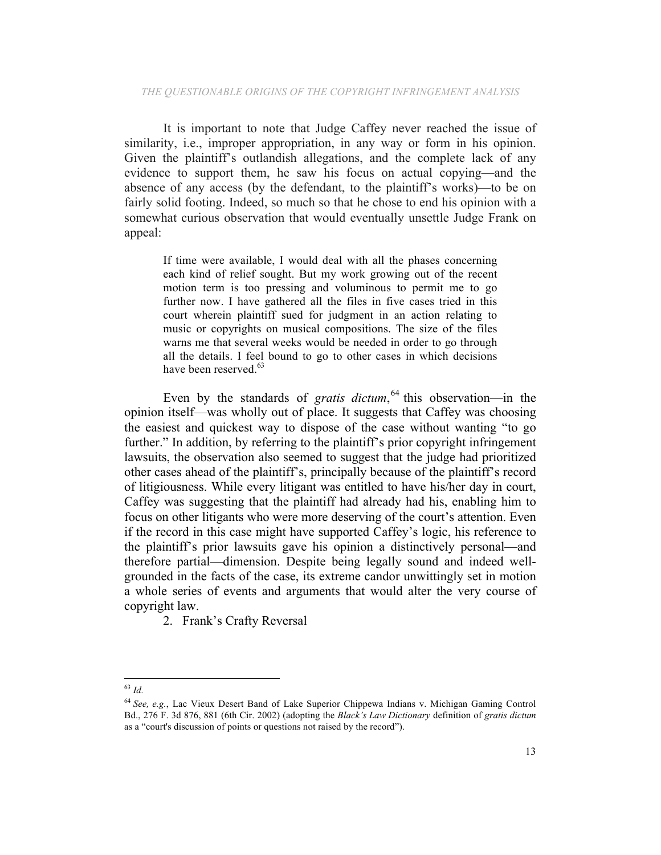It is important to note that Judge Caffey never reached the issue of similarity, i.e., improper appropriation, in any way or form in his opinion. Given the plaintiff's outlandish allegations, and the complete lack of any evidence to support them, he saw his focus on actual copying—and the absence of any access (by the defendant, to the plaintiff's works)—to be on fairly solid footing. Indeed, so much so that he chose to end his opinion with a somewhat curious observation that would eventually unsettle Judge Frank on appeal:

If time were available, I would deal with all the phases concerning each kind of relief sought. But my work growing out of the recent motion term is too pressing and voluminous to permit me to go further now. I have gathered all the files in five cases tried in this court wherein plaintiff sued for judgment in an action relating to music or copyrights on musical compositions. The size of the files warns me that several weeks would be needed in order to go through all the details. I feel bound to go to other cases in which decisions have been reserved.<sup>63</sup>

Even by the standards of *gratis dictum*,<sup>64</sup> this observation—in the opinion itself—was wholly out of place. It suggests that Caffey was choosing the easiest and quickest way to dispose of the case without wanting "to go further." In addition, by referring to the plaintiff's prior copyright infringement lawsuits, the observation also seemed to suggest that the judge had prioritized other cases ahead of the plaintiff's, principally because of the plaintiff's record of litigiousness. While every litigant was entitled to have his/her day in court, Caffey was suggesting that the plaintiff had already had his, enabling him to focus on other litigants who were more deserving of the court's attention. Even if the record in this case might have supported Caffey's logic, his reference to the plaintiff's prior lawsuits gave his opinion a distinctively personal—and therefore partial—dimension. Despite being legally sound and indeed wellgrounded in the facts of the case, its extreme candor unwittingly set in motion a whole series of events and arguments that would alter the very course of copyright law.

2. Frank's Crafty Reversal

 

<sup>63</sup> *Id.*

<sup>64</sup> *See, e.g.*, Lac Vieux Desert Band of Lake Superior Chippewa Indians v. Michigan Gaming Control Bd., 276 F. 3d 876, 881 (6th Cir. 2002) (adopting the *Black's Law Dictionary* definition of *gratis dictum* as a "court's discussion of points or questions not raised by the record").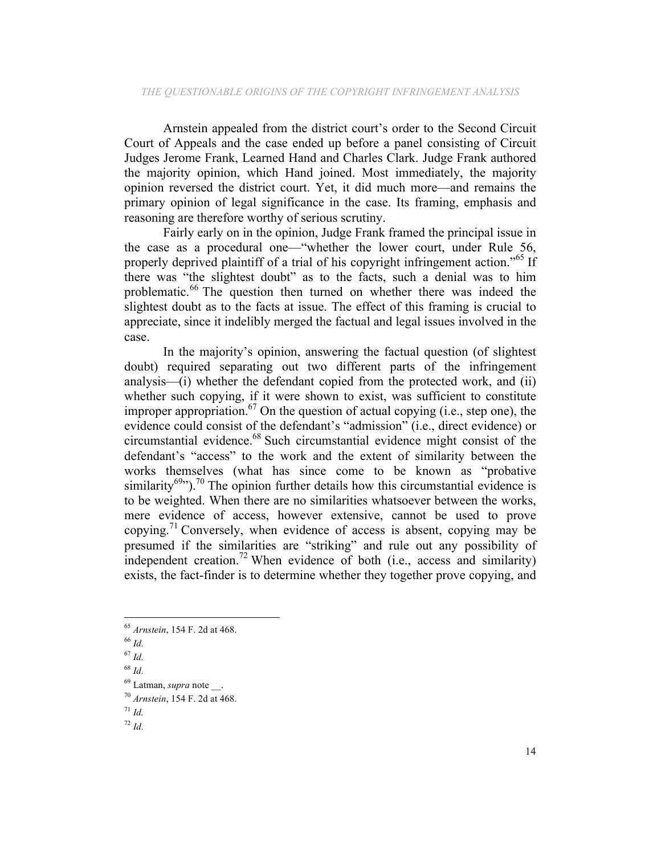Arnstein appealed from the district court's order to the Second Circuit Court of Appeals and the case ended up before a panel consisting of Circuit Judges Jerome Frank, Learned Hand and Charles Clark. Judge Frank authored the majority opinion, which Hand joined. Most immediately, the majority opinion reversed the district court. Yet, it did much more—and remains the primary opinion of legal significance in the case. Its framing, emphasis and reasoning are therefore worthy of serious scrutiny.

Fairly early on in the opinion, Judge Frank framed the principal issue in the case as a procedural one—"whether the lower court, under Rule 56, properly deprived plaintiff of a trial of his copyright infringement action.<sup>565</sup> If there was "the slightest doubt" as to the facts, such a denial was to him problematic.<sup>66</sup> The question then turned on whether there was indeed the slightest doubt as to the facts at issue. The effect of this framing is crucial to appreciate, since it indelibly merged the factual and legal issues involved in the case.

In the majority's opinion, answering the factual question (of slightest doubt) required separating out two different parts of the infringement analysis—(i) whether the defendant copied from the protected work, and (ii) whether such copying, if it were shown to exist, was sufficient to constitute improper appropriation.<sup>67</sup> On the question of actual copying (i.e., step one), the evidence could consist of the defendant's "admission" (i.e., direct evidence) or circumstantial evidence.68 Such circumstantial evidence might consist of the defendant's "access" to the work and the extent of similarity between the works themselves (what has since come to be known as "probative similarity<sup>69</sup>").<sup>70</sup> The opinion further details how this circumstantial evidence is to be weighted. When there are no similarities whatsoever between the works, mere evidence of access, however extensive, cannot be used to prove copying.<sup>71</sup> Conversely, when evidence of access is absent, copying may be presumed if the similarities are "striking" and rule out any possibility of independent creation.<sup>72</sup> When evidence of both (i.e., access and similarity) exists, the fact-finder is to determine whether they together prove copying, and

 

 $^{71}$  *Id.* 

<sup>65</sup> *Arnstein*, 154 F. 2d at 468.

<sup>66</sup> *Id.*

<sup>67</sup> *Id.*

<sup>68</sup> *Id.*

<sup>69</sup> Latman, *supra* note \_\_.

<sup>70</sup> *Arnstein*, 154 F. 2d at 468.

<sup>72</sup> *Id.*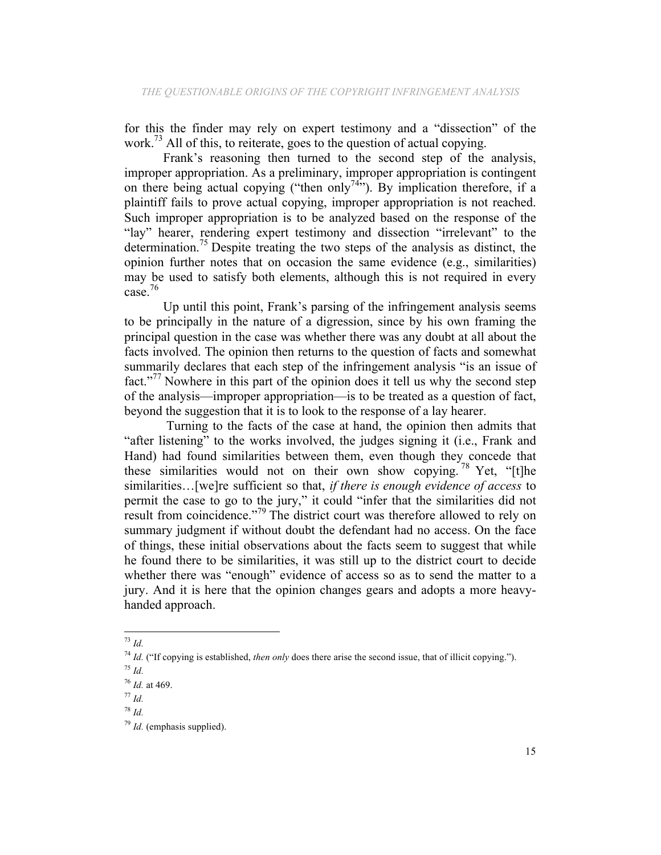for this the finder may rely on expert testimony and a "dissection" of the work.<sup>73</sup> All of this, to reiterate, goes to the question of actual copying.

Frank's reasoning then turned to the second step of the analysis, improper appropriation. As a preliminary, improper appropriation is contingent on there being actual copying ("then only<sup>74"</sup>). By implication therefore, if a plaintiff fails to prove actual copying, improper appropriation is not reached. Such improper appropriation is to be analyzed based on the response of the "lay" hearer, rendering expert testimony and dissection "irrelevant" to the determination.75 Despite treating the two steps of the analysis as distinct, the opinion further notes that on occasion the same evidence (e.g., similarities) may be used to satisfy both elements, although this is not required in every case.<sup>76</sup>

Up until this point, Frank's parsing of the infringement analysis seems to be principally in the nature of a digression, since by his own framing the principal question in the case was whether there was any doubt at all about the facts involved. The opinion then returns to the question of facts and somewhat summarily declares that each step of the infringement analysis "is an issue of fact."<sup>77</sup> Nowhere in this part of the opinion does it tell us why the second step of the analysis—improper appropriation—is to be treated as a question of fact, beyond the suggestion that it is to look to the response of a lay hearer.

Turning to the facts of the case at hand, the opinion then admits that "after listening" to the works involved, the judges signing it (i.e., Frank and Hand) had found similarities between them, even though they concede that these similarities would not on their own show copying.<sup>78</sup> Yet, "[t]he similarities…[we]re sufficient so that, *if there is enough evidence of access* to permit the case to go to the jury," it could "infer that the similarities did not result from coincidence."<sup>79</sup> The district court was therefore allowed to rely on summary judgment if without doubt the defendant had no access. On the face of things, these initial observations about the facts seem to suggest that while he found there to be similarities, it was still up to the district court to decide whether there was "enough" evidence of access so as to send the matter to a jury. And it is here that the opinion changes gears and adopts a more heavyhanded approach.

 <sup>73</sup> *Id.*

<sup>74</sup> *Id.* ("If copying is established, *then only* does there arise the second issue, that of illicit copying."). <sup>75</sup> *Id.*

<sup>76</sup> *Id.* at 469.

<sup>77</sup> *Id.*

<sup>78</sup> *Id.*

<sup>79</sup> *Id.* (emphasis supplied).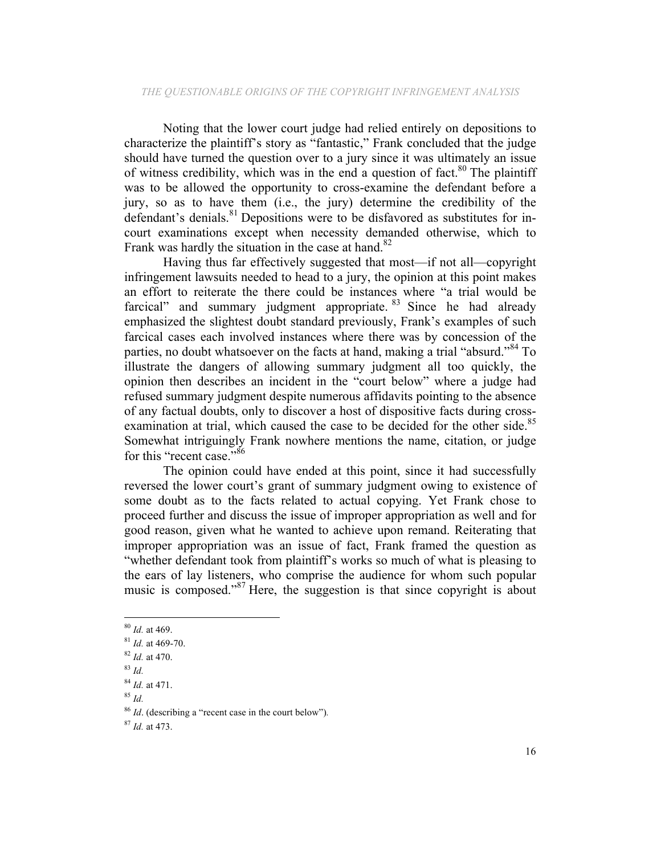Noting that the lower court judge had relied entirely on depositions to characterize the plaintiff's story as "fantastic," Frank concluded that the judge should have turned the question over to a jury since it was ultimately an issue of witness credibility, which was in the end a question of fact.<sup>80</sup> The plaintiff was to be allowed the opportunity to cross-examine the defendant before a jury, so as to have them (i.e., the jury) determine the credibility of the defendant's denials. $81$  Depositions were to be disfavored as substitutes for incourt examinations except when necessity demanded otherwise, which to Frank was hardly the situation in the case at hand.<sup>82</sup>

Having thus far effectively suggested that most—if not all—copyright infringement lawsuits needed to head to a jury, the opinion at this point makes an effort to reiterate the there could be instances where "a trial would be farcical" and summary judgment appropriate. <sup>83</sup> Since he had already emphasized the slightest doubt standard previously, Frank's examples of such farcical cases each involved instances where there was by concession of the parties, no doubt whatsoever on the facts at hand, making a trial "absurd."<sup>84</sup> To illustrate the dangers of allowing summary judgment all too quickly, the opinion then describes an incident in the "court below" where a judge had refused summary judgment despite numerous affidavits pointing to the absence of any factual doubts, only to discover a host of dispositive facts during crossexamination at trial, which caused the case to be decided for the other side.<sup>85</sup> Somewhat intriguingly Frank nowhere mentions the name, citation, or judge for this "recent case."<sup>86</sup>

The opinion could have ended at this point, since it had successfully reversed the lower court's grant of summary judgment owing to existence of some doubt as to the facts related to actual copying. Yet Frank chose to proceed further and discuss the issue of improper appropriation as well and for good reason, given what he wanted to achieve upon remand. Reiterating that improper appropriation was an issue of fact, Frank framed the question as "whether defendant took from plaintiff's works so much of what is pleasing to the ears of lay listeners, who comprise the audience for whom such popular music is composed."<sup>87</sup> Here, the suggestion is that since copyright is about

<sup>80</sup> *Id.* at 469.

<sup>81</sup> *Id.* at 469-70.

<sup>82</sup> *Id.* at 470.

<sup>83</sup> *Id.*

<sup>84</sup> *Id.* at 471.

<sup>85</sup> *Id.*

<sup>86</sup> *Id*. (describing a "recent case in the court below")*.*

<sup>87</sup> *Id.* at 473.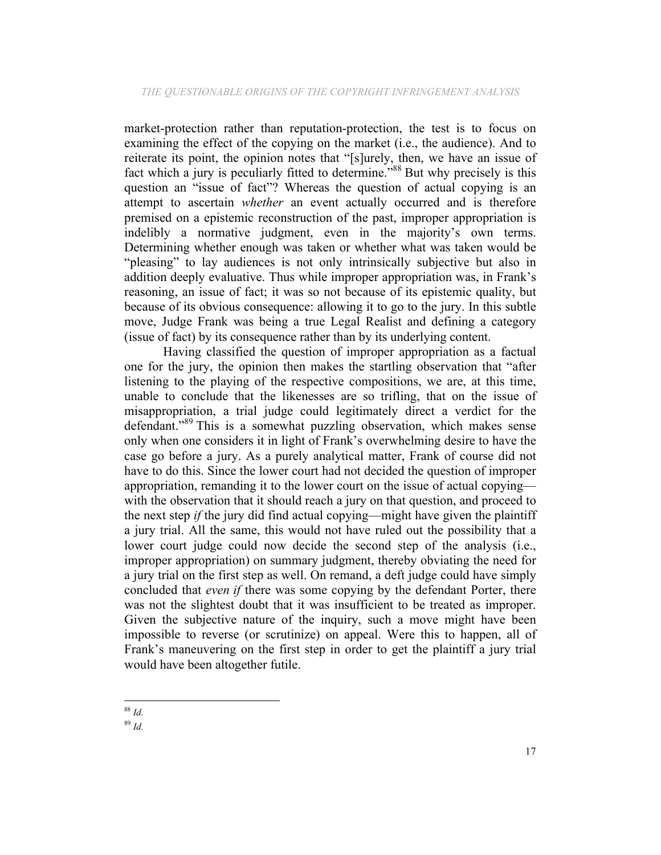market-protection rather than reputation-protection, the test is to focus on examining the effect of the copying on the market (i.e., the audience). And to reiterate its point, the opinion notes that "[s]urely, then, we have an issue of fact which a jury is peculiarly fitted to determine.<sup>588</sup> But why precisely is this question an "issue of fact"? Whereas the question of actual copying is an attempt to ascertain *whether* an event actually occurred and is therefore premised on a epistemic reconstruction of the past, improper appropriation is indelibly a normative judgment, even in the majority's own terms. Determining whether enough was taken or whether what was taken would be "pleasing" to lay audiences is not only intrinsically subjective but also in addition deeply evaluative. Thus while improper appropriation was, in Frank's reasoning, an issue of fact; it was so not because of its epistemic quality, but because of its obvious consequence: allowing it to go to the jury. In this subtle move, Judge Frank was being a true Legal Realist and defining a category (issue of fact) by its consequence rather than by its underlying content.

Having classified the question of improper appropriation as a factual one for the jury, the opinion then makes the startling observation that "after listening to the playing of the respective compositions, we are, at this time, unable to conclude that the likenesses are so trifling, that on the issue of misappropriation, a trial judge could legitimately direct a verdict for the defendant."<sup>89</sup> This is a somewhat puzzling observation, which makes sense only when one considers it in light of Frank's overwhelming desire to have the case go before a jury. As a purely analytical matter, Frank of course did not have to do this. Since the lower court had not decided the question of improper appropriation, remanding it to the lower court on the issue of actual copying with the observation that it should reach a jury on that question, and proceed to the next step *if* the jury did find actual copying—might have given the plaintiff a jury trial. All the same, this would not have ruled out the possibility that a lower court judge could now decide the second step of the analysis (i.e., improper appropriation) on summary judgment, thereby obviating the need for a jury trial on the first step as well. On remand, a deft judge could have simply concluded that *even if* there was some copying by the defendant Porter, there was not the slightest doubt that it was insufficient to be treated as improper. Given the subjective nature of the inquiry, such a move might have been impossible to reverse (or scrutinize) on appeal. Were this to happen, all of Frank's maneuvering on the first step in order to get the plaintiff a jury trial would have been altogether futile.

<sup>89</sup> *Id.*

 <sup>88</sup> *Id.*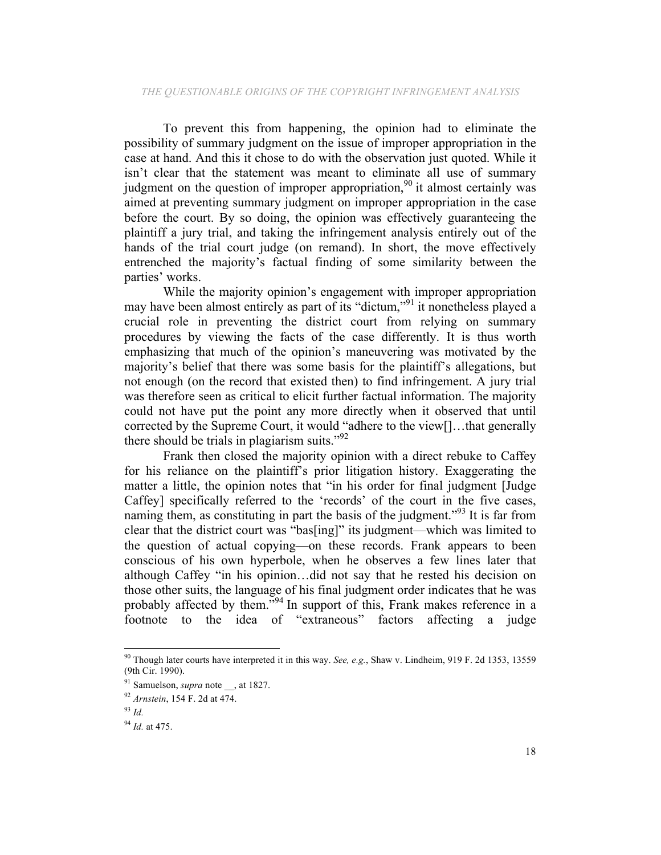To prevent this from happening, the opinion had to eliminate the possibility of summary judgment on the issue of improper appropriation in the case at hand. And this it chose to do with the observation just quoted. While it isn't clear that the statement was meant to eliminate all use of summary judgment on the question of improper appropriation,<sup>90</sup> it almost certainly was aimed at preventing summary judgment on improper appropriation in the case before the court. By so doing, the opinion was effectively guaranteeing the plaintiff a jury trial, and taking the infringement analysis entirely out of the hands of the trial court judge (on remand). In short, the move effectively entrenched the majority's factual finding of some similarity between the parties' works.

While the majority opinion's engagement with improper appropriation may have been almost entirely as part of its "dictum,"<sup>91</sup> it nonetheless played a crucial role in preventing the district court from relying on summary procedures by viewing the facts of the case differently. It is thus worth emphasizing that much of the opinion's maneuvering was motivated by the majority's belief that there was some basis for the plaintiff's allegations, but not enough (on the record that existed then) to find infringement. A jury trial was therefore seen as critical to elicit further factual information. The majority could not have put the point any more directly when it observed that until corrected by the Supreme Court, it would "adhere to the view[]…that generally there should be trials in plagiarism suits."<sup>92</sup>

Frank then closed the majority opinion with a direct rebuke to Caffey for his reliance on the plaintiff's prior litigation history. Exaggerating the matter a little, the opinion notes that "in his order for final judgment [Judge Caffey] specifically referred to the 'records' of the court in the five cases, naming them, as constituting in part the basis of the judgment.<sup>"93</sup> It is far from clear that the district court was "bas[ing]" its judgment—which was limited to the question of actual copying—on these records. Frank appears to been conscious of his own hyperbole, when he observes a few lines later that although Caffey "in his opinion…did not say that he rested his decision on those other suits, the language of his final judgment order indicates that he was probably affected by them.<sup>"94</sup> In support of this, Frank makes reference in a footnote to the idea of "extraneous" factors affecting a judge

 <sup>90</sup> Though later courts have interpreted it in this way. *See, e.g.*, Shaw v. Lindheim, 919 F. 2d 1353, 13559 (9th Cir. 1990).

<sup>&</sup>lt;sup>91</sup> Samuelson, *supra* note \_\_, at 1827.

<sup>92</sup> *Arnstein*, 154 F. 2d at 474.

<sup>93</sup> *Id.*

<sup>94</sup> *Id.* at 475.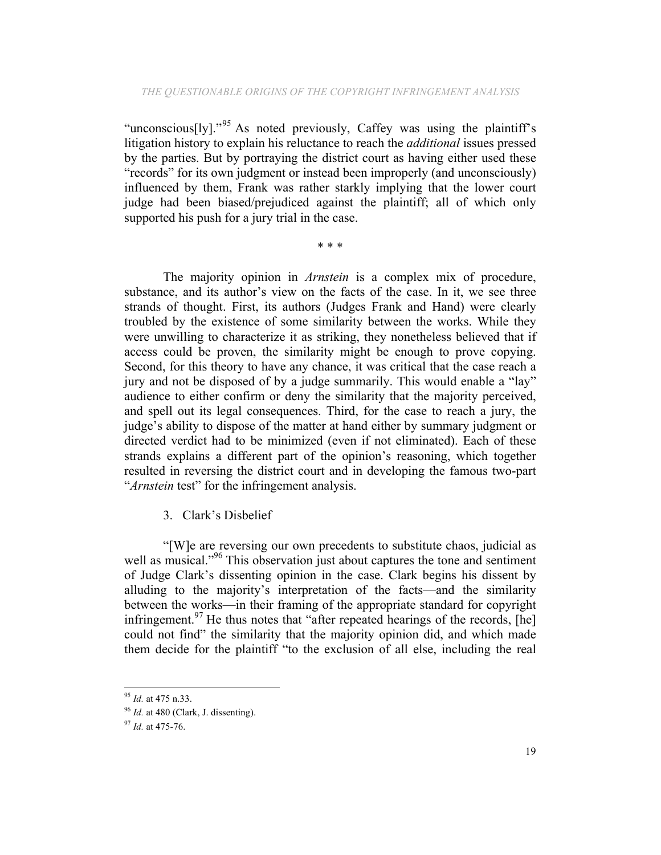"unconscious $[y]$ ."<sup>95</sup> As noted previously, Caffey was using the plaintiff's litigation history to explain his reluctance to reach the *additional* issues pressed by the parties. But by portraying the district court as having either used these "records" for its own judgment or instead been improperly (and unconsciously) influenced by them, Frank was rather starkly implying that the lower court judge had been biased/prejudiced against the plaintiff; all of which only supported his push for a jury trial in the case.

\* \* \*

The majority opinion in *Arnstein* is a complex mix of procedure, substance, and its author's view on the facts of the case. In it, we see three strands of thought. First, its authors (Judges Frank and Hand) were clearly troubled by the existence of some similarity between the works. While they were unwilling to characterize it as striking, they nonetheless believed that if access could be proven, the similarity might be enough to prove copying. Second, for this theory to have any chance, it was critical that the case reach a jury and not be disposed of by a judge summarily. This would enable a "lay" audience to either confirm or deny the similarity that the majority perceived, and spell out its legal consequences. Third, for the case to reach a jury, the judge's ability to dispose of the matter at hand either by summary judgment or directed verdict had to be minimized (even if not eliminated). Each of these strands explains a different part of the opinion's reasoning, which together resulted in reversing the district court and in developing the famous two-part "*Arnstein* test" for the infringement analysis.

### 3. Clark's Disbelief

"[W]e are reversing our own precedents to substitute chaos, judicial as well as musical."<sup>96</sup> This observation just about captures the tone and sentiment of Judge Clark's dissenting opinion in the case. Clark begins his dissent by alluding to the majority's interpretation of the facts—and the similarity between the works—in their framing of the appropriate standard for copyright infringement.<sup>97</sup> He thus notes that "after repeated hearings of the records,  $[he]$ could not find" the similarity that the majority opinion did, and which made them decide for the plaintiff "to the exclusion of all else, including the real

 <sup>95</sup> *Id.* at 475 n.33.

<sup>96</sup> *Id.* at 480 (Clark, J. dissenting).

<sup>97</sup> *Id.* at 475-76.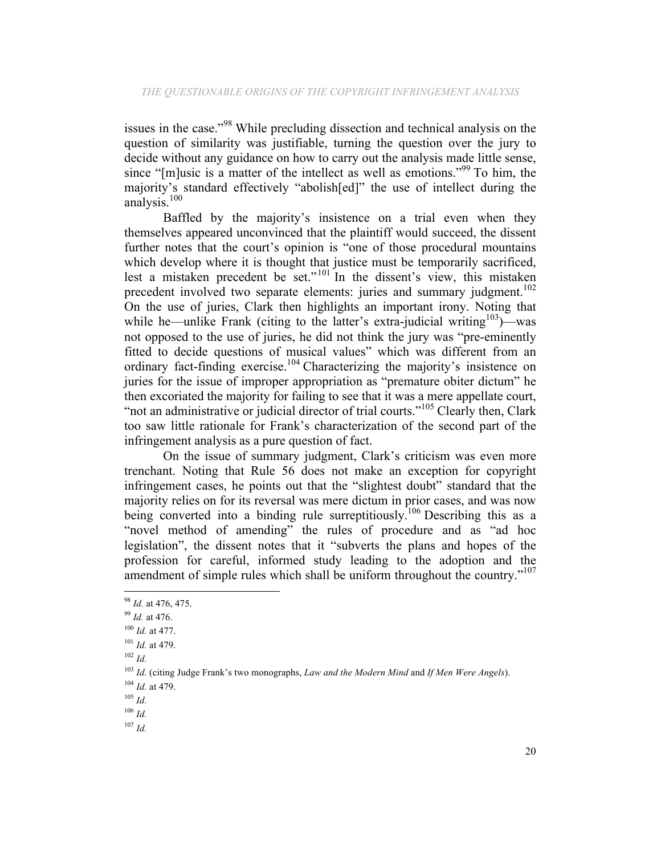issues in the case."98 While precluding dissection and technical analysis on the question of similarity was justifiable, turning the question over the jury to decide without any guidance on how to carry out the analysis made little sense, since "[m]usic is a matter of the intellect as well as emotions."<sup>99</sup> To him, the majority's standard effectively "abolish[ed]" the use of intellect during the analysis.<sup>100</sup>

Baffled by the majority's insistence on a trial even when they themselves appeared unconvinced that the plaintiff would succeed, the dissent further notes that the court's opinion is "one of those procedural mountains which develop where it is thought that justice must be temporarily sacrificed, lest a mistaken precedent be set."<sup>101</sup> In the dissent's view, this mistaken precedent involved two separate elements: juries and summary judgment.<sup>102</sup> On the use of juries, Clark then highlights an important irony. Noting that while he—unlike Frank (citing to the latter's extra-judicial writing<sup>103</sup>)—was not opposed to the use of juries, he did not think the jury was "pre-eminently fitted to decide questions of musical values" which was different from an ordinary fact-finding exercise.<sup>104</sup> Characterizing the majority's insistence on juries for the issue of improper appropriation as "premature obiter dictum" he then excoriated the majority for failing to see that it was a mere appellate court, "not an administrative or judicial director of trial courts."<sup>105</sup> Clearly then, Clark too saw little rationale for Frank's characterization of the second part of the infringement analysis as a pure question of fact.

On the issue of summary judgment, Clark's criticism was even more trenchant. Noting that Rule 56 does not make an exception for copyright infringement cases, he points out that the "slightest doubt" standard that the majority relies on for its reversal was mere dictum in prior cases, and was now being converted into a binding rule surreptitiously.<sup>106</sup> Describing this as a "novel method of amending" the rules of procedure and as "ad hoc legislation", the dissent notes that it "subverts the plans and hopes of the profession for careful, informed study leading to the adoption and the amendment of simple rules which shall be uniform throughout the country."<sup>107</sup>

 

<sup>107</sup> *Id.*

<sup>98</sup> *Id.* at 476, 475.

<sup>99</sup> *Id.* at 476.

<sup>100</sup> *Id.* at 477.

<sup>101</sup> *Id.* at 479.

<sup>102</sup> *Id.*

<sup>103</sup> *Id.* (citing Judge Frank's two monographs, *Law and the Modern Mind* and *If Men Were Angels*).

<sup>104</sup> *Id.* at 479.

<sup>105</sup> *Id.*

<sup>106</sup> *Id.*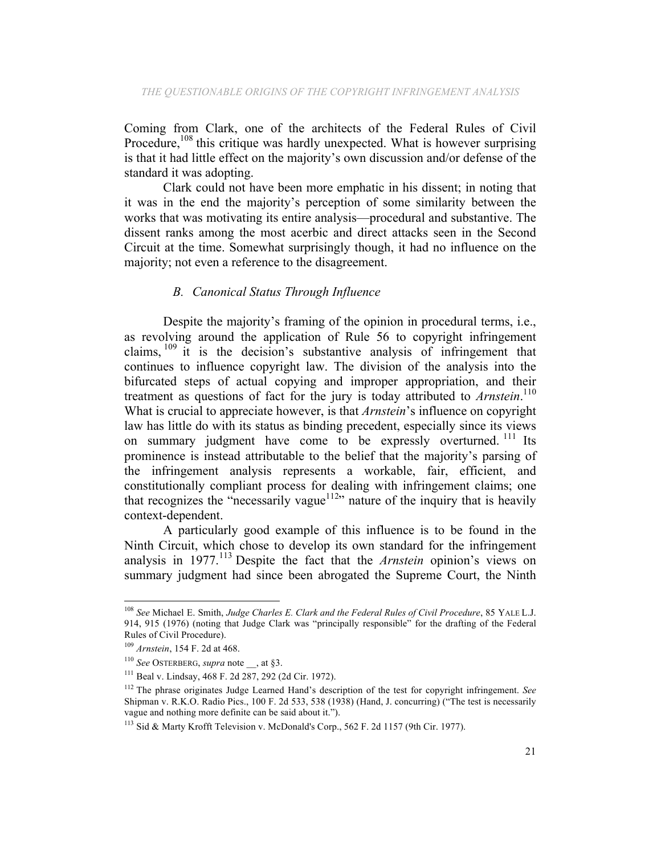Coming from Clark, one of the architects of the Federal Rules of Civil Procedure, $108$  this critique was hardly unexpected. What is however surprising is that it had little effect on the majority's own discussion and/or defense of the standard it was adopting.

Clark could not have been more emphatic in his dissent; in noting that it was in the end the majority's perception of some similarity between the works that was motivating its entire analysis—procedural and substantive. The dissent ranks among the most acerbic and direct attacks seen in the Second Circuit at the time. Somewhat surprisingly though, it had no influence on the majority; not even a reference to the disagreement.

# *B. Canonical Status Through Influence*

Despite the majority's framing of the opinion in procedural terms, i.e., as revolving around the application of Rule 56 to copyright infringement claims, <sup>109</sup> it is the decision's substantive analysis of infringement that continues to influence copyright law. The division of the analysis into the bifurcated steps of actual copying and improper appropriation, and their treatment as questions of fact for the jury is today attributed to *Arnstein*. 110 What is crucial to appreciate however, is that *Arnstein*'s influence on copyright law has little do with its status as binding precedent, especially since its views on summary judgment have come to be expressly overturned.<sup>111</sup> Its prominence is instead attributable to the belief that the majority's parsing of the infringement analysis represents a workable, fair, efficient, and constitutionally compliant process for dealing with infringement claims; one that recognizes the "necessarily vague<sup>112</sup>" nature of the inquiry that is heavily context-dependent.

A particularly good example of this influence is to be found in the Ninth Circuit, which chose to develop its own standard for the infringement analysis in 1977.<sup>113</sup> Despite the fact that the *Arnstein* opinion's views on summary judgment had since been abrogated the Supreme Court, the Ninth

 <sup>108</sup> *See* Michael E. Smith, *Judge Charles E. Clark and the Federal Rules of Civil Procedure*, 85 YALE L.J. 914, 915 (1976) (noting that Judge Clark was "principally responsible" for the drafting of the Federal Rules of Civil Procedure).

<sup>109</sup> *Arnstein*, 154 F. 2d at 468.

<sup>110</sup> *See* OSTERBERG, *supra* note \_\_, at §3.

<sup>111</sup> Beal v. Lindsay, 468 F. 2d 287, 292 (2d Cir. 1972).

<sup>112</sup> The phrase originates Judge Learned Hand's description of the test for copyright infringement. *See* Shipman v. R.K.O. Radio Pics., 100 F. 2d 533, 538 (1938) (Hand, J. concurring) ("The test is necessarily vague and nothing more definite can be said about it.").

<sup>113</sup> Sid & Marty Krofft Television v. McDonald's Corp., 562 F. 2d 1157 (9th Cir. 1977).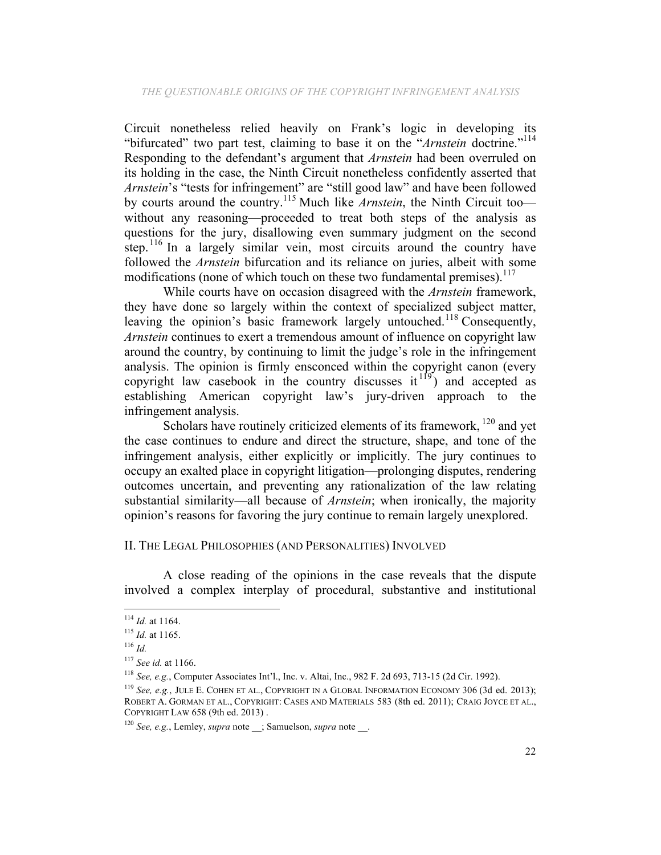Circuit nonetheless relied heavily on Frank's logic in developing its "bifurcated" two part test, claiming to base it on the "*Arnstein* doctrine."<sup>114</sup> Responding to the defendant's argument that *Arnstein* had been overruled on its holding in the case, the Ninth Circuit nonetheless confidently asserted that *Arnstein*'s "tests for infringement" are "still good law" and have been followed by courts around the country.<sup>115</sup> Much like *Arnstein*, the Ninth Circuit too without any reasoning—proceeded to treat both steps of the analysis as questions for the jury, disallowing even summary judgment on the second step.<sup>116</sup> In a largely similar vein, most circuits around the country have followed the *Arnstein* bifurcation and its reliance on juries, albeit with some modifications (none of which touch on these two fundamental premises). $117$ 

While courts have on occasion disagreed with the *Arnstein* framework, they have done so largely within the context of specialized subject matter, leaving the opinion's basic framework largely untouched.<sup>118</sup> Consequently, *Arnstein* continues to exert a tremendous amount of influence on copyright law around the country, by continuing to limit the judge's role in the infringement analysis. The opinion is firmly ensconced within the copyright canon (every copyright law casebook in the country discusses  $it^{19}$  and accepted as establishing American copyright law's jury-driven approach to the infringement analysis.

Scholars have routinely criticized elements of its framework, <sup>120</sup> and yet the case continues to endure and direct the structure, shape, and tone of the infringement analysis, either explicitly or implicitly. The jury continues to occupy an exalted place in copyright litigation—prolonging disputes, rendering outcomes uncertain, and preventing any rationalization of the law relating substantial similarity—all because of *Arnstein*; when ironically, the majority opinion's reasons for favoring the jury continue to remain largely unexplored.

# II. THE LEGAL PHILOSOPHIES (AND PERSONALITIES) INVOLVED

A close reading of the opinions in the case reveals that the dispute involved a complex interplay of procedural, substantive and institutional

<sup>114</sup> *Id.* at 1164.

<sup>115</sup> *Id.* at 1165.

<sup>116</sup> *Id.*

<sup>117</sup> *See id.* at 1166.

<sup>118</sup> *See, e.g.*, Computer Associates Int'l., Inc. v. Altai, Inc., 982 F. 2d 693, 713-15 (2d Cir. 1992).

<sup>119</sup> *See, e.g.*, JULE E. COHEN ET AL., COPYRIGHT IN A GLOBAL INFORMATION ECONOMY 306 (3d ed. 2013); ROBERT A. GORMAN ET AL., COPYRIGHT: CASES AND MATERIALS 583 (8th ed. 2011); CRAIG JOYCE ET AL., COPYRIGHT LAW 658 (9th ed. 2013) .

<sup>&</sup>lt;sup>120</sup> *See, e.g.*, Lemley, *supra* note ; Samuelson, *supra* note .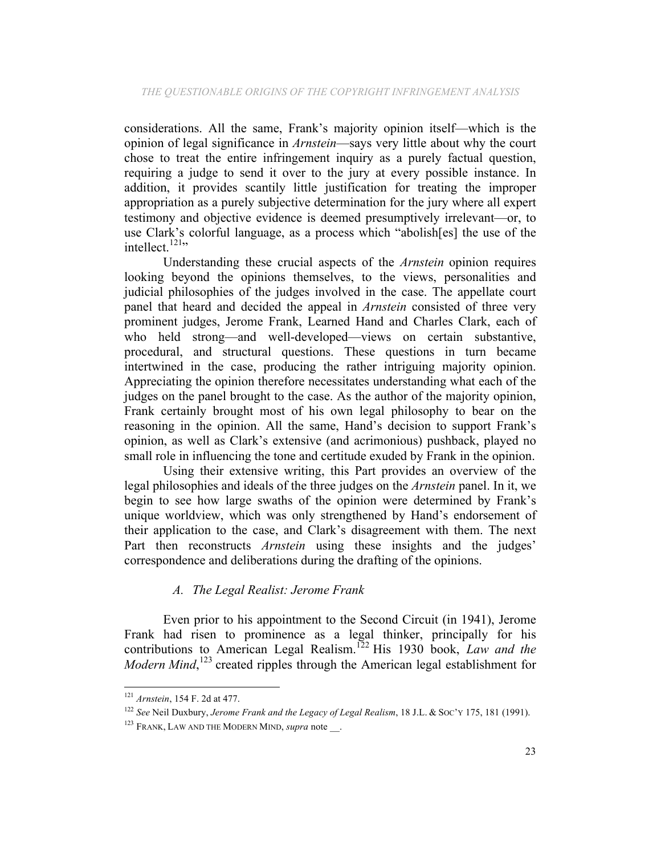considerations. All the same, Frank's majority opinion itself—which is the opinion of legal significance in *Arnstein*—says very little about why the court chose to treat the entire infringement inquiry as a purely factual question, requiring a judge to send it over to the jury at every possible instance. In addition, it provides scantily little justification for treating the improper appropriation as a purely subjective determination for the jury where all expert testimony and objective evidence is deemed presumptively irrelevant—or, to use Clark's colorful language, as a process which "abolish[es] the use of the intellect.<sup>121</sup>"

Understanding these crucial aspects of the *Arnstein* opinion requires looking beyond the opinions themselves, to the views, personalities and judicial philosophies of the judges involved in the case. The appellate court panel that heard and decided the appeal in *Arnstein* consisted of three very prominent judges, Jerome Frank, Learned Hand and Charles Clark, each of who held strong—and well-developed—views on certain substantive, procedural, and structural questions. These questions in turn became intertwined in the case, producing the rather intriguing majority opinion. Appreciating the opinion therefore necessitates understanding what each of the judges on the panel brought to the case. As the author of the majority opinion, Frank certainly brought most of his own legal philosophy to bear on the reasoning in the opinion. All the same, Hand's decision to support Frank's opinion, as well as Clark's extensive (and acrimonious) pushback, played no small role in influencing the tone and certitude exuded by Frank in the opinion.

Using their extensive writing, this Part provides an overview of the legal philosophies and ideals of the three judges on the *Arnstein* panel. In it, we begin to see how large swaths of the opinion were determined by Frank's unique worldview, which was only strengthened by Hand's endorsement of their application to the case, and Clark's disagreement with them. The next Part then reconstructs *Arnstein* using these insights and the judges' correspondence and deliberations during the drafting of the opinions.

# *A. The Legal Realist: Jerome Frank*

Even prior to his appointment to the Second Circuit (in 1941), Jerome Frank had risen to prominence as a legal thinker, principally for his contributions to American Legal Realism.<sup>122</sup> His 1930 book, *Law and the Modern Mind*,<sup>123</sup> created ripples through the American legal establishment for

 <sup>121</sup> *Arnstein*, 154 F. 2d at 477.

<sup>122</sup> *See* Neil Duxbury, *Jerome Frank and the Legacy of Legal Realism*, 18 J.L. & SOC'Y 175, 181 (1991).

<sup>&</sup>lt;sup>123</sup> FRANK, LAW AND THE MODERN MIND, *supra* note.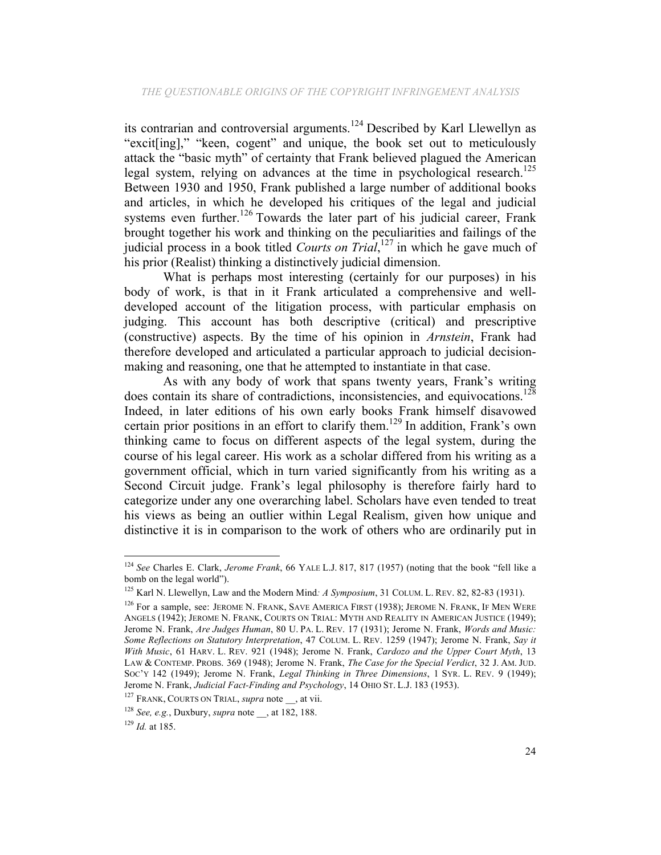its contrarian and controversial arguments. <sup>124</sup> Described by Karl Llewellyn as "excit[ing]," "keen, cogent" and unique, the book set out to meticulously attack the "basic myth" of certainty that Frank believed plagued the American legal system, relying on advances at the time in psychological research.<sup>125</sup> Between 1930 and 1950, Frank published a large number of additional books and articles, in which he developed his critiques of the legal and judicial systems even further.<sup>126</sup> Towards the later part of his judicial career, Frank brought together his work and thinking on the peculiarities and failings of the judicial process in a book titled *Courts on Trial*, <sup>127</sup> in which he gave much of his prior (Realist) thinking a distinctively judicial dimension.

What is perhaps most interesting (certainly for our purposes) in his body of work, is that in it Frank articulated a comprehensive and welldeveloped account of the litigation process, with particular emphasis on judging. This account has both descriptive (critical) and prescriptive (constructive) aspects. By the time of his opinion in *Arnstein*, Frank had therefore developed and articulated a particular approach to judicial decisionmaking and reasoning, one that he attempted to instantiate in that case.

As with any body of work that spans twenty years, Frank's writing does contain its share of contradictions, inconsistencies, and equivocations.<sup>128</sup> Indeed, in later editions of his own early books Frank himself disavowed certain prior positions in an effort to clarify them.<sup>129</sup> In addition, Frank's own thinking came to focus on different aspects of the legal system, during the course of his legal career. His work as a scholar differed from his writing as a government official, which in turn varied significantly from his writing as a Second Circuit judge. Frank's legal philosophy is therefore fairly hard to categorize under any one overarching label. Scholars have even tended to treat his views as being an outlier within Legal Realism, given how unique and distinctive it is in comparison to the work of others who are ordinarily put in

<sup>124</sup> *See* Charles E. Clark, *Jerome Frank*, 66 YALE L.J. 817, 817 (1957) (noting that the book "fell like a bomb on the legal world").

<sup>125</sup> Karl N. Llewellyn, Law and the Modern Mind*: A Symposium*, 31 COLUM. L. REV. 82, 82-83 (1931).

<sup>&</sup>lt;sup>126</sup> For a sample, see: JEROME N. FRANK, SAVE AMERICA FIRST (1938); JEROME N. FRANK, IF MEN WERE ANGELS (1942); JEROME N. FRANK, COURTS ON TRIAL: MYTH AND REALITY IN AMERICAN JUSTICE (1949); Jerome N. Frank, *Are Judges Human*, 80 U. PA. L. REV. 17 (1931); Jerome N. Frank, *Words and Music: Some Reflections on Statutory Interpretation*, 47 COLUM. L. REV. 1259 (1947); Jerome N. Frank, *Say it With Music*, 61 HARV. L. REV. 921 (1948); Jerome N. Frank, *Cardozo and the Upper Court Myth*, 13 LAW & CONTEMP. PROBS. 369 (1948); Jerome N. Frank, *The Case for the Special Verdict*, 32 J. AM. JUD. SOC'Y 142 (1949); Jerome N. Frank, *Legal Thinking in Three Dimensions*, 1 SYR. L. REV. 9 (1949); Jerome N. Frank, *Judicial Fact-Finding and Psychology*, 14 OHIO ST. L.J. <sup>183</sup> (1953). 127 FRANK, COURTS ON TRIAL, *supra* note \_\_, at vii.

<sup>128</sup> *See, e.g.*, Duxbury, *supra* note \_\_, at 182, 188.

<sup>129</sup> *Id.* at 185.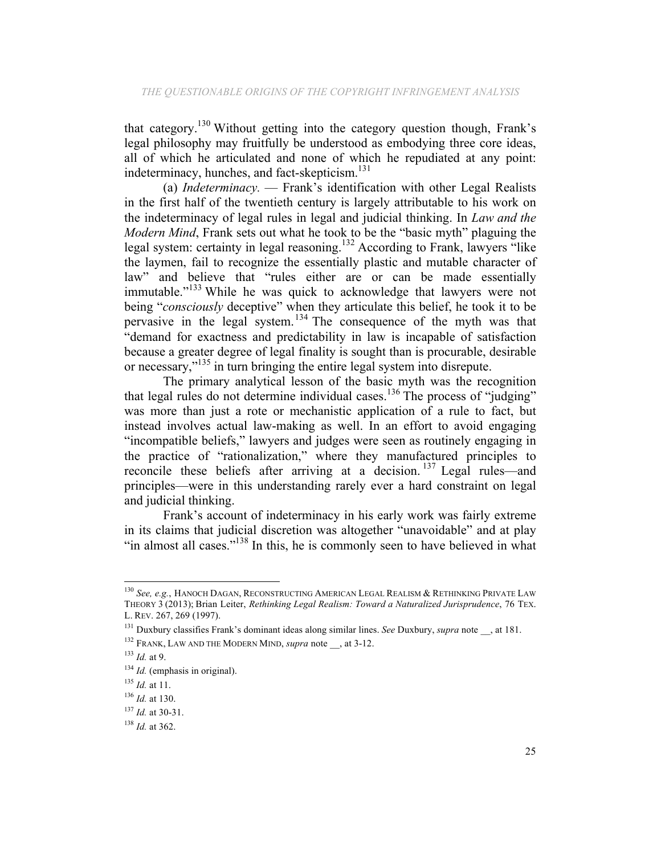that category.130 Without getting into the category question though, Frank's legal philosophy may fruitfully be understood as embodying three core ideas, all of which he articulated and none of which he repudiated at any point: indeterminacy, hunches, and fact-skepticism.<sup>131</sup>

(a) *Indeterminacy.* — Frank's identification with other Legal Realists in the first half of the twentieth century is largely attributable to his work on the indeterminacy of legal rules in legal and judicial thinking. In *Law and the Modern Mind*, Frank sets out what he took to be the "basic myth" plaguing the legal system: certainty in legal reasoning.<sup>132</sup> According to Frank, lawyers "like the laymen, fail to recognize the essentially plastic and mutable character of law" and believe that "rules either are or can be made essentially immutable."<sup>133</sup> While he was quick to acknowledge that lawyers were not being "*consciously* deceptive" when they articulate this belief, he took it to be pervasive in the legal system.<sup>134</sup> The consequence of the myth was that "demand for exactness and predictability in law is incapable of satisfaction because a greater degree of legal finality is sought than is procurable, desirable or necessary,"135 in turn bringing the entire legal system into disrepute.

The primary analytical lesson of the basic myth was the recognition that legal rules do not determine individual cases.<sup>136</sup> The process of "judging" was more than just a rote or mechanistic application of a rule to fact, but instead involves actual law-making as well. In an effort to avoid engaging "incompatible beliefs," lawyers and judges were seen as routinely engaging in the practice of "rationalization," where they manufactured principles to reconcile these beliefs after arriving at a decision.<sup>137</sup> Legal rules—and principles—were in this understanding rarely ever a hard constraint on legal and judicial thinking.

Frank's account of indeterminacy in his early work was fairly extreme in its claims that judicial discretion was altogether "unavoidable" and at play "in almost all cases."<sup>138</sup> In this, he is commonly seen to have believed in what

<sup>130</sup> *See, e.g.*, HANOCH DAGAN, RECONSTRUCTING AMERICAN LEGAL REALISM & RETHINKING PRIVATE LAW THEORY 3 (2013); Brian Leiter, *Rethinking Legal Realism: Toward a Naturalized Jurisprudence*, 76 TEX. L. REV. 267, 269 (1997).

<sup>131</sup> Duxbury classifies Frank's dominant ideas along similar lines. *See* Duxbury, *supra* note \_\_, at 181.

<sup>&</sup>lt;sup>132</sup> FRANK, LAW AND THE MODERN MIND, *supra* note , at 3-12.

<sup>133</sup> *Id.* at 9.

<sup>&</sup>lt;sup>134</sup> *Id.* (emphasis in original).

<sup>135</sup> *Id.* at 11.

<sup>136</sup> *Id.* at 130.

<sup>137</sup> *Id.* at 30-31.

<sup>138</sup> *Id.* at 362.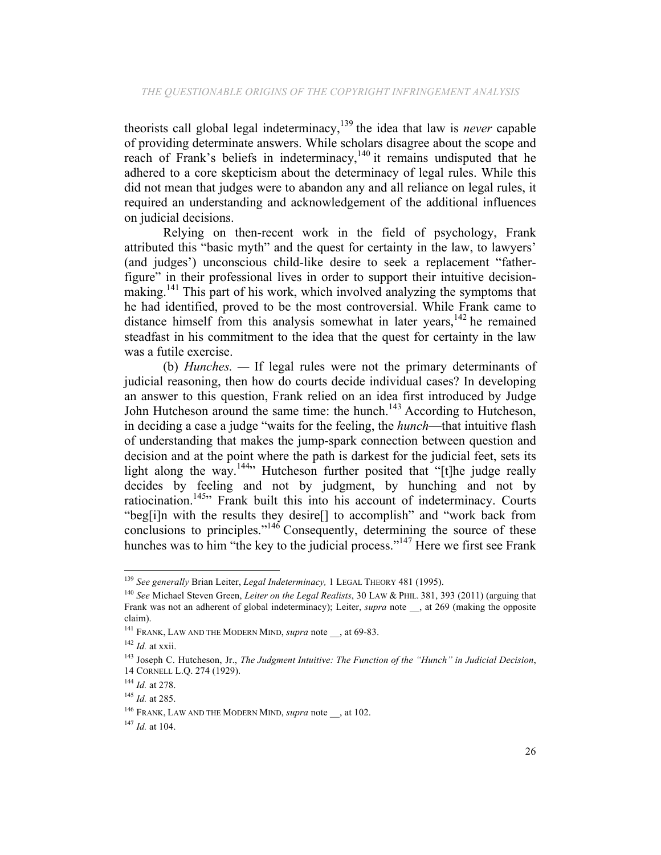theorists call global legal indeterminacy,<sup>139</sup> the idea that law is *never* capable of providing determinate answers. While scholars disagree about the scope and reach of Frank's beliefs in indeterminacy,<sup>140</sup> it remains undisputed that he adhered to a core skepticism about the determinacy of legal rules. While this did not mean that judges were to abandon any and all reliance on legal rules, it required an understanding and acknowledgement of the additional influences on judicial decisions.

Relying on then-recent work in the field of psychology, Frank attributed this "basic myth" and the quest for certainty in the law, to lawyers' (and judges') unconscious child-like desire to seek a replacement "fatherfigure" in their professional lives in order to support their intuitive decisionmaking.141 This part of his work, which involved analyzing the symptoms that he had identified, proved to be the most controversial. While Frank came to distance himself from this analysis somewhat in later years, $142$  he remained steadfast in his commitment to the idea that the quest for certainty in the law was a futile exercise.

(b) *Hunches. —* If legal rules were not the primary determinants of judicial reasoning, then how do courts decide individual cases? In developing an answer to this question, Frank relied on an idea first introduced by Judge John Hutcheson around the same time: the hunch.<sup>143</sup> According to Hutcheson, in deciding a case a judge "waits for the feeling, the *hunch*—that intuitive flash of understanding that makes the jump-spark connection between question and decision and at the point where the path is darkest for the judicial feet, sets its light along the way.<sup>144</sup><sup>144</sup> Hutcheson further posited that "[t]he judge really decides by feeling and not by judgment, by hunching and not by ratiocination.<sup>145</sup><sup>145</sup> Frank built this into his account of indeterminacy. Courts "beg[i]n with the results they desire[] to accomplish" and "work back from conclusions to principles."<sup>146</sup> Consequently, determining the source of these hunches was to him "the key to the judicial process."<sup>147</sup> Here we first see Frank

<sup>&</sup>lt;sup>139</sup> See generally Brian Leiter, Legal Indeterminacy, 1 LEGAL THEORY 481 (1995).

<sup>&</sup>lt;sup>140</sup> See Michael Steven Green, *Leiter on the Legal Realists*, 30 LAW & PHIL. 381, 393 (2011) (arguing that Frank was not an adherent of global indeterminacy); Leiter, *supra* note , at 269 (making the opposite claim).

<sup>&</sup>lt;sup>141</sup> FRANK, LAW AND THE MODERN MIND, *supra* note \_\_, at 69-83.

<sup>142</sup> *Id.* at xxii.

<sup>143</sup> Joseph C. Hutcheson, Jr., *The Judgment Intuitive: The Function of the "Hunch" in Judicial Decision*, 14 CORNELL L.Q. 274 (1929).

<sup>144</sup> *Id.* at 278.

<sup>145</sup> *Id.* at 285.

<sup>&</sup>lt;sup>146</sup> FRANK, LAW AND THE MODERN MIND, *supra* note , at 102.

<sup>147</sup> *Id.* at 104.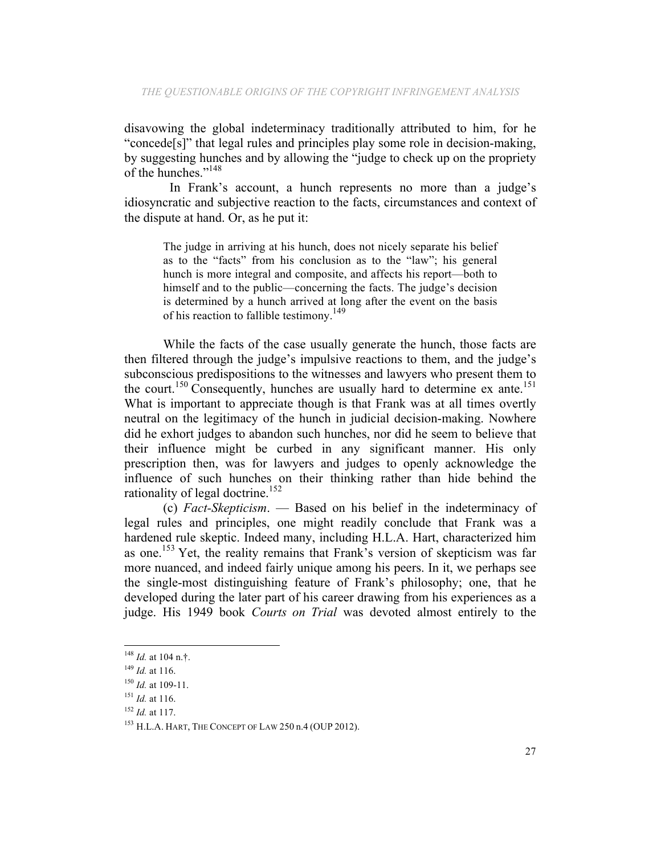disavowing the global indeterminacy traditionally attributed to him, for he "concede[s]" that legal rules and principles play some role in decision-making, by suggesting hunches and by allowing the "judge to check up on the propriety of the hunches."<sup>148</sup>

 In Frank's account, a hunch represents no more than a judge's idiosyncratic and subjective reaction to the facts, circumstances and context of the dispute at hand. Or, as he put it:

The judge in arriving at his hunch, does not nicely separate his belief as to the "facts" from his conclusion as to the "law"; his general hunch is more integral and composite, and affects his report—both to himself and to the public—concerning the facts. The judge's decision is determined by a hunch arrived at long after the event on the basis of his reaction to fallible testimony.<sup>149</sup>

While the facts of the case usually generate the hunch, those facts are then filtered through the judge's impulsive reactions to them, and the judge's subconscious predispositions to the witnesses and lawyers who present them to the court.<sup>150</sup> Consequently, hunches are usually hard to determine ex ante.<sup>151</sup> What is important to appreciate though is that Frank was at all times overtly neutral on the legitimacy of the hunch in judicial decision-making. Nowhere did he exhort judges to abandon such hunches, nor did he seem to believe that their influence might be curbed in any significant manner. His only prescription then, was for lawyers and judges to openly acknowledge the influence of such hunches on their thinking rather than hide behind the rationality of legal doctrine.<sup>152</sup>

(c) *Fact-Skepticism*. — Based on his belief in the indeterminacy of legal rules and principles, one might readily conclude that Frank was a hardened rule skeptic. Indeed many, including H.L.A. Hart, characterized him as one.<sup>153</sup> Yet, the reality remains that Frank's version of skepticism was far more nuanced, and indeed fairly unique among his peers. In it, we perhaps see the single-most distinguishing feature of Frank's philosophy; one, that he developed during the later part of his career drawing from his experiences as a judge. His 1949 book *Courts on Trial* was devoted almost entirely to the

<sup>148</sup> *Id.* at 104 n.†.

<sup>149</sup> *Id.* at 116.

<sup>150</sup> *Id.* at 109-11.

<sup>151</sup> *Id.* at 116.

<sup>152</sup> *Id.* at 117.

<sup>153</sup> H.L.A. HART, THE CONCEPT OF LAW 250 n.4 (OUP 2012).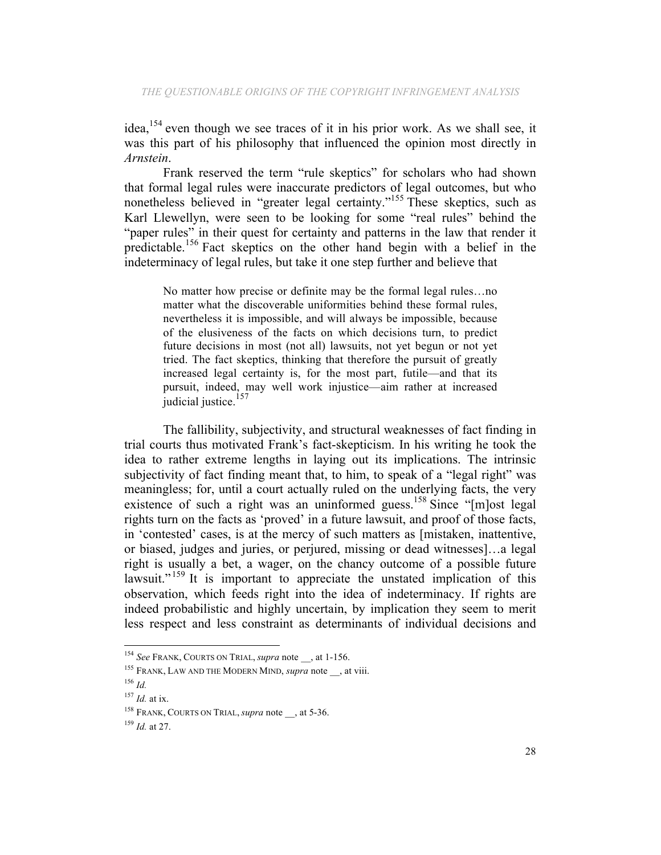idea,  $154$  even though we see traces of it in his prior work. As we shall see, it was this part of his philosophy that influenced the opinion most directly in *Arnstein*.

Frank reserved the term "rule skeptics" for scholars who had shown that formal legal rules were inaccurate predictors of legal outcomes, but who nonetheless believed in "greater legal certainty."<sup>155</sup> These skeptics, such as Karl Llewellyn, were seen to be looking for some "real rules" behind the "paper rules" in their quest for certainty and patterns in the law that render it predictable.<sup>156</sup> Fact skeptics on the other hand begin with a belief in the indeterminacy of legal rules, but take it one step further and believe that

No matter how precise or definite may be the formal legal rules…no matter what the discoverable uniformities behind these formal rules. nevertheless it is impossible, and will always be impossible, because of the elusiveness of the facts on which decisions turn, to predict future decisions in most (not all) lawsuits, not yet begun or not yet tried. The fact skeptics, thinking that therefore the pursuit of greatly increased legal certainty is, for the most part, futile—and that its pursuit, indeed, may well work injustice—aim rather at increased judicial justice.<sup>157</sup>

The fallibility, subjectivity, and structural weaknesses of fact finding in trial courts thus motivated Frank's fact-skepticism. In his writing he took the idea to rather extreme lengths in laying out its implications. The intrinsic subjectivity of fact finding meant that, to him, to speak of a "legal right" was meaningless; for, until a court actually ruled on the underlying facts, the very existence of such a right was an uninformed guess.<sup>158</sup> Since "[m]ost legal rights turn on the facts as 'proved' in a future lawsuit, and proof of those facts, in 'contested' cases, is at the mercy of such matters as [mistaken, inattentive, or biased, judges and juries, or perjured, missing or dead witnesses]…a legal right is usually a bet, a wager, on the chancy outcome of a possible future lawsuit."<sup>159</sup> It is important to appreciate the unstated implication of this observation, which feeds right into the idea of indeterminacy. If rights are indeed probabilistic and highly uncertain, by implication they seem to merit less respect and less constraint as determinants of individual decisions and

<sup>154</sup> *See* FRANK, COURTS ON TRIAL, *supra* note \_\_, at 1-156.

<sup>&</sup>lt;sup>155</sup> FRANK, LAW AND THE MODERN MIND, *supra* note \_\_, at viii.

<sup>156</sup> *Id.*

<sup>157</sup> *Id.* at ix.

<sup>&</sup>lt;sup>158</sup> FRANK, COURTS ON TRIAL, *supra* note , at 5-36.

<sup>159</sup> *Id.* at 27.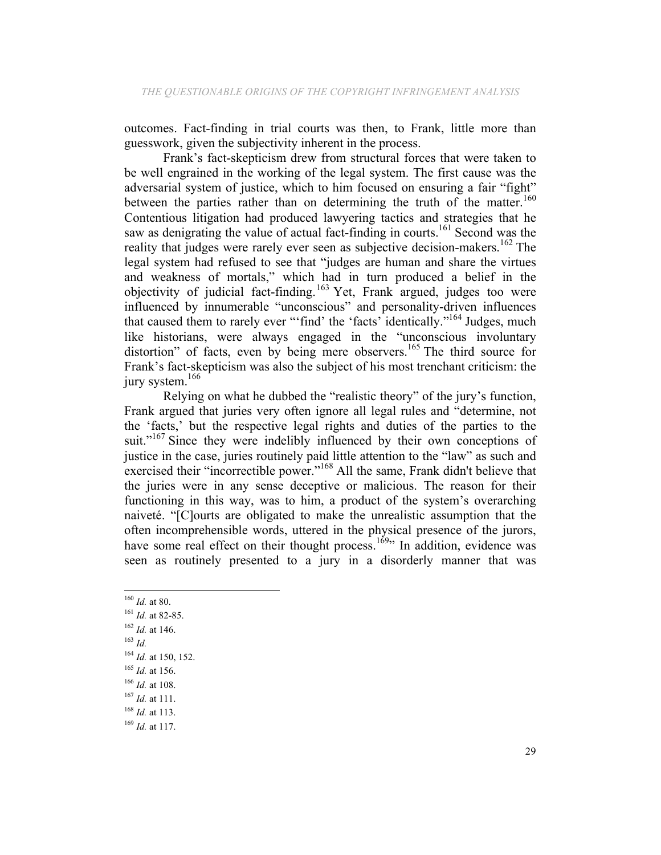outcomes. Fact-finding in trial courts was then, to Frank, little more than guesswork, given the subjectivity inherent in the process.

Frank's fact-skepticism drew from structural forces that were taken to be well engrained in the working of the legal system. The first cause was the adversarial system of justice, which to him focused on ensuring a fair "fight" between the parties rather than on determining the truth of the matter.<sup>160</sup> Contentious litigation had produced lawyering tactics and strategies that he saw as denigrating the value of actual fact-finding in courts.<sup>161</sup> Second was the reality that judges were rarely ever seen as subjective decision-makers.<sup>162</sup> The legal system had refused to see that "judges are human and share the virtues and weakness of mortals," which had in turn produced a belief in the objectivity of judicial fact-finding.<sup>163</sup> Yet, Frank argued, judges too were influenced by innumerable "unconscious" and personality-driven influences that caused them to rarely ever "'find' the 'facts' identically."164 Judges, much like historians, were always engaged in the "unconscious involuntary distortion" of facts, even by being mere observers.<sup>165</sup> The third source for Frank's fact-skepticism was also the subject of his most trenchant criticism: the jury system.<sup>166</sup>

Relying on what he dubbed the "realistic theory" of the jury's function, Frank argued that juries very often ignore all legal rules and "determine, not the 'facts,' but the respective legal rights and duties of the parties to the suit."<sup>167</sup> Since they were indelibly influenced by their own conceptions of justice in the case, juries routinely paid little attention to the "law" as such and exercised their "incorrectible power."<sup>168</sup> All the same, Frank didn't believe that the juries were in any sense deceptive or malicious. The reason for their functioning in this way, was to him, a product of the system's overarching naiveté. "[C]ourts are obligated to make the unrealistic assumption that the often incomprehensible words, uttered in the physical presence of the jurors, have some real effect on their thought process.<sup>169</sup><sup>,</sup> In addition, evidence was seen as routinely presented to a jury in a disorderly manner that was

<sup>160</sup> *Id.* at 80.

<sup>161</sup> *Id.* at 82-85.

<sup>162</sup> *Id.* at 146.

<sup>163</sup> *Id.*

<sup>164</sup> *Id.* at 150, 152.

<sup>165</sup> *Id.* at 156.

<sup>166</sup> *Id.* at 108.

<sup>167</sup> *Id.* at 111.

<sup>168</sup> *Id.* at 113.

<sup>169</sup> *Id.* at 117.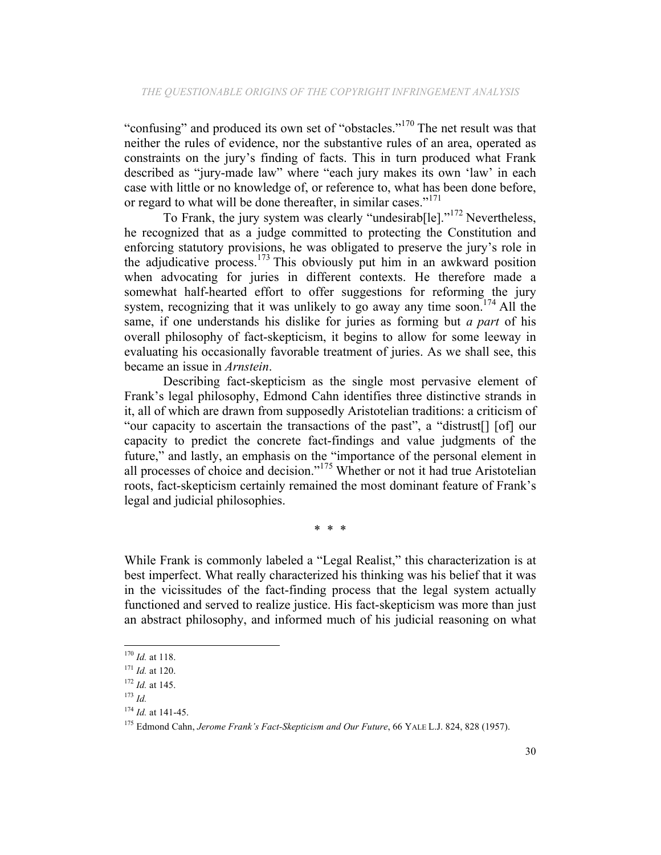"confusing" and produced its own set of "obstacles."<sup>170</sup> The net result was that neither the rules of evidence, nor the substantive rules of an area, operated as constraints on the jury's finding of facts. This in turn produced what Frank described as "jury-made law" where "each jury makes its own 'law' in each case with little or no knowledge of, or reference to, what has been done before, or regard to what will be done thereafter, in similar cases."<sup>171</sup>

To Frank, the jury system was clearly "undesirab[le]."<sup>172</sup> Nevertheless, he recognized that as a judge committed to protecting the Constitution and enforcing statutory provisions, he was obligated to preserve the jury's role in the adjudicative process.<sup>173</sup> This obviously put him in an awkward position when advocating for juries in different contexts. He therefore made a somewhat half-hearted effort to offer suggestions for reforming the jury system, recognizing that it was unlikely to go away any time soon.<sup>174</sup> All the same, if one understands his dislike for juries as forming but *a part* of his overall philosophy of fact-skepticism, it begins to allow for some leeway in evaluating his occasionally favorable treatment of juries. As we shall see, this became an issue in *Arnstein*.

Describing fact-skepticism as the single most pervasive element of Frank's legal philosophy, Edmond Cahn identifies three distinctive strands in it, all of which are drawn from supposedly Aristotelian traditions: a criticism of "our capacity to ascertain the transactions of the past", a "distrust[] [of] our capacity to predict the concrete fact-findings and value judgments of the future," and lastly, an emphasis on the "importance of the personal element in all processes of choice and decision."<sup>175</sup> Whether or not it had true Aristotelian roots, fact-skepticism certainly remained the most dominant feature of Frank's legal and judicial philosophies.

\* \* \*

While Frank is commonly labeled a "Legal Realist," this characterization is at best imperfect. What really characterized his thinking was his belief that it was in the vicissitudes of the fact-finding process that the legal system actually functioned and served to realize justice. His fact-skepticism was more than just an abstract philosophy, and informed much of his judicial reasoning on what

<sup>170</sup> *Id.* at 118.

<sup>171</sup> *Id.* at 120.

<sup>172</sup> *Id.* at 145.

<sup>173</sup> *Id.*

<sup>174</sup> *Id.* at 141-45.

<sup>175</sup> Edmond Cahn, *Jerome Frank's Fact-Skepticism and Our Future*, 66 YALE L.J. 824, 828 (1957).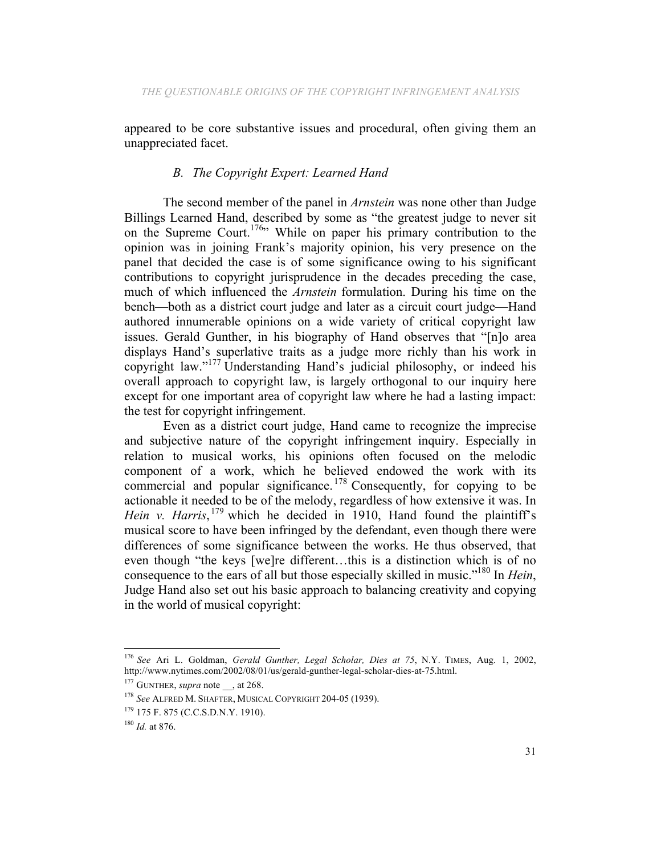appeared to be core substantive issues and procedural, often giving them an unappreciated facet.

### *B. The Copyright Expert: Learned Hand*

The second member of the panel in *Arnstein* was none other than Judge Billings Learned Hand, described by some as "the greatest judge to never sit on the Supreme Court.<sup>176</sup> While on paper his primary contribution to the opinion was in joining Frank's majority opinion, his very presence on the panel that decided the case is of some significance owing to his significant contributions to copyright jurisprudence in the decades preceding the case, much of which influenced the *Arnstein* formulation. During his time on the bench—both as a district court judge and later as a circuit court judge—Hand authored innumerable opinions on a wide variety of critical copyright law issues. Gerald Gunther, in his biography of Hand observes that "[n]o area displays Hand's superlative traits as a judge more richly than his work in copyright law."177 Understanding Hand's judicial philosophy, or indeed his overall approach to copyright law, is largely orthogonal to our inquiry here except for one important area of copyright law where he had a lasting impact: the test for copyright infringement.

Even as a district court judge, Hand came to recognize the imprecise and subjective nature of the copyright infringement inquiry. Especially in relation to musical works, his opinions often focused on the melodic component of a work, which he believed endowed the work with its commercial and popular significance.<sup>178</sup> Consequently, for copying to be actionable it needed to be of the melody, regardless of how extensive it was. In Hein v. Harris,<sup>179</sup> which he decided in 1910, Hand found the plaintiff's musical score to have been infringed by the defendant, even though there were differences of some significance between the works. He thus observed, that even though "the keys [we]re different…this is a distinction which is of no consequence to the ears of all but those especially skilled in music."180 In *Hein*, Judge Hand also set out his basic approach to balancing creativity and copying in the world of musical copyright:

 <sup>176</sup> *See* Ari L. Goldman, *Gerald Gunther, Legal Scholar, Dies at 75*, N.Y. TIMES, Aug. 1, 2002, http://www.nytimes.com/2002/08/01/us/gerald-gunther-legal-scholar-dies-at-75.html.

<sup>&</sup>lt;sup>177</sup> GUNTHER, *supra* note, at 268.

<sup>178</sup> *See* ALFRED M. SHAFTER, MUSICAL COPYRIGHT 204-05 (1939).

<sup>179</sup> 175 F. 875 (C.C.S.D.N.Y. 1910).

<sup>180</sup> *Id.* at 876.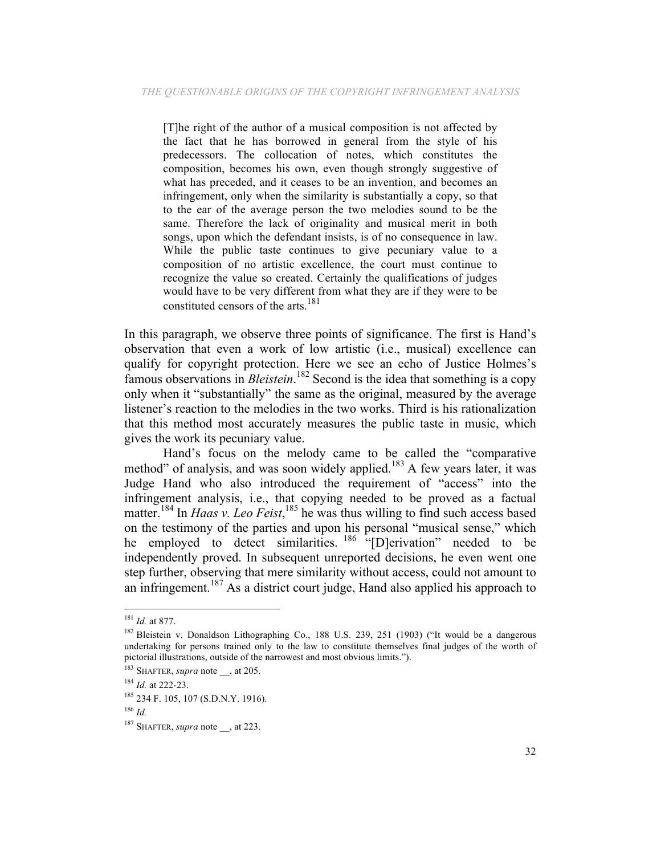[T]he right of the author of a musical composition is not affected by the fact that he has borrowed in general from the style of his predecessors. The collocation of notes, which constitutes the composition, becomes his own, even though strongly suggestive of what has preceded, and it ceases to be an invention, and becomes an infringement, only when the similarity is substantially a copy, so that to the ear of the average person the two melodies sound to be the same. Therefore the lack of originality and musical merit in both songs, upon which the defendant insists, is of no consequence in law. While the public taste continues to give pecuniary value to a composition of no artistic excellence, the court must continue to recognize the value so created. Certainly the qualifications of judges would have to be very different from what they are if they were to be constituted censors of the arts.<sup>181</sup>

In this paragraph, we observe three points of significance. The first is Hand's observation that even a work of low artistic (i.e., musical) excellence can qualify for copyright protection. Here we see an echo of Justice Holmes's famous observations in *Bleistein*. <sup>182</sup> Second is the idea that something is a copy only when it "substantially" the same as the original, measured by the average listener's reaction to the melodies in the two works. Third is his rationalization that this method most accurately measures the public taste in music, which gives the work its pecuniary value.

Hand's focus on the melody came to be called the "comparative method" of analysis, and was soon widely applied.<sup>183</sup> A few years later, it was Judge Hand who also introduced the requirement of "access" into the infringement analysis, i.e., that copying needed to be proved as a factual matter.<sup>184</sup> In *Haas v. Leo Feist*,<sup>185</sup> he was thus willing to find such access based on the testimony of the parties and upon his personal "musical sense," which he employed to detect similarities. <sup>186</sup> "[D]erivation" needed to be independently proved. In subsequent unreported decisions, he even went one step further, observing that mere similarity without access, could not amount to an infringement.<sup>187</sup> As a district court judge, Hand also applied his approach to

<sup>181</sup> *Id.* at 877.

<sup>&</sup>lt;sup>182</sup> Bleistein v. Donaldson Lithographing Co., 188 U.S. 239, 251 (1903) ("It would be a dangerous undertaking for persons trained only to the law to constitute themselves final judges of the worth of pictorial illustrations, outside of the narrowest and most obvious limits.").

<sup>&</sup>lt;sup>183</sup> SHAFTER, *supra* note \_\_, at 205.

<sup>184</sup> *Id.* at 222-23.

<sup>185</sup> 234 F. 105, 107 (S.D.N.Y. 1916).

<sup>186</sup> *Id.*

<sup>&</sup>lt;sup>187</sup> SHAFTER, *supra* note, at 223.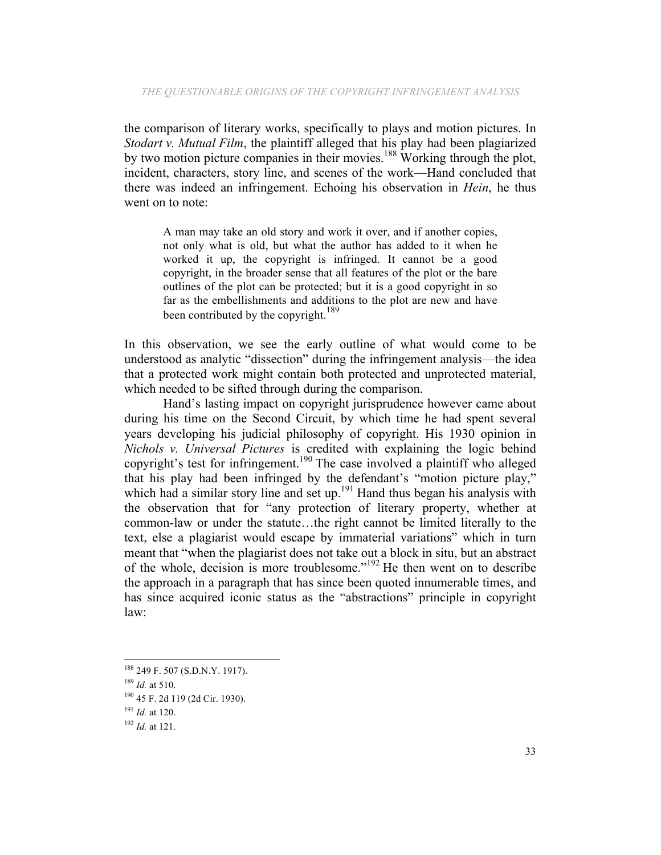the comparison of literary works, specifically to plays and motion pictures. In *Stodart v. Mutual Film*, the plaintiff alleged that his play had been plagiarized by two motion picture companies in their movies.<sup>188</sup> Working through the plot, incident, characters, story line, and scenes of the work—Hand concluded that there was indeed an infringement. Echoing his observation in *Hein*, he thus went on to note:

A man may take an old story and work it over, and if another copies, not only what is old, but what the author has added to it when he worked it up, the copyright is infringed. It cannot be a good copyright, in the broader sense that all features of the plot or the bare outlines of the plot can be protected; but it is a good copyright in so far as the embellishments and additions to the plot are new and have been contributed by the copyright.<sup>189</sup>

In this observation, we see the early outline of what would come to be understood as analytic "dissection" during the infringement analysis—the idea that a protected work might contain both protected and unprotected material, which needed to be sifted through during the comparison.

Hand's lasting impact on copyright jurisprudence however came about during his time on the Second Circuit, by which time he had spent several years developing his judicial philosophy of copyright. His 1930 opinion in *Nichols v. Universal Pictures* is credited with explaining the logic behind copyright's test for infringement.<sup>190</sup> The case involved a plaintiff who alleged that his play had been infringed by the defendant's "motion picture play," which had a similar story line and set up.<sup>191</sup> Hand thus began his analysis with the observation that for "any protection of literary property, whether at common-law or under the statute…the right cannot be limited literally to the text, else a plagiarist would escape by immaterial variations" which in turn meant that "when the plagiarist does not take out a block in situ, but an abstract of the whole, decision is more troublesome."<sup>192</sup> He then went on to describe the approach in a paragraph that has since been quoted innumerable times, and has since acquired iconic status as the "abstractions" principle in copyright law:

 <sup>188</sup> 249 F. 507 (S.D.N.Y. 1917).

<sup>189</sup> *Id.* at 510.

<sup>190</sup> 45 F. 2d 119 (2d Cir. 1930).

<sup>191</sup> *Id.* at 120.

<sup>192</sup> *Id.* at 121.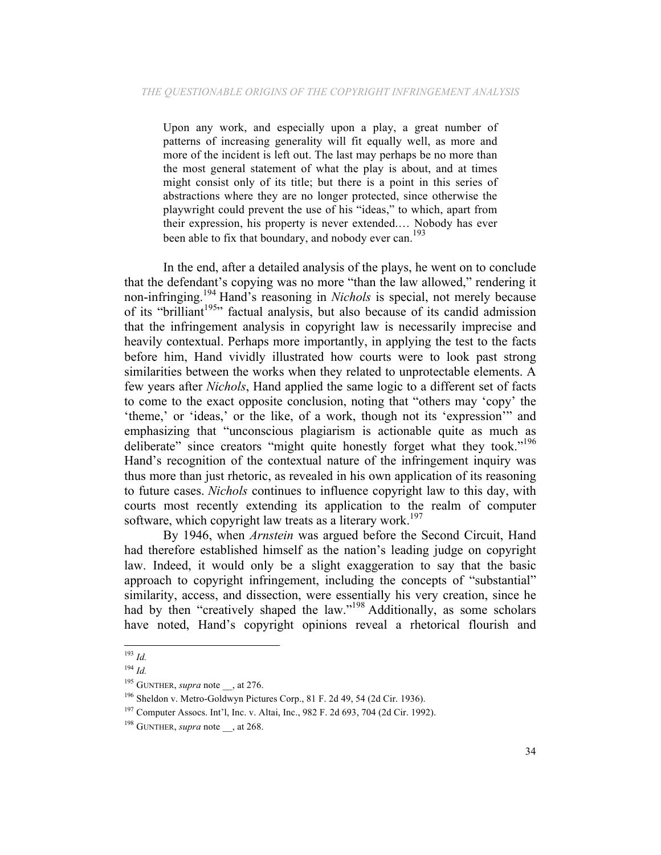Upon any work, and especially upon a play, a great number of patterns of increasing generality will fit equally well, as more and more of the incident is left out. The last may perhaps be no more than the most general statement of what the play is about, and at times might consist only of its title; but there is a point in this series of abstractions where they are no longer protected, since otherwise the playwright could prevent the use of his "ideas," to which, apart from their expression, his property is never extended.… Nobody has ever been able to fix that boundary, and nobody ever can.<sup>193</sup>

In the end, after a detailed analysis of the plays, he went on to conclude that the defendant's copying was no more "than the law allowed," rendering it non-infringing.194 Hand's reasoning in *Nichols* is special, not merely because of its "brilliant<sup>195</sup>" factual analysis, but also because of its candid admission that the infringement analysis in copyright law is necessarily imprecise and heavily contextual. Perhaps more importantly, in applying the test to the facts before him, Hand vividly illustrated how courts were to look past strong similarities between the works when they related to unprotectable elements. A few years after *Nichols*, Hand applied the same logic to a different set of facts to come to the exact opposite conclusion, noting that "others may 'copy' the 'theme,' or 'ideas,' or the like, of a work, though not its 'expression'" and emphasizing that "unconscious plagiarism is actionable quite as much as deliberate" since creators "might quite honestly forget what they took."<sup>196</sup> Hand's recognition of the contextual nature of the infringement inquiry was thus more than just rhetoric, as revealed in his own application of its reasoning to future cases. *Nichols* continues to influence copyright law to this day, with courts most recently extending its application to the realm of computer software, which copyright law treats as a literary work.<sup>197</sup>

By 1946, when *Arnstein* was argued before the Second Circuit, Hand had therefore established himself as the nation's leading judge on copyright law. Indeed, it would only be a slight exaggeration to say that the basic approach to copyright infringement, including the concepts of "substantial" similarity, access, and dissection, were essentially his very creation, since he had by then "creatively shaped the law."<sup>198</sup> Additionally, as some scholars have noted, Hand's copyright opinions reveal a rhetorical flourish and

<sup>193</sup> *Id.*

<sup>194</sup> *Id.*

<sup>&</sup>lt;sup>195</sup> GUNTHER, *supra* note \_\_, at 276.

<sup>196</sup> Sheldon v. Metro-Goldwyn Pictures Corp., 81 F. 2d 49, 54 (2d Cir. 1936).

<sup>197</sup> Computer Assocs. Int'l, Inc. v. Altai, Inc., 982 F. 2d 693, 704 (2d Cir. 1992).

<sup>&</sup>lt;sup>198</sup> GUNTHER, *supra* note , at 268.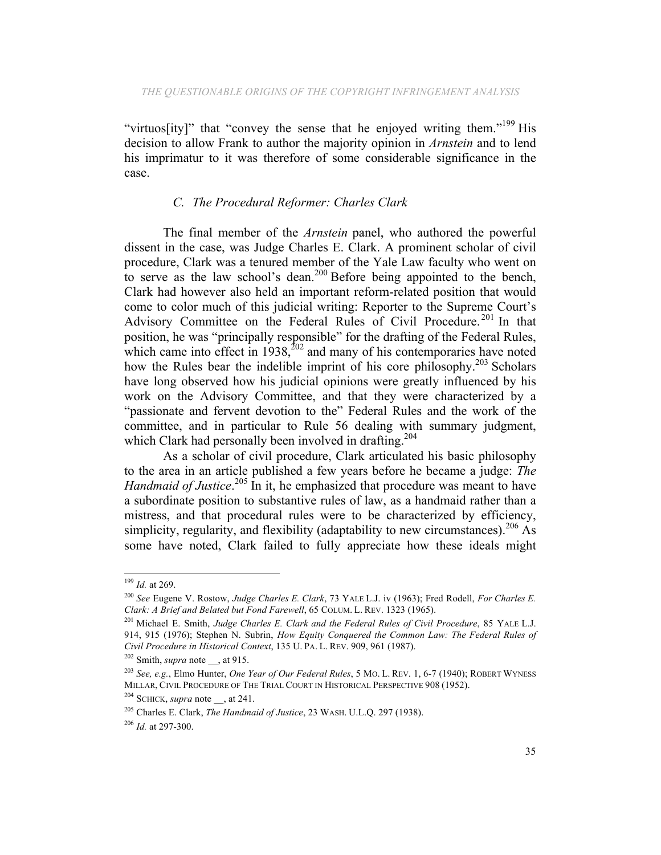"virtuos[ity]" that "convey the sense that he enjoyed writing them."<sup>199</sup> His decision to allow Frank to author the majority opinion in *Arnstein* and to lend his imprimatur to it was therefore of some considerable significance in the case.

# *C. The Procedural Reformer: Charles Clark*

The final member of the *Arnstein* panel, who authored the powerful dissent in the case, was Judge Charles E. Clark. A prominent scholar of civil procedure, Clark was a tenured member of the Yale Law faculty who went on to serve as the law school's dean.<sup>200</sup> Before being appointed to the bench, Clark had however also held an important reform-related position that would come to color much of this judicial writing: Reporter to the Supreme Court's Advisory Committee on the Federal Rules of Civil Procedure.<sup>201</sup> In that position, he was "principally responsible" for the drafting of the Federal Rules, which came into effect in  $1938$ ,  $202$  and many of his contemporaries have noted how the Rules bear the indelible imprint of his core philosophy.<sup>203</sup> Scholars have long observed how his judicial opinions were greatly influenced by his work on the Advisory Committee, and that they were characterized by a "passionate and fervent devotion to the" Federal Rules and the work of the committee, and in particular to Rule 56 dealing with summary judgment, which Clark had personally been involved in drafting.<sup>204</sup>

As a scholar of civil procedure, Clark articulated his basic philosophy to the area in an article published a few years before he became a judge: *The*  Handmaid of Justice.<sup>205</sup> In it, he emphasized that procedure was meant to have a subordinate position to substantive rules of law, as a handmaid rather than a mistress, and that procedural rules were to be characterized by efficiency, simplicity, regularity, and flexibility (adaptability to new circumstances).<sup>206</sup> As some have noted, Clark failed to fully appreciate how these ideals might

 <sup>199</sup> *Id.* at 269.

<sup>200</sup> *See* Eugene V. Rostow, *Judge Charles E. Clark*, 73 YALE L.J. iv (1963); Fred Rodell, *For Charles E. Clark: A Brief and Belated but Fond Farewell*, 65 COLUM. L. REV. 1323 (1965).

<sup>201</sup> Michael E. Smith, *Judge Charles E. Clark and the Federal Rules of Civil Procedure*, 85 YALE L.J. 914, 915 (1976); Stephen N. Subrin, *How Equity Conquered the Common Law: The Federal Rules of Civil Procedure in Historical Context*, 135 U. PA. L. REV. 909, 961 (1987). 202 Smith, *supra* note \_\_, at 915.

<sup>203</sup> *See, e.g.*, Elmo Hunter, *One Year of Our Federal Rules*, 5 MO. L. REV. 1, 6-7 (1940); ROBERT WYNESS MILLAR, CIVIL PROCEDURE OF THE TRIAL COURT IN HISTORICAL PERSPECTIVE 908 (1952).

<sup>204</sup> SCHICK, *supra* note \_\_, at 241.

<sup>205</sup> Charles E. Clark, *The Handmaid of Justice*, 23 WASH. U.L.Q. 297 (1938). 206 *Id.* at 297-300.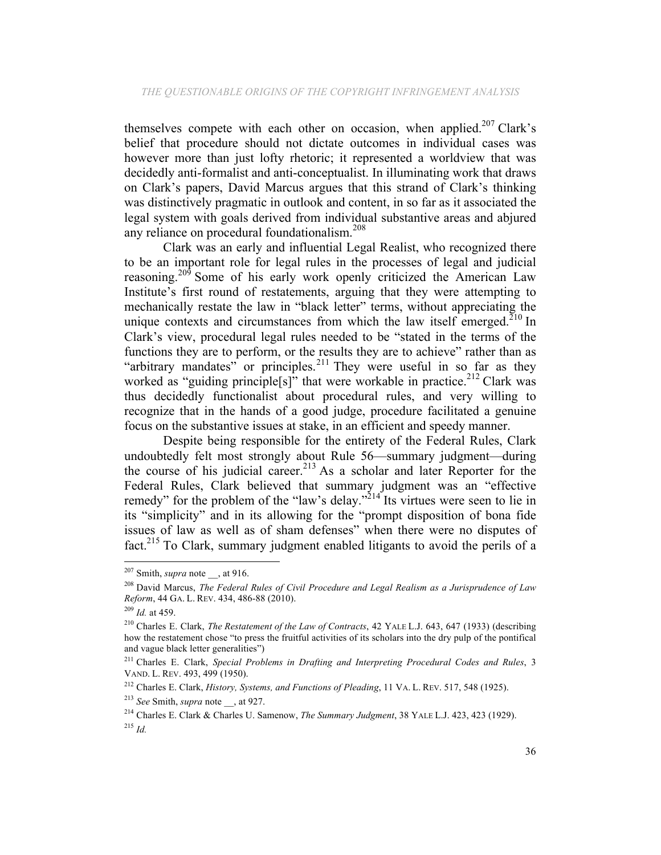themselves compete with each other on occasion, when applied.<sup>207</sup> Clark's belief that procedure should not dictate outcomes in individual cases was however more than just lofty rhetoric; it represented a worldview that was decidedly anti-formalist and anti-conceptualist. In illuminating work that draws on Clark's papers, David Marcus argues that this strand of Clark's thinking was distinctively pragmatic in outlook and content, in so far as it associated the legal system with goals derived from individual substantive areas and abjured any reliance on procedural foundationalism.<sup>208</sup>

Clark was an early and influential Legal Realist, who recognized there to be an important role for legal rules in the processes of legal and judicial reasoning.<sup>209</sup> Some of his early work openly criticized the American Law Institute's first round of restatements, arguing that they were attempting to mechanically restate the law in "black letter" terms, without appreciating the unique contexts and circumstances from which the law itself emerged.<sup>210</sup> In Clark's view, procedural legal rules needed to be "stated in the terms of the functions they are to perform, or the results they are to achieve" rather than as "arbitrary mandates" or principles.<sup>211</sup> They were useful in so far as they worked as "guiding principle[s]" that were workable in practice.<sup>212</sup> Clark was thus decidedly functionalist about procedural rules, and very willing to recognize that in the hands of a good judge, procedure facilitated a genuine focus on the substantive issues at stake, in an efficient and speedy manner.

Despite being responsible for the entirety of the Federal Rules, Clark undoubtedly felt most strongly about Rule 56—summary judgment—during the course of his judicial career.<sup>213</sup> As a scholar and later Reporter for the Federal Rules, Clark believed that summary judgment was an "effective remedy" for the problem of the "law's delay."<sup>214</sup> Its virtues were seen to lie in its "simplicity" and in its allowing for the "prompt disposition of bona fide issues of law as well as of sham defenses" when there were no disputes of fact.215 To Clark, summary judgment enabled litigants to avoid the perils of a

 $207$  Smith, *supra* note  $\alpha$ , at 916.

<sup>208</sup> David Marcus, *The Federal Rules of Civil Procedure and Legal Realism as a Jurisprudence of Law Reform*, 44 GA. L. REV. 434, 486-88 (2010).

<sup>209</sup> *Id.* at 459.

<sup>210</sup> Charles E. Clark, *The Restatement of the Law of Contracts*, 42 YALE L.J. 643, 647 (1933) (describing how the restatement chose "to press the fruitful activities of its scholars into the dry pulp of the pontifical and vague black letter generalities")

<sup>211</sup> Charles E. Clark, *Special Problems in Drafting and Interpreting Procedural Codes and Rules*, 3 VAND. L. REV. 493, 499 (1950).

<sup>212</sup> Charles E. Clark, *History, Systems, and Functions of Pleading*, 11 VA. L. REV. 517, 548 (1925).

<sup>&</sup>lt;sup>213</sup> *See* Smith, *supra* note , at 927.

<sup>214</sup> Charles E. Clark & Charles U. Samenow, *The Summary Judgment*, 38 YALE L.J. 423, 423 (1929). <sup>215</sup> *Id.*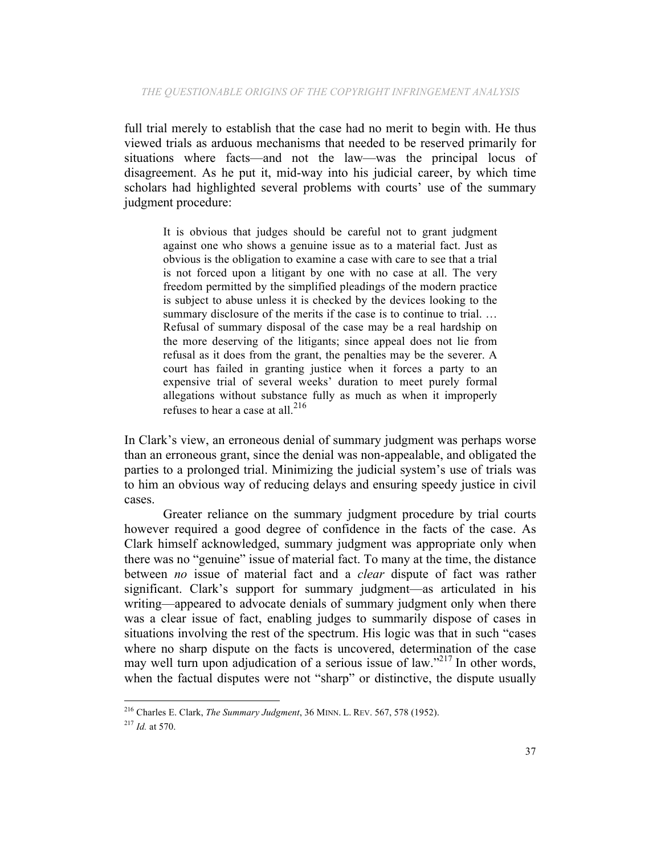full trial merely to establish that the case had no merit to begin with. He thus viewed trials as arduous mechanisms that needed to be reserved primarily for situations where facts—and not the law—was the principal locus of disagreement. As he put it, mid-way into his judicial career, by which time scholars had highlighted several problems with courts' use of the summary judgment procedure:

It is obvious that judges should be careful not to grant judgment against one who shows a genuine issue as to a material fact. Just as obvious is the obligation to examine a case with care to see that a trial is not forced upon a litigant by one with no case at all. The very freedom permitted by the simplified pleadings of the modern practice is subject to abuse unless it is checked by the devices looking to the summary disclosure of the merits if the case is to continue to trial. … Refusal of summary disposal of the case may be a real hardship on the more deserving of the litigants; since appeal does not lie from refusal as it does from the grant, the penalties may be the severer. A court has failed in granting justice when it forces a party to an expensive trial of several weeks' duration to meet purely formal allegations without substance fully as much as when it improperly refuses to hear a case at all.<sup>216</sup>

In Clark's view, an erroneous denial of summary judgment was perhaps worse than an erroneous grant, since the denial was non-appealable, and obligated the parties to a prolonged trial. Minimizing the judicial system's use of trials was to him an obvious way of reducing delays and ensuring speedy justice in civil cases.

Greater reliance on the summary judgment procedure by trial courts however required a good degree of confidence in the facts of the case. As Clark himself acknowledged, summary judgment was appropriate only when there was no "genuine" issue of material fact. To many at the time, the distance between *no* issue of material fact and a *clear* dispute of fact was rather significant. Clark's support for summary judgment—as articulated in his writing—appeared to advocate denials of summary judgment only when there was a clear issue of fact, enabling judges to summarily dispose of cases in situations involving the rest of the spectrum. His logic was that in such "cases where no sharp dispute on the facts is uncovered, determination of the case may well turn upon adjudication of a serious issue of law."<sup>217</sup> In other words, when the factual disputes were not "sharp" or distinctive, the dispute usually

<sup>216</sup> Charles E. Clark, *The Summary Judgment*, 36 MINN. L. REV. 567, 578 (1952).

<sup>217</sup> *Id.* at 570.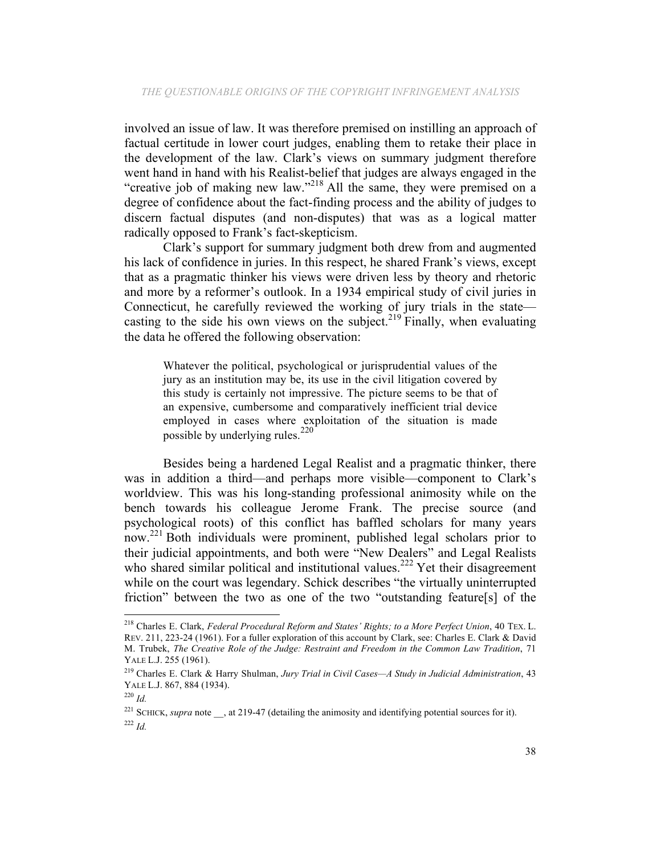involved an issue of law. It was therefore premised on instilling an approach of factual certitude in lower court judges, enabling them to retake their place in the development of the law. Clark's views on summary judgment therefore went hand in hand with his Realist-belief that judges are always engaged in the "creative job of making new law."<sup>218</sup> All the same, they were premised on a degree of confidence about the fact-finding process and the ability of judges to discern factual disputes (and non-disputes) that was as a logical matter radically opposed to Frank's fact-skepticism.

Clark's support for summary judgment both drew from and augmented his lack of confidence in juries. In this respect, he shared Frank's views, except that as a pragmatic thinker his views were driven less by theory and rhetoric and more by a reformer's outlook. In a 1934 empirical study of civil juries in Connecticut, he carefully reviewed the working of jury trials in the state casting to the side his own views on the subject.<sup>219</sup> Finally, when evaluating the data he offered the following observation:

Whatever the political, psychological or jurisprudential values of the jury as an institution may be, its use in the civil litigation covered by this study is certainly not impressive. The picture seems to be that of an expensive, cumbersome and comparatively inefficient trial device employed in cases where exploitation of the situation is made possible by underlying rules.<sup>220</sup>

Besides being a hardened Legal Realist and a pragmatic thinker, there was in addition a third—and perhaps more visible—component to Clark's worldview. This was his long-standing professional animosity while on the bench towards his colleague Jerome Frank. The precise source (and psychological roots) of this conflict has baffled scholars for many years now.<sup>221</sup> Both individuals were prominent, published legal scholars prior to their judicial appointments, and both were "New Dealers" and Legal Realists who shared similar political and institutional values.<sup>222</sup> Yet their disagreement while on the court was legendary. Schick describes "the virtually uninterrupted friction" between the two as one of the two "outstanding feature[s] of the

<sup>218</sup> Charles E. Clark, *Federal Procedural Reform and States' Rights; to a More Perfect Union*, 40 TEX. L. REV. 211, 223-24 (1961). For a fuller exploration of this account by Clark, see: Charles E. Clark & David M. Trubek, *The Creative Role of the Judge: Restraint and Freedom in the Common Law Tradition*, 71 YALE L.J. 255 (1961).

<sup>219</sup> Charles E. Clark & Harry Shulman, *Jury Trial in Civil Cases—A Study in Judicial Administration*, 43 YALE L.J. 867, 884 (1934).

<sup>220</sup> *Id.*

<sup>&</sup>lt;sup>221</sup> SCHICK, *supra* note , at 219-47 (detailing the animosity and identifying potential sources for it). <sup>222</sup> *Id.*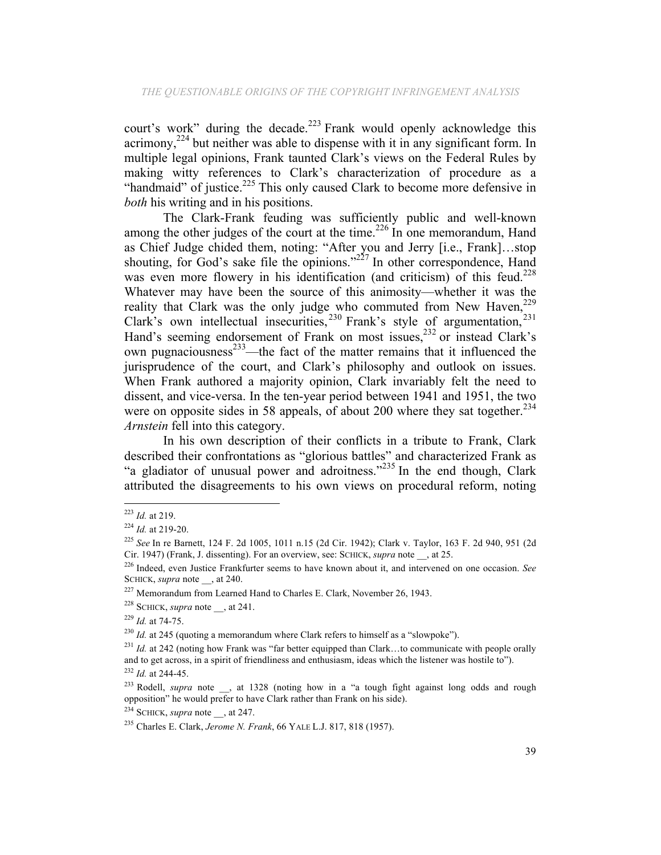court's work" during the decade.<sup>223</sup> Frank would openly acknowledge this acrimony,224 but neither was able to dispense with it in any significant form. In multiple legal opinions, Frank taunted Clark's views on the Federal Rules by making witty references to Clark's characterization of procedure as a "handmaid" of justice.<sup>225</sup> This only caused Clark to become more defensive in *both* his writing and in his positions.

The Clark-Frank feuding was sufficiently public and well-known among the other judges of the court at the time.<sup>226</sup> In one memorandum, Hand as Chief Judge chided them, noting: "After you and Jerry [i.e., Frank]…stop shouting, for God's sake file the opinions." $2^{27}$  In other correspondence, Hand was even more flowery in his identification (and criticism) of this feud.<sup>228</sup> Whatever may have been the source of this animosity—whether it was the reality that Clark was the only judge who commuted from New Haven,<sup>229</sup> Clark's own intellectual insecurities,<sup>230</sup> Frank's style of argumentation,<sup>231</sup> Hand's seeming endorsement of Frank on most issues,<sup>232</sup> or instead Clark's own pugnaciousness $^{233}$ —the fact of the matter remains that it influenced the jurisprudence of the court, and Clark's philosophy and outlook on issues. When Frank authored a majority opinion, Clark invariably felt the need to dissent, and vice-versa. In the ten-year period between 1941 and 1951, the two were on opposite sides in 58 appeals, of about 200 where they sat together.<sup>234</sup> *Arnstein* fell into this category.

In his own description of their conflicts in a tribute to Frank, Clark described their confrontations as "glorious battles" and characterized Frank as "a gladiator of unusual power and adroitness."<sup>235</sup> In the end though, Clark attributed the disagreements to his own views on procedural reform, noting

<sup>223</sup> *Id.* at 219.

<sup>224</sup> *Id.* at 219-20.

<sup>225</sup> *See* In re Barnett, 124 F. 2d 1005, 1011 n.15 (2d Cir. 1942); Clark v. Taylor, 163 F. 2d 940, 951 (2d Cir. 1947) (Frank, J. dissenting). For an overview, see: SCHICK, *supra* note \_\_, at 25.

<sup>226</sup> Indeed, even Justice Frankfurter seems to have known about it, and intervened on one occasion. *See* SCHICK, *supra* note , at 240.

<sup>&</sup>lt;sup>227</sup> Memorandum from Learned Hand to Charles E. Clark, November 26, 1943.

<sup>&</sup>lt;sup>228</sup> SCHICK, *supra* note  $\alpha$ , at 241.

<sup>229</sup> *Id.* at 74-75.

 $^{230}$  *Id.* at 245 (quoting a memorandum where Clark refers to himself as a "slowpoke").

<sup>&</sup>lt;sup>231</sup> *Id.* at 242 (noting how Frank was "far better equipped than Clark...to communicate with people orally and to get across, in a spirit of friendliness and enthusiasm, ideas which the listener was hostile to"). <sup>232</sup> *Id.* at 244-45.

<sup>&</sup>lt;sup>233</sup> Rodell, *supra* note \_\_, at 1328 (noting how in a "a tough fight against long odds and rough opposition" he would prefer to have Clark rather than Frank on his side).

 $^{234}$  SCHICK, *supra* note  $\,$ , at 247.

<sup>235</sup> Charles E. Clark, *Jerome N. Frank*, 66 YALE L.J. 817, 818 (1957).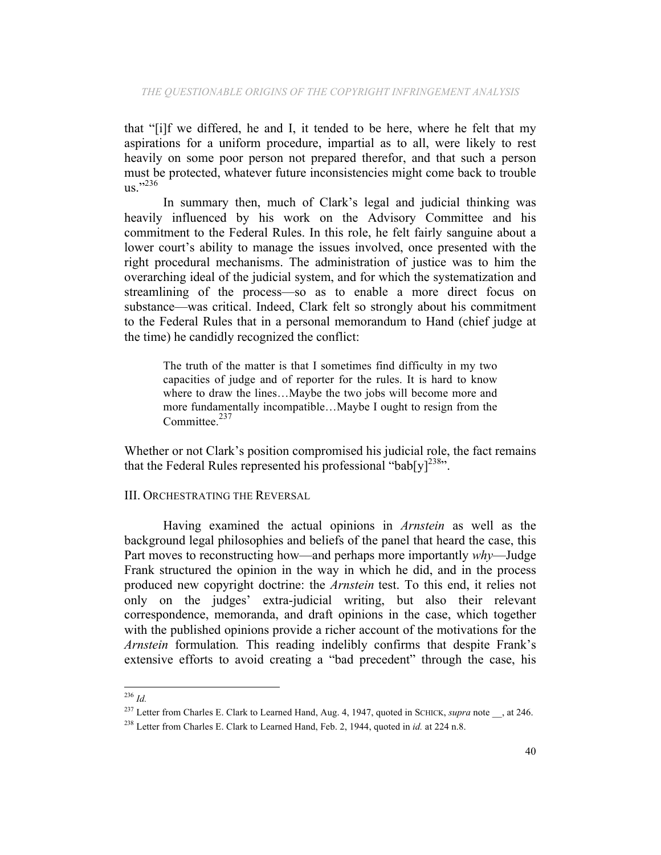that "[i]f we differed, he and I, it tended to be here, where he felt that my aspirations for a uniform procedure, impartial as to all, were likely to rest heavily on some poor person not prepared therefor, and that such a person must be protected, whatever future inconsistencies might come back to trouble us." 236

In summary then, much of Clark's legal and judicial thinking was heavily influenced by his work on the Advisory Committee and his commitment to the Federal Rules. In this role, he felt fairly sanguine about a lower court's ability to manage the issues involved, once presented with the right procedural mechanisms. The administration of justice was to him the overarching ideal of the judicial system, and for which the systematization and streamlining of the process—so as to enable a more direct focus on substance—was critical. Indeed, Clark felt so strongly about his commitment to the Federal Rules that in a personal memorandum to Hand (chief judge at the time) he candidly recognized the conflict:

The truth of the matter is that I sometimes find difficulty in my two capacities of judge and of reporter for the rules. It is hard to know where to draw the lines…Maybe the two jobs will become more and more fundamentally incompatible…Maybe I ought to resign from the Committee $^{237}$ 

Whether or not Clark's position compromised his judicial role, the fact remains that the Federal Rules represented his professional "bab[y]<sup>238</sup>".

III. ORCHESTRATING THE REVERSAL

Having examined the actual opinions in *Arnstein* as well as the background legal philosophies and beliefs of the panel that heard the case, this Part moves to reconstructing how—and perhaps more importantly *why*—Judge Frank structured the opinion in the way in which he did, and in the process produced new copyright doctrine: the *Arnstein* test. To this end, it relies not only on the judges' extra-judicial writing, but also their relevant correspondence, memoranda, and draft opinions in the case, which together with the published opinions provide a richer account of the motivations for the *Arnstein* formulation*.* This reading indelibly confirms that despite Frank's extensive efforts to avoid creating a "bad precedent" through the case, his

 <sup>236</sup> *Id.*

<sup>&</sup>lt;sup>237</sup> Letter from Charles E. Clark to Learned Hand, Aug. 4, 1947, quoted in SCHICK, *supra* note , at 246.

<sup>238</sup> Letter from Charles E. Clark to Learned Hand, Feb. 2, 1944, quoted in *id.* at 224 n.8.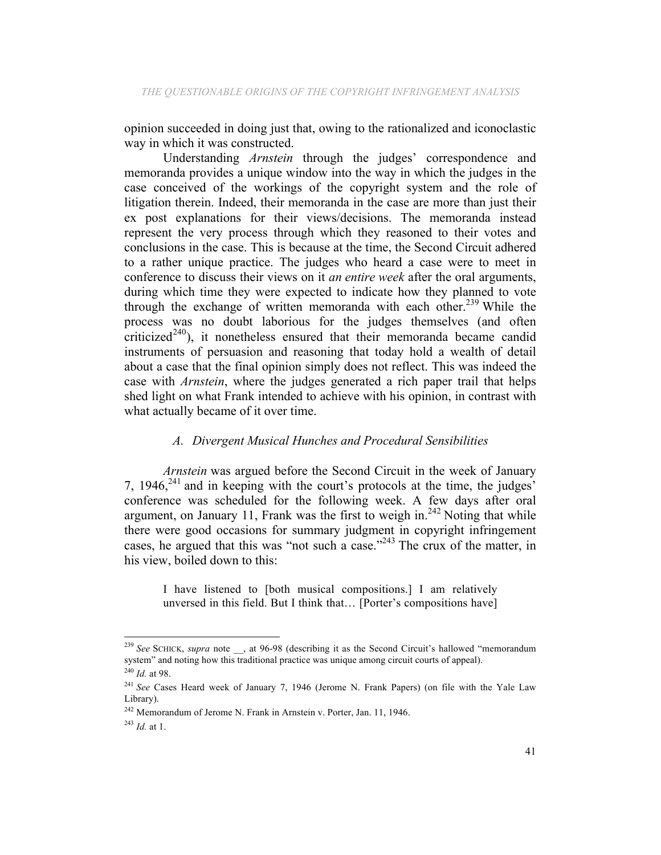opinion succeeded in doing just that, owing to the rationalized and iconoclastic way in which it was constructed.

Understanding *Arnstein* through the judges' correspondence and memoranda provides a unique window into the way in which the judges in the case conceived of the workings of the copyright system and the role of litigation therein. Indeed, their memoranda in the case are more than just their ex post explanations for their views/decisions. The memoranda instead represent the very process through which they reasoned to their votes and conclusions in the case. This is because at the time, the Second Circuit adhered to a rather unique practice. The judges who heard a case were to meet in conference to discuss their views on it *an entire week* after the oral arguments, during which time they were expected to indicate how they planned to vote through the exchange of written memoranda with each other.<sup>239</sup> While the process was no doubt laborious for the judges themselves (and often criticized<sup>240</sup>), it nonetheless ensured that their memoranda became candid instruments of persuasion and reasoning that today hold a wealth of detail about a case that the final opinion simply does not reflect. This was indeed the case with *Arnstein*, where the judges generated a rich paper trail that helps shed light on what Frank intended to achieve with his opinion, in contrast with what actually became of it over time.

# *A. Divergent Musical Hunches and Procedural Sensibilities*

*Arnstein* was argued before the Second Circuit in the week of January 7,  $1946$ <sup>241</sup> and in keeping with the court's protocols at the time, the judges' conference was scheduled for the following week. A few days after oral argument, on January 11, Frank was the first to weigh in.<sup>242</sup> Noting that while there were good occasions for summary judgment in copyright infringement cases, he argued that this was "not such a case." $^{243}$  The crux of the matter, in his view, boiled down to this:

I have listened to [both musical compositions.] I am relatively unversed in this field. But I think that… [Porter's compositions have]

<sup>&</sup>lt;sup>239</sup> See SCHICK, *supra* note \_\_, at 96-98 (describing it as the Second Circuit's hallowed "memorandum" system" and noting how this traditional practice was unique among circuit courts of appeal). <sup>240</sup> *Id.* at 98.

<sup>241</sup> *See* Cases Heard week of January 7, 1946 (Jerome N. Frank Papers) (on file with the Yale Law Library).

<sup>&</sup>lt;sup>242</sup> Memorandum of Jerome N. Frank in Arnstein v. Porter, Jan. 11, 1946.

<sup>243</sup> *Id.* at 1.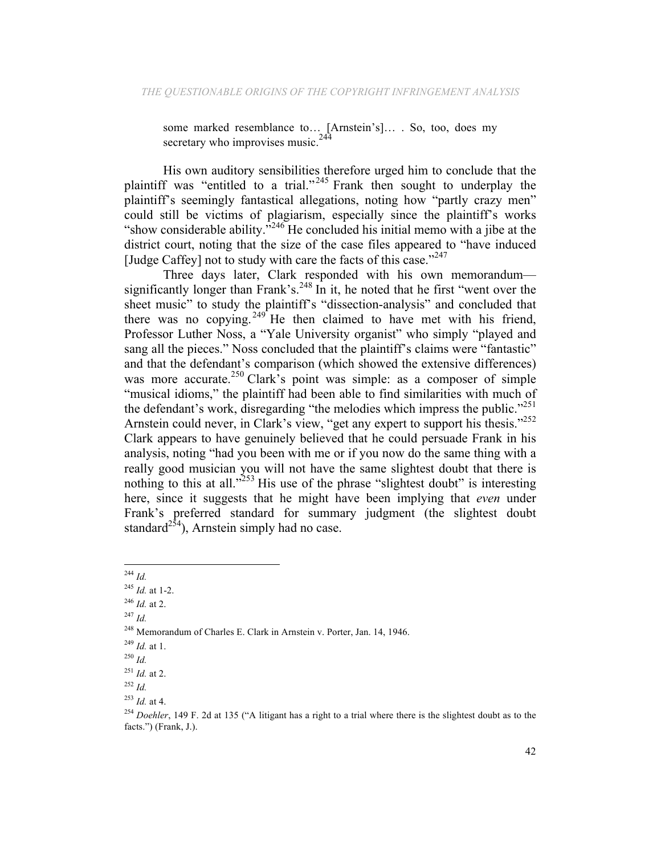some marked resemblance to… [Arnstein's]… . So, too, does my secretary who improvises music.  $244$ 

His own auditory sensibilities therefore urged him to conclude that the plaintiff was "entitled to a trial."<sup>245</sup> Frank then sought to underplay the plaintiff's seemingly fantastical allegations, noting how "partly crazy men" could still be victims of plagiarism, especially since the plaintiff's works "show considerable ability."<sup>246</sup> He concluded his initial memo with a jibe at the district court, noting that the size of the case files appeared to "have induced [Judge Caffey] not to study with care the facts of this case." $247$ 

Three days later, Clark responded with his own memorandum significantly longer than Frank's.<sup>248</sup> In it, he noted that he first "went over the sheet music" to study the plaintiff's "dissection-analysis" and concluded that there was no copying. <sup>249</sup> He then claimed to have met with his friend, Professor Luther Noss, a "Yale University organist" who simply "played and sang all the pieces." Noss concluded that the plaintiff's claims were "fantastic" and that the defendant's comparison (which showed the extensive differences) was more accurate.<sup>250</sup> Clark's point was simple: as a composer of simple "musical idioms," the plaintiff had been able to find similarities with much of the defendant's work, disregarding "the melodies which impress the public."<sup>251</sup> Arnstein could never, in Clark's view, "get any expert to support his thesis."<sup>252</sup> Clark appears to have genuinely believed that he could persuade Frank in his analysis, noting "had you been with me or if you now do the same thing with a really good musician you will not have the same slightest doubt that there is nothing to this at all." $^{253}$  His use of the phrase "slightest doubt" is interesting here, since it suggests that he might have been implying that *even* under Frank's preferred standard for summary judgment (the slightest doubt standard<sup>254</sup>), Arnstein simply had no case.

<sup>244</sup> *Id.*

<sup>245</sup> *Id.* at 1-2.

<sup>246</sup> *Id.* at 2.

<sup>247</sup> *Id.*

<sup>248</sup> Memorandum of Charles E. Clark in Arnstein v. Porter, Jan. 14, 1946.

<sup>249</sup> *Id.* at 1.

<sup>250</sup> *Id.*

<sup>251</sup> *Id.* at 2.

<sup>252</sup> *Id.*

<sup>253</sup> *Id.* at 4.

<sup>&</sup>lt;sup>254</sup> *Doehler*, 149 F. 2d at 135 ("A litigant has a right to a trial where there is the slightest doubt as to the facts.") (Frank, J.).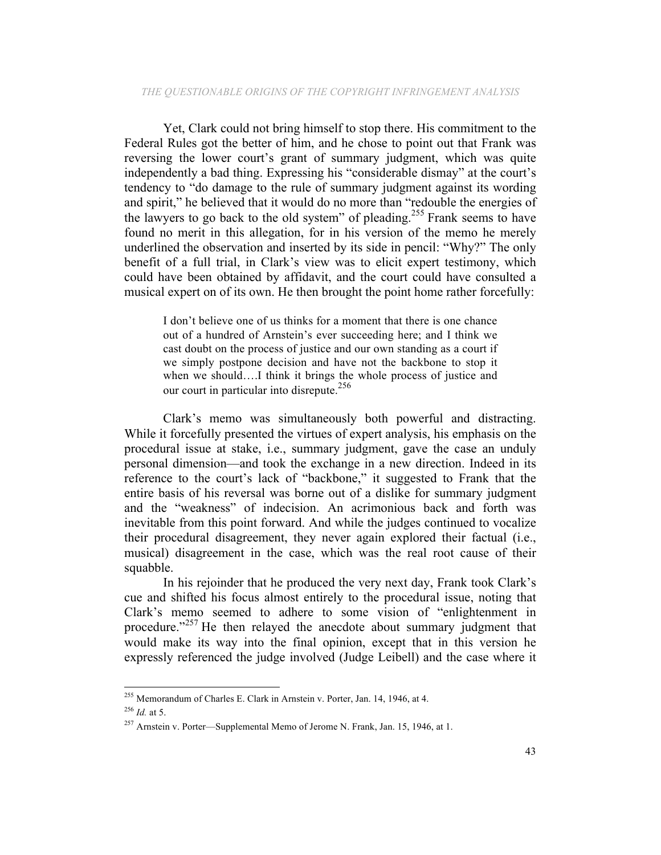Yet, Clark could not bring himself to stop there. His commitment to the Federal Rules got the better of him, and he chose to point out that Frank was reversing the lower court's grant of summary judgment, which was quite independently a bad thing. Expressing his "considerable dismay" at the court's tendency to "do damage to the rule of summary judgment against its wording and spirit," he believed that it would do no more than "redouble the energies of the lawyers to go back to the old system" of pleading.255 Frank seems to have found no merit in this allegation, for in his version of the memo he merely underlined the observation and inserted by its side in pencil: "Why?" The only benefit of a full trial, in Clark's view was to elicit expert testimony, which could have been obtained by affidavit, and the court could have consulted a musical expert on of its own. He then brought the point home rather forcefully:

I don't believe one of us thinks for a moment that there is one chance out of a hundred of Arnstein's ever succeeding here; and I think we cast doubt on the process of justice and our own standing as a court if we simply postpone decision and have not the backbone to stop it when we should….I think it brings the whole process of justice and our court in particular into disrepute.<sup>256</sup>

Clark's memo was simultaneously both powerful and distracting. While it forcefully presented the virtues of expert analysis, his emphasis on the procedural issue at stake, i.e., summary judgment, gave the case an unduly personal dimension—and took the exchange in a new direction. Indeed in its reference to the court's lack of "backbone," it suggested to Frank that the entire basis of his reversal was borne out of a dislike for summary judgment and the "weakness" of indecision. An acrimonious back and forth was inevitable from this point forward. And while the judges continued to vocalize their procedural disagreement, they never again explored their factual (i.e., musical) disagreement in the case, which was the real root cause of their squabble.

In his rejoinder that he produced the very next day, Frank took Clark's cue and shifted his focus almost entirely to the procedural issue, noting that Clark's memo seemed to adhere to some vision of "enlightenment in procedure."<sup>257</sup> He then relayed the anecdote about summary judgment that would make its way into the final opinion, except that in this version he expressly referenced the judge involved (Judge Leibell) and the case where it

 <sup>255</sup> Memorandum of Charles E. Clark in Arnstein v. Porter, Jan. 14, 1946, at 4. <sup>256</sup> *Id.* at 5.

<sup>&</sup>lt;sup>257</sup> Arnstein v. Porter—Supplemental Memo of Jerome N. Frank, Jan. 15, 1946, at 1.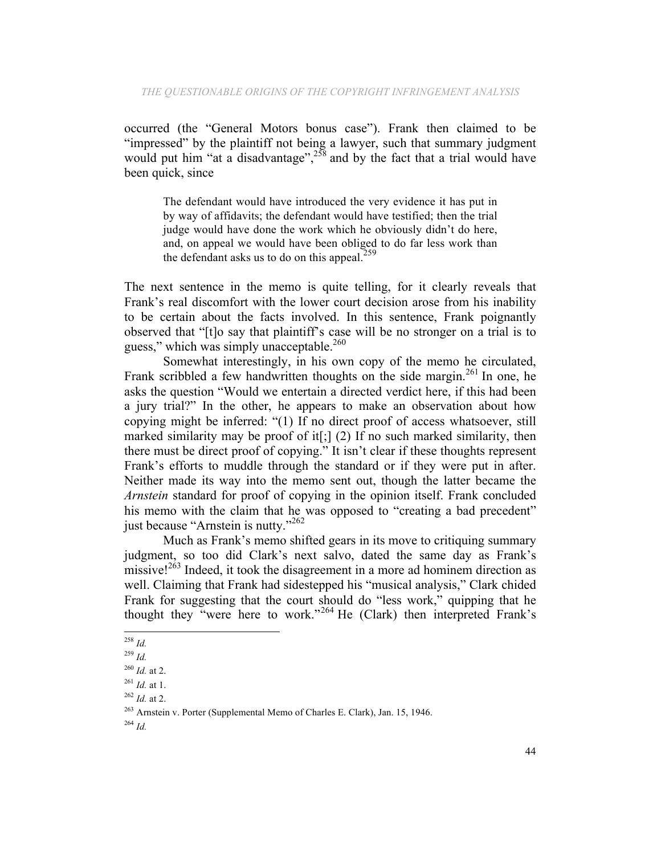occurred (the "General Motors bonus case"). Frank then claimed to be "impressed" by the plaintiff not being a lawyer, such that summary judgment would put him "at a disadvantage", $258$  and by the fact that a trial would have been quick, since

The defendant would have introduced the very evidence it has put in by way of affidavits; the defendant would have testified; then the trial judge would have done the work which he obviously didn't do here, and, on appeal we would have been obliged to do far less work than the defendant asks us to do on this appeal.  $259$ 

The next sentence in the memo is quite telling, for it clearly reveals that Frank's real discomfort with the lower court decision arose from his inability to be certain about the facts involved. In this sentence, Frank poignantly observed that "[t]o say that plaintiff's case will be no stronger on a trial is to guess," which was simply unacceptable. $260$ 

Somewhat interestingly, in his own copy of the memo he circulated, Frank scribbled a few handwritten thoughts on the side margin.<sup>261</sup> In one, he asks the question "Would we entertain a directed verdict here, if this had been a jury trial?" In the other, he appears to make an observation about how copying might be inferred: "(1) If no direct proof of access whatsoever, still marked similarity may be proof of it  $[j]$  (2) If no such marked similarity, then there must be direct proof of copying." It isn't clear if these thoughts represent Frank's efforts to muddle through the standard or if they were put in after. Neither made its way into the memo sent out, though the latter became the *Arnstein* standard for proof of copying in the opinion itself. Frank concluded his memo with the claim that he was opposed to "creating a bad precedent" just because "Arnstein is nutty."<sup>262</sup>

Much as Frank's memo shifted gears in its move to critiquing summary judgment, so too did Clark's next salvo, dated the same day as Frank's missive! $^{263}$  Indeed, it took the disagreement in a more ad hominem direction as well. Claiming that Frank had sidestepped his "musical analysis," Clark chided Frank for suggesting that the court should do "less work," quipping that he thought they "were here to work."<sup>264</sup> He (Clark) then interpreted Frank's

 <sup>258</sup> *Id.*

<sup>259</sup> *Id.*

<sup>260</sup> *Id.* at 2.

<sup>261</sup> *Id.* at 1.

<sup>262</sup> *Id.* at 2.

<sup>263</sup> Arnstein v. Porter (Supplemental Memo of Charles E. Clark), Jan. 15, 1946.

<sup>264</sup> *Id.*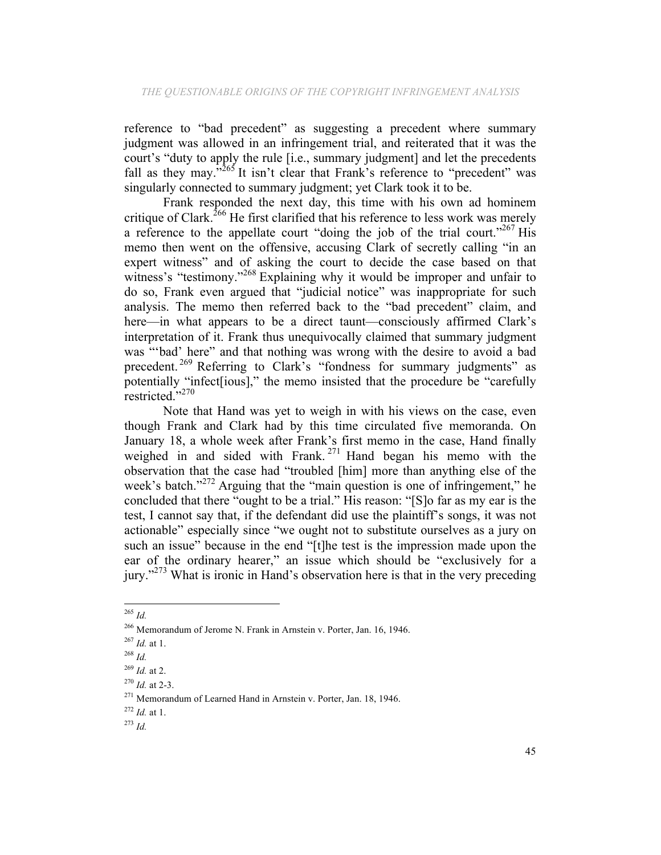reference to "bad precedent" as suggesting a precedent where summary judgment was allowed in an infringement trial, and reiterated that it was the court's "duty to apply the rule [i.e., summary judgment] and let the precedents fall as they may. $^{3265}$  It isn't clear that Frank's reference to "precedent" was singularly connected to summary judgment; yet Clark took it to be.

Frank responded the next day, this time with his own ad hominem critique of Clark.<sup>266</sup> He first clarified that his reference to less work was merely a reference to the appellate court "doing the job of the trial court."<sup>267</sup> His memo then went on the offensive, accusing Clark of secretly calling "in an expert witness" and of asking the court to decide the case based on that witness's "testimony."<sup>268</sup> Explaining why it would be improper and unfair to do so, Frank even argued that "judicial notice" was inappropriate for such analysis. The memo then referred back to the "bad precedent" claim, and here—in what appears to be a direct taunt—consciously affirmed Clark's interpretation of it. Frank thus unequivocally claimed that summary judgment was "'bad' here" and that nothing was wrong with the desire to avoid a bad precedent.<sup>269</sup> Referring to Clark's "fondness for summary judgments" as potentially "infect [jous]," the memo insisted that the procedure be "carefully restricted."<sup>270</sup>

Note that Hand was yet to weigh in with his views on the case, even though Frank and Clark had by this time circulated five memoranda. On January 18, a whole week after Frank's first memo in the case, Hand finally weighed in and sided with Frank.<sup>271</sup> Hand began his memo with the observation that the case had "troubled [him] more than anything else of the week's batch."<sup>272</sup> Arguing that the "main question is one of infringement," he concluded that there "ought to be a trial." His reason: "[S]o far as my ear is the test, I cannot say that, if the defendant did use the plaintiff's songs, it was not actionable" especially since "we ought not to substitute ourselves as a jury on such an issue" because in the end "[t]he test is the impression made upon the ear of the ordinary hearer," an issue which should be "exclusively for a jury."<sup>273</sup> What is ironic in Hand's observation here is that in the very preceding

 <sup>265</sup> *Id.*

<sup>266</sup> Memorandum of Jerome N. Frank in Arnstein v. Porter, Jan. 16, 1946.

<sup>267</sup> *Id.* at 1.

<sup>268</sup> *Id.*

<sup>269</sup> *Id.* at 2.

<sup>270</sup> *Id.* at 2-3.

<sup>271</sup> Memorandum of Learned Hand in Arnstein v. Porter, Jan. 18, 1946.

<sup>272</sup> *Id.* at 1.

<sup>273</sup> *Id.*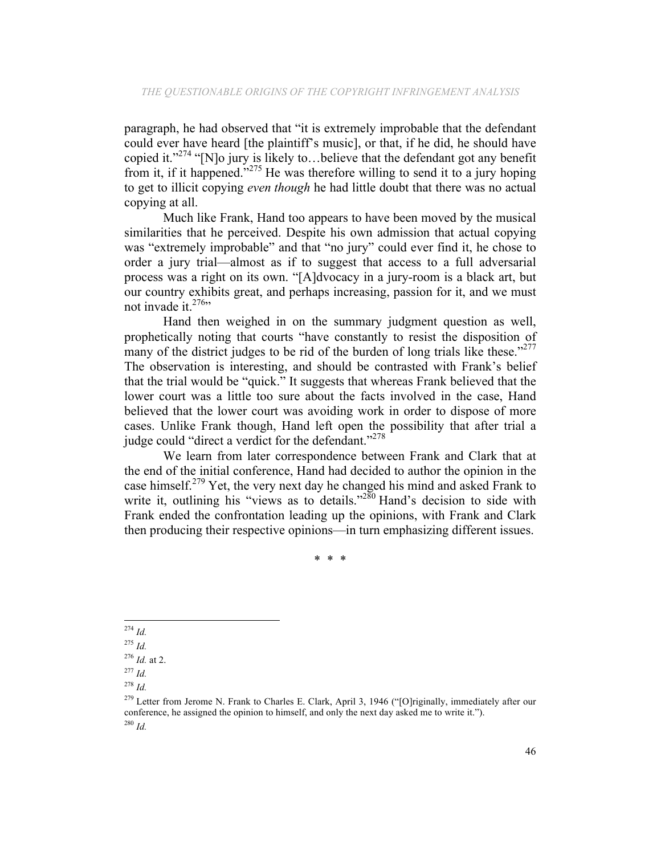paragraph, he had observed that "it is extremely improbable that the defendant could ever have heard [the plaintiff's music], or that, if he did, he should have copied it." $^{274}$  "[N]o jury is likely to...believe that the defendant got any benefit from it, if it happened."<sup>275</sup> He was therefore willing to send it to a jury hoping to get to illicit copying *even though* he had little doubt that there was no actual copying at all.

Much like Frank, Hand too appears to have been moved by the musical similarities that he perceived. Despite his own admission that actual copying was "extremely improbable" and that "no jury" could ever find it, he chose to order a jury trial—almost as if to suggest that access to a full adversarial process was a right on its own. "[A]dvocacy in a jury-room is a black art, but our country exhibits great, and perhaps increasing, passion for it, and we must not invade it. $276$ 

Hand then weighed in on the summary judgment question as well, prophetically noting that courts "have constantly to resist the disposition of many of the district judges to be rid of the burden of long trials like these."<sup>277</sup> The observation is interesting, and should be contrasted with Frank's belief that the trial would be "quick." It suggests that whereas Frank believed that the lower court was a little too sure about the facts involved in the case, Hand believed that the lower court was avoiding work in order to dispose of more cases. Unlike Frank though, Hand left open the possibility that after trial a judge could "direct a verdict for the defendant."<sup>278</sup>

We learn from later correspondence between Frank and Clark that at the end of the initial conference, Hand had decided to author the opinion in the case himself.<sup>279</sup> Yet, the very next day he changed his mind and asked Frank to write it, outlining his "views as to details."<sup>280</sup> Hand's decision to side with Frank ended the confrontation leading up the opinions, with Frank and Clark then producing their respective opinions—in turn emphasizing different issues.

\* \* \*

<sup>274</sup> *Id.*

<sup>275</sup> *Id.*

<sup>276</sup> *Id.* at 2.

<sup>277</sup> *Id.*

<sup>278</sup> *Id.*

<sup>&</sup>lt;sup>279</sup> Letter from Jerome N. Frank to Charles E. Clark, April 3, 1946 ("[O]riginally, immediately after our conference, he assigned the opinion to himself, and only the next day asked me to write it."). <sup>280</sup> *Id.*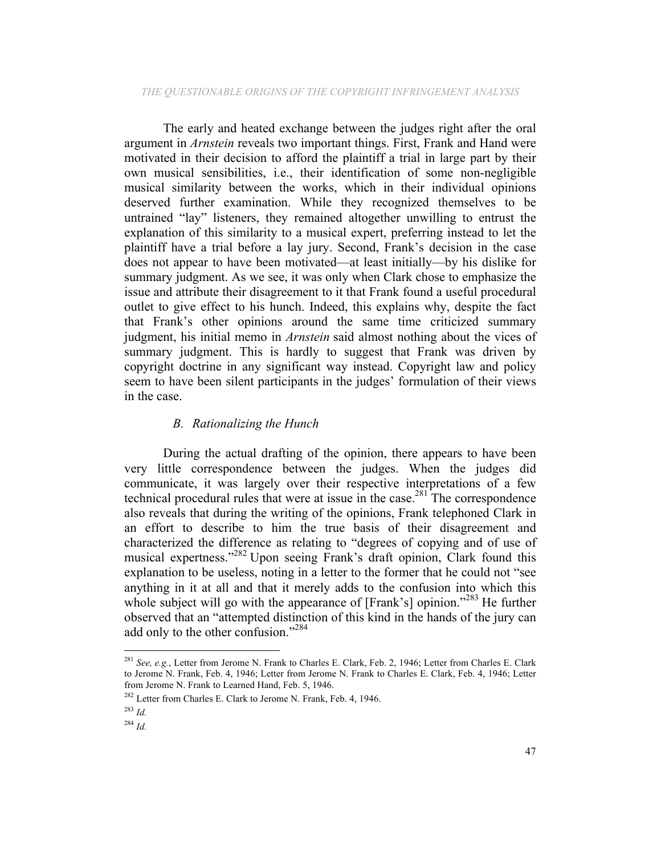The early and heated exchange between the judges right after the oral argument in *Arnstein* reveals two important things. First, Frank and Hand were motivated in their decision to afford the plaintiff a trial in large part by their own musical sensibilities, i.e., their identification of some non-negligible musical similarity between the works, which in their individual opinions deserved further examination. While they recognized themselves to be untrained "lay" listeners, they remained altogether unwilling to entrust the explanation of this similarity to a musical expert, preferring instead to let the plaintiff have a trial before a lay jury. Second, Frank's decision in the case does not appear to have been motivated—at least initially—by his dislike for summary judgment. As we see, it was only when Clark chose to emphasize the issue and attribute their disagreement to it that Frank found a useful procedural outlet to give effect to his hunch. Indeed, this explains why, despite the fact that Frank's other opinions around the same time criticized summary judgment, his initial memo in *Arnstein* said almost nothing about the vices of summary judgment. This is hardly to suggest that Frank was driven by copyright doctrine in any significant way instead. Copyright law and policy seem to have been silent participants in the judges' formulation of their views in the case.

# *B. Rationalizing the Hunch*

During the actual drafting of the opinion, there appears to have been very little correspondence between the judges. When the judges did communicate, it was largely over their respective interpretations of a few technical procedural rules that were at issue in the case.<sup>281</sup> The correspondence also reveals that during the writing of the opinions, Frank telephoned Clark in an effort to describe to him the true basis of their disagreement and characterized the difference as relating to "degrees of copying and of use of musical expertness."282 Upon seeing Frank's draft opinion, Clark found this explanation to be useless, noting in a letter to the former that he could not "see anything in it at all and that it merely adds to the confusion into which this whole subject will go with the appearance of [Frank's] opinion."<sup>283</sup> He further observed that an "attempted distinction of this kind in the hands of the jury can add only to the other confusion."284

<sup>281</sup> *See, e.g.*, Letter from Jerome N. Frank to Charles E. Clark, Feb. 2, 1946; Letter from Charles E. Clark to Jerome N. Frank, Feb. 4, 1946; Letter from Jerome N. Frank to Charles E. Clark, Feb. 4, 1946; Letter from Jerome N. Frank to Learned Hand, Feb. 5, 1946.

<sup>282</sup> Letter from Charles E. Clark to Jerome N. Frank, Feb. 4, 1946.

<sup>283</sup> *Id.*

<sup>284</sup> *Id.*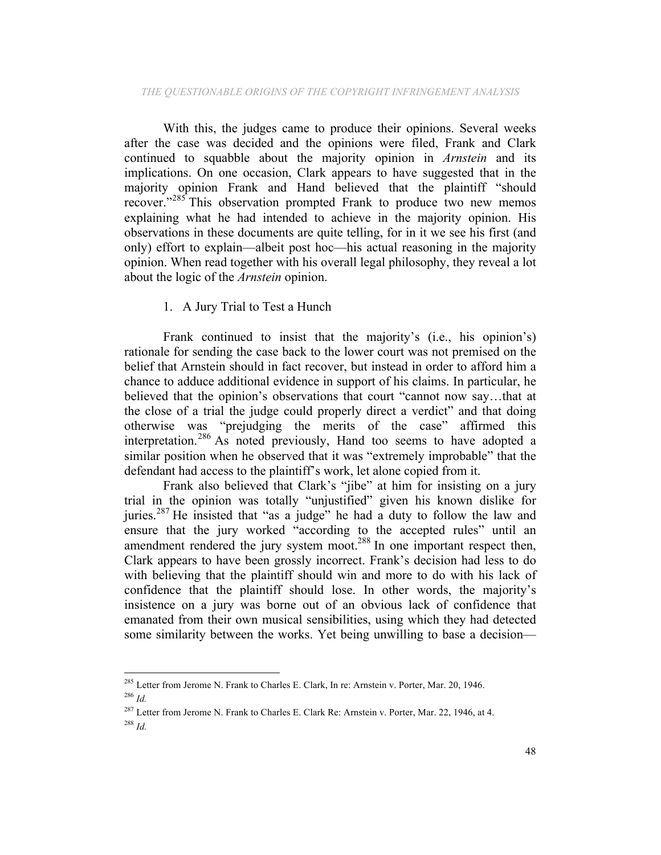With this, the judges came to produce their opinions. Several weeks after the case was decided and the opinions were filed, Frank and Clark continued to squabble about the majority opinion in *Arnstein* and its implications. On one occasion, Clark appears to have suggested that in the majority opinion Frank and Hand believed that the plaintiff "should recover."<sup>285</sup> This observation prompted Frank to produce two new memos explaining what he had intended to achieve in the majority opinion. His observations in these documents are quite telling, for in it we see his first (and only) effort to explain—albeit post hoc—his actual reasoning in the majority opinion. When read together with his overall legal philosophy, they reveal a lot about the logic of the *Arnstein* opinion.

### 1. A Jury Trial to Test a Hunch

Frank continued to insist that the majority's (i.e., his opinion's) rationale for sending the case back to the lower court was not premised on the belief that Arnstein should in fact recover, but instead in order to afford him a chance to adduce additional evidence in support of his claims. In particular, he believed that the opinion's observations that court "cannot now say…that at the close of a trial the judge could properly direct a verdict" and that doing otherwise was "prejudging the merits of the case" affirmed this interpretation.<sup>286</sup> As noted previously, Hand too seems to have adopted a similar position when he observed that it was "extremely improbable" that the defendant had access to the plaintiff's work, let alone copied from it.

Frank also believed that Clark's "jibe" at him for insisting on a jury trial in the opinion was totally "unjustified" given his known dislike for juries.<sup>287</sup> He insisted that "as a judge" he had a duty to follow the law and ensure that the jury worked "according to the accepted rules" until an amendment rendered the jury system moot.<sup>288</sup> In one important respect then, Clark appears to have been grossly incorrect. Frank's decision had less to do with believing that the plaintiff should win and more to do with his lack of confidence that the plaintiff should lose. In other words, the majority's insistence on a jury was borne out of an obvious lack of confidence that emanated from their own musical sensibilities, using which they had detected some similarity between the works. Yet being unwilling to base a decision—

<sup>&</sup>lt;sup>285</sup> Letter from Jerome N. Frank to Charles E. Clark, In re: Arnstein v. Porter, Mar. 20, 1946. <sup>286</sup> *Id.*

<sup>&</sup>lt;sup>287</sup> Letter from Jerome N. Frank to Charles E. Clark Re: Arnstein v. Porter, Mar. 22, 1946, at 4. <sup>288</sup> *Id.*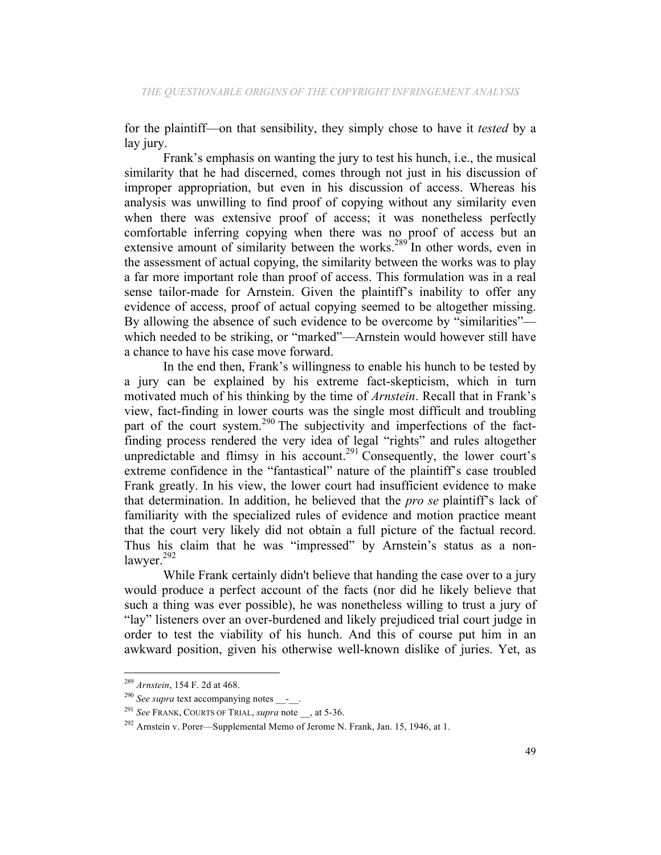for the plaintiff—on that sensibility, they simply chose to have it *tested* by a lay jury.

Frank's emphasis on wanting the jury to test his hunch, i.e., the musical similarity that he had discerned, comes through not just in his discussion of improper appropriation, but even in his discussion of access. Whereas his analysis was unwilling to find proof of copying without any similarity even when there was extensive proof of access; it was nonetheless perfectly comfortable inferring copying when there was no proof of access but an extensive amount of similarity between the works.<sup>289</sup> In other words, even in the assessment of actual copying, the similarity between the works was to play a far more important role than proof of access. This formulation was in a real sense tailor-made for Arnstein. Given the plaintiff's inability to offer any evidence of access, proof of actual copying seemed to be altogether missing. By allowing the absence of such evidence to be overcome by "similarities" which needed to be striking, or "marked"—Arnstein would however still have a chance to have his case move forward.

In the end then, Frank's willingness to enable his hunch to be tested by a jury can be explained by his extreme fact-skepticism, which in turn motivated much of his thinking by the time of *Arnstein*. Recall that in Frank's view, fact-finding in lower courts was the single most difficult and troubling part of the court system.<sup>290</sup> The subjectivity and imperfections of the factfinding process rendered the very idea of legal "rights" and rules altogether unpredictable and flimsy in his account.<sup>291</sup> Consequently, the lower court's extreme confidence in the "fantastical" nature of the plaintiff's case troubled Frank greatly. In his view, the lower court had insufficient evidence to make that determination. In addition, he believed that the *pro se* plaintiff's lack of familiarity with the specialized rules of evidence and motion practice meant that the court very likely did not obtain a full picture of the factual record. Thus his claim that he was "impressed" by Arnstein's status as a nonlawyer.<sup>292</sup>

While Frank certainly didn't believe that handing the case over to a jury would produce a perfect account of the facts (nor did he likely believe that such a thing was ever possible), he was nonetheless willing to trust a jury of "lay" listeners over an over-burdened and likely prejudiced trial court judge in order to test the viability of his hunch. And this of course put him in an awkward position, given his otherwise well-known dislike of juries. Yet, as

<sup>289</sup> *Arnstein*, 154 F. 2d at 468.

<sup>&</sup>lt;sup>290</sup> See supra text accompanying notes \_\_-\_.

<sup>291</sup> *See* FRANK, COURTS OF TRIAL, *supra* note \_\_, at 5-36.

 $292$  Arnstein v. Porer—Supplemental Memo of Jerome N. Frank, Jan. 15, 1946, at 1.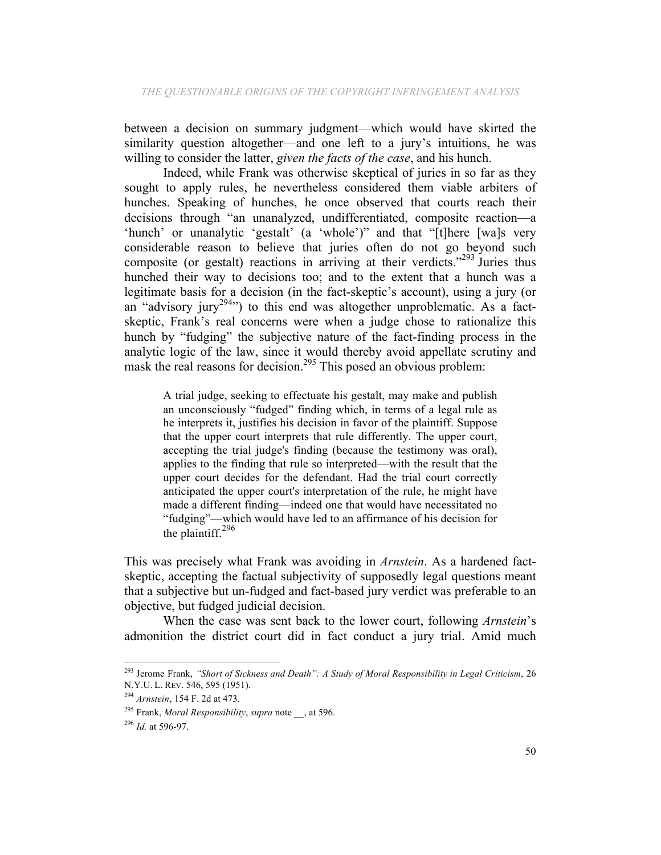between a decision on summary judgment—which would have skirted the similarity question altogether—and one left to a jury's intuitions, he was willing to consider the latter, *given the facts of the case*, and his hunch.

Indeed, while Frank was otherwise skeptical of juries in so far as they sought to apply rules, he nevertheless considered them viable arbiters of hunches. Speaking of hunches, he once observed that courts reach their decisions through "an unanalyzed, undifferentiated, composite reaction—a 'hunch' or unanalytic 'gestalt' (a 'whole')" and that "[t]here [wa]s very considerable reason to believe that juries often do not go beyond such composite (or gestalt) reactions in arriving at their verdicts."<sup>293</sup> Juries thus hunched their way to decisions too; and to the extent that a hunch was a legitimate basis for a decision (in the fact-skeptic's account), using a jury (or an "advisory jury<sup>294</sup>") to this end was altogether unproblematic. As a factskeptic, Frank's real concerns were when a judge chose to rationalize this hunch by "fudging" the subjective nature of the fact-finding process in the analytic logic of the law, since it would thereby avoid appellate scrutiny and mask the real reasons for decision.<sup>295</sup> This posed an obvious problem:

A trial judge, seeking to effectuate his gestalt, may make and publish an unconsciously "fudged" finding which, in terms of a legal rule as he interprets it, justifies his decision in favor of the plaintiff. Suppose that the upper court interprets that rule differently. The upper court, accepting the trial judge's finding (because the testimony was oral), applies to the finding that rule so interpreted—with the result that the upper court decides for the defendant. Had the trial court correctly anticipated the upper court's interpretation of the rule, he might have made a different finding—indeed one that would have necessitated no "fudging"—which would have led to an affirmance of his decision for the plaintiff. $296$ 

This was precisely what Frank was avoiding in *Arnstein*. As a hardened factskeptic, accepting the factual subjectivity of supposedly legal questions meant that a subjective but un-fudged and fact-based jury verdict was preferable to an objective, but fudged judicial decision.

When the case was sent back to the lower court, following *Arnstein*'s admonition the district court did in fact conduct a jury trial. Amid much

<sup>293</sup> Jerome Frank, *"Short of Sickness and Death": A Study of Moral Responsibility in Legal Criticism*, 26 N.Y.U. L. REV. 546, 595 (1951).

<sup>294</sup> *Arnstein*, 154 F. 2d at 473.

<sup>295</sup> Frank, *Moral Responsibility*, *supra* note \_\_, at 596.

<sup>296</sup> *Id.* at 596-97.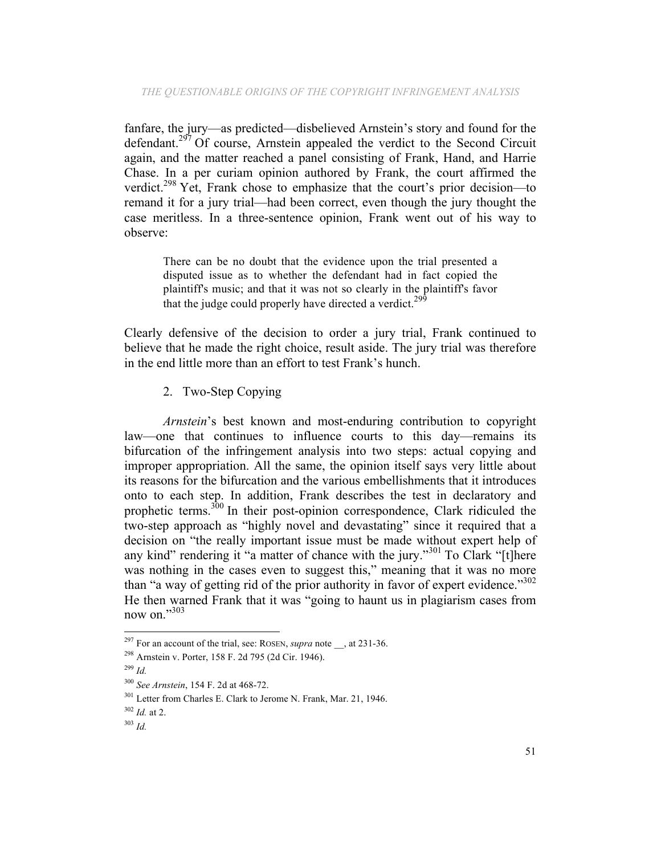fanfare, the jury—as predicted—disbelieved Arnstein's story and found for the defendant.<sup>297</sup> Of course, Arnstein appealed the verdict to the Second Circuit again, and the matter reached a panel consisting of Frank, Hand, and Harrie Chase. In a per curiam opinion authored by Frank, the court affirmed the verdict.298 Yet, Frank chose to emphasize that the court's prior decision—to remand it for a jury trial—had been correct, even though the jury thought the case meritless. In a three-sentence opinion, Frank went out of his way to observe:

There can be no doubt that the evidence upon the trial presented a disputed issue as to whether the defendant had in fact copied the plaintiff's music; and that it was not so clearly in the plaintiff's favor that the judge could properly have directed a verdict.<sup>29</sup>

Clearly defensive of the decision to order a jury trial, Frank continued to believe that he made the right choice, result aside. The jury trial was therefore in the end little more than an effort to test Frank's hunch.

2. Two-Step Copying

*Arnstein*'s best known and most-enduring contribution to copyright law—one that continues to influence courts to this day—remains its bifurcation of the infringement analysis into two steps: actual copying and improper appropriation. All the same, the opinion itself says very little about its reasons for the bifurcation and the various embellishments that it introduces onto to each step. In addition, Frank describes the test in declaratory and prophetic terms.<sup>300</sup> In their post-opinion correspondence, Clark ridiculed the two-step approach as "highly novel and devastating" since it required that a decision on "the really important issue must be made without expert help of any kind" rendering it "a matter of chance with the jury."<sup>301</sup> To Clark "[t]here was nothing in the cases even to suggest this," meaning that it was no more than "a way of getting rid of the prior authority in favor of expert evidence."<sup>302</sup> He then warned Frank that it was "going to haunt us in plagiarism cases from now on."303

<sup>&</sup>lt;sup>297</sup> For an account of the trial, see: ROSEN, *supra* note \_\_, at 231-36.

<sup>298</sup> Arnstein v. Porter, 158 F. 2d 795 (2d Cir. 1946).

<sup>299</sup> *Id.*

<sup>300</sup> *See Arnstein*, 154 F. 2d at 468-72.

<sup>301</sup> Letter from Charles E. Clark to Jerome N. Frank, Mar. 21, 1946.

<sup>302</sup> *Id.* at 2.

<sup>303</sup> *Id.*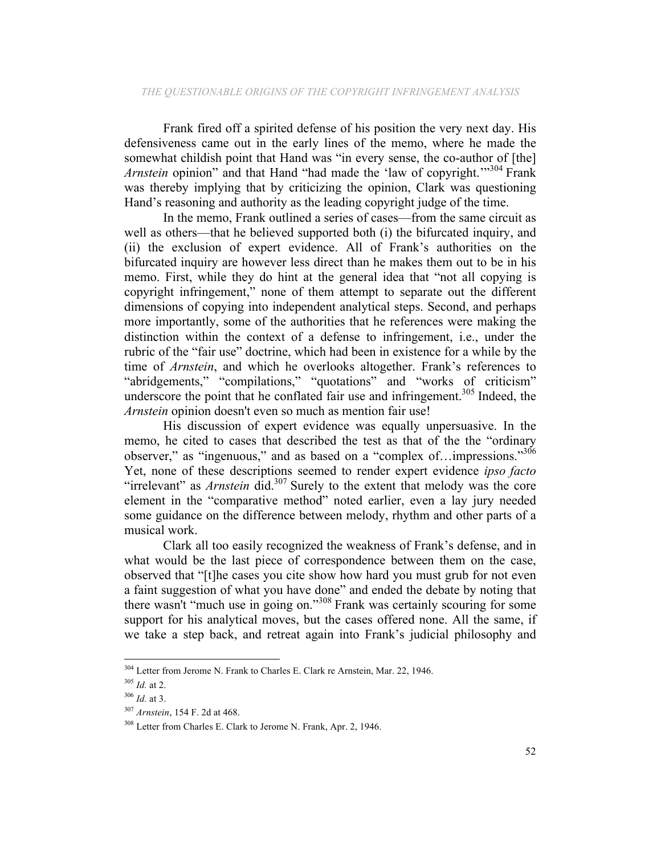Frank fired off a spirited defense of his position the very next day. His defensiveness came out in the early lines of the memo, where he made the somewhat childish point that Hand was "in every sense, the co-author of [the] *Arnstein* opinion" and that Hand "had made the 'law of copyright."<sup>304</sup> Frank was thereby implying that by criticizing the opinion, Clark was questioning Hand's reasoning and authority as the leading copyright judge of the time.

In the memo, Frank outlined a series of cases—from the same circuit as well as others—that he believed supported both (i) the bifurcated inquiry, and (ii) the exclusion of expert evidence. All of Frank's authorities on the bifurcated inquiry are however less direct than he makes them out to be in his memo. First, while they do hint at the general idea that "not all copying is copyright infringement," none of them attempt to separate out the different dimensions of copying into independent analytical steps. Second, and perhaps more importantly, some of the authorities that he references were making the distinction within the context of a defense to infringement, i.e., under the rubric of the "fair use" doctrine, which had been in existence for a while by the time of *Arnstein*, and which he overlooks altogether. Frank's references to "abridgements," "compilations," "quotations" and "works of criticism" underscore the point that he conflated fair use and infringement.<sup>305</sup> Indeed, the *Arnstein* opinion doesn't even so much as mention fair use!

His discussion of expert evidence was equally unpersuasive. In the memo, he cited to cases that described the test as that of the the "ordinary observer," as "ingenuous," and as based on a "complex of...impressions."<sup>306</sup> Yet, none of these descriptions seemed to render expert evidence *ipso facto* "irrelevant" as *Arnstein* did.307 Surely to the extent that melody was the core element in the "comparative method" noted earlier, even a lay jury needed some guidance on the difference between melody, rhythm and other parts of a musical work.

Clark all too easily recognized the weakness of Frank's defense, and in what would be the last piece of correspondence between them on the case, observed that "[t]he cases you cite show how hard you must grub for not even a faint suggestion of what you have done" and ended the debate by noting that there wasn't "much use in going on."<sup>308</sup> Frank was certainly scouring for some support for his analytical moves, but the cases offered none. All the same, if we take a step back, and retreat again into Frank's judicial philosophy and

<sup>&</sup>lt;sup>304</sup> Letter from Jerome N. Frank to Charles E. Clark re Arnstein, Mar. 22, 1946.

<sup>305</sup> *Id.* at 2.

<sup>306</sup> *Id.* at 3.

<sup>307</sup> *Arnstein*, 154 F. 2d at 468.

<sup>308</sup> Letter from Charles E. Clark to Jerome N. Frank, Apr. 2, 1946.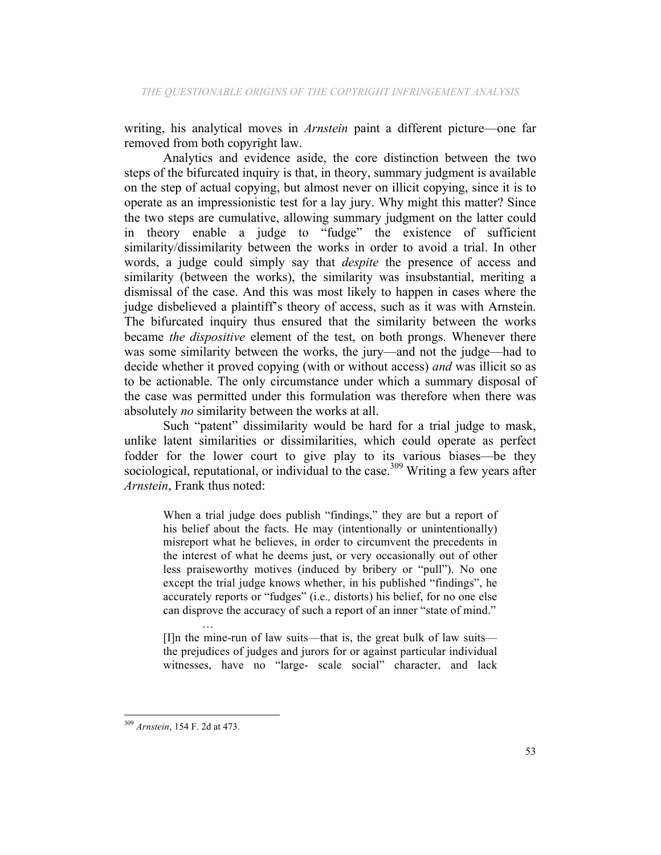writing, his analytical moves in *Arnstein* paint a different picture—one far removed from both copyright law.

Analytics and evidence aside, the core distinction between the two steps of the bifurcated inquiry is that, in theory, summary judgment is available on the step of actual copying, but almost never on illicit copying, since it is to operate as an impressionistic test for a lay jury. Why might this matter? Since the two steps are cumulative, allowing summary judgment on the latter could in theory enable a judge to "fudge" the existence of sufficient similarity/dissimilarity between the works in order to avoid a trial. In other words, a judge could simply say that *despite* the presence of access and similarity (between the works), the similarity was insubstantial, meriting a dismissal of the case. And this was most likely to happen in cases where the judge disbelieved a plaintiff's theory of access, such as it was with Arnstein. The bifurcated inquiry thus ensured that the similarity between the works became *the dispositive* element of the test, on both prongs. Whenever there was some similarity between the works, the jury—and not the judge—had to decide whether it proved copying (with or without access) *and* was illicit so as to be actionable. The only circumstance under which a summary disposal of the case was permitted under this formulation was therefore when there was absolutely *no* similarity between the works at all.

Such "patent" dissimilarity would be hard for a trial judge to mask, unlike latent similarities or dissimilarities, which could operate as perfect fodder for the lower court to give play to its various biases—be they sociological, reputational, or individual to the case.<sup>309</sup> Writing a few years after *Arnstein*, Frank thus noted:

When a trial judge does publish "findings," they are but a report of his belief about the facts. He may (intentionally or unintentionally) misreport what he believes, in order to circumvent the precedents in the interest of what he deems just, or very occasionally out of other less praiseworthy motives (induced by bribery or "pull"). No one except the trial judge knows whether, in his published "findings", he accurately reports or "fudges" (i.e.*,* distorts) his belief, for no one else can disprove the accuracy of such a report of an inner "state of mind."

… [I]n the mine-run of law suits—that is, the great bulk of law suits the prejudices of judges and jurors for or against particular individual witnesses, have no "large- scale social" character, and lack

 <sup>309</sup> *Arnstein*, 154 F. 2d at 473.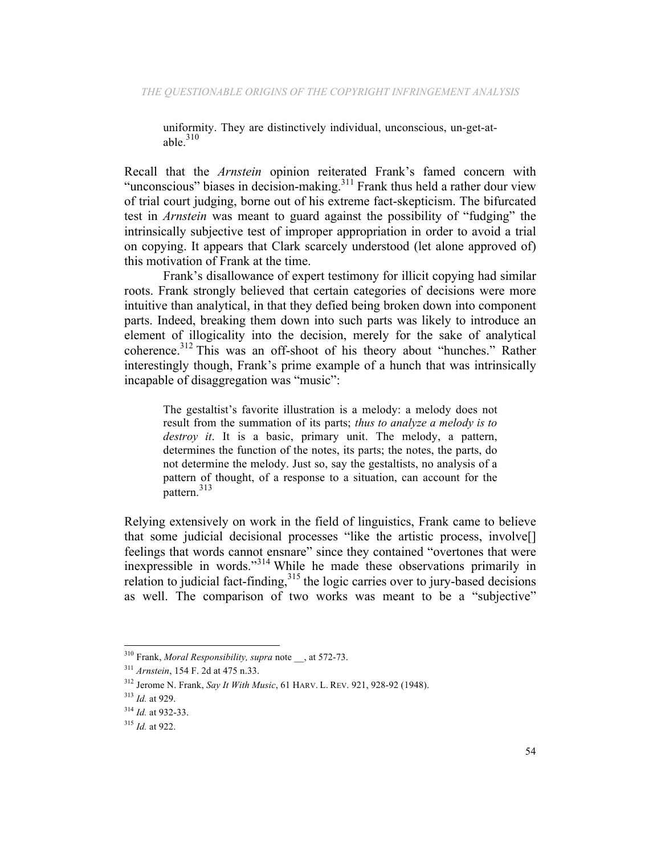uniformity. They are distinctively individual, unconscious, un-get-atable  $310$ 

Recall that the *Arnstein* opinion reiterated Frank's famed concern with "unconscious" biases in decision-making.<sup>311</sup> Frank thus held a rather dour view of trial court judging, borne out of his extreme fact-skepticism. The bifurcated test in *Arnstein* was meant to guard against the possibility of "fudging" the intrinsically subjective test of improper appropriation in order to avoid a trial on copying. It appears that Clark scarcely understood (let alone approved of) this motivation of Frank at the time.

Frank's disallowance of expert testimony for illicit copying had similar roots. Frank strongly believed that certain categories of decisions were more intuitive than analytical, in that they defied being broken down into component parts. Indeed, breaking them down into such parts was likely to introduce an element of illogicality into the decision, merely for the sake of analytical coherence.<sup>312</sup> This was an off-shoot of his theory about "hunches." Rather interestingly though, Frank's prime example of a hunch that was intrinsically incapable of disaggregation was "music":

The gestaltist's favorite illustration is a melody: a melody does not result from the summation of its parts; *thus to analyze a melody is to destroy it*. It is a basic, primary unit. The melody, a pattern, determines the function of the notes, its parts; the notes, the parts, do not determine the melody. Just so, say the gestaltists, no analysis of a pattern of thought, of a response to a situation, can account for the pattern.<sup>313</sup>

Relying extensively on work in the field of linguistics, Frank came to believe that some judicial decisional processes "like the artistic process, involve[] feelings that words cannot ensnare" since they contained "overtones that were inexpressible in words."<sup>314</sup> While he made these observations primarily in relation to judicial fact-finding,<sup>315</sup> the logic carries over to jury-based decisions as well. The comparison of two works was meant to be a "subjective"

<sup>310</sup> Frank, *Moral Responsibility, supra* note \_\_, at 572-73.

<sup>311</sup> *Arnstein*, 154 F. 2d at 475 n.33.

<sup>312</sup> Jerome N. Frank, *Say It With Music*, 61 HARV. L. REV. 921, 928-92 (1948).

<sup>313</sup> *Id.* at 929.

<sup>314</sup> *Id.* at 932-33.

<sup>315</sup> *Id.* at 922.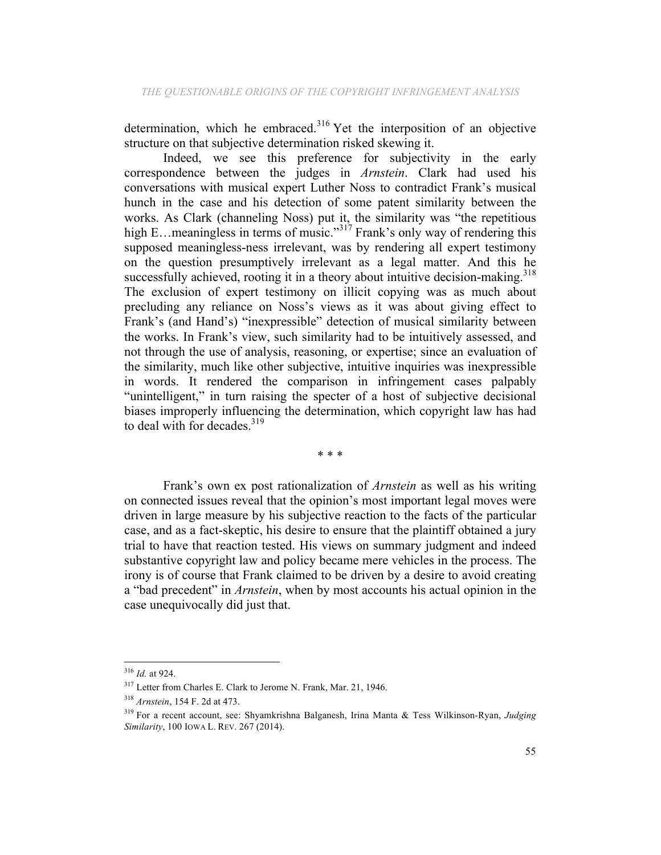determination, which he embraced.<sup>316</sup> Yet the interposition of an objective structure on that subjective determination risked skewing it.

Indeed, we see this preference for subjectivity in the early correspondence between the judges in *Arnstein*. Clark had used his conversations with musical expert Luther Noss to contradict Frank's musical hunch in the case and his detection of some patent similarity between the works. As Clark (channeling Noss) put it, the similarity was "the repetitious high E…meaningless in terms of music."<sup>317</sup> Frank's only way of rendering this supposed meaningless-ness irrelevant, was by rendering all expert testimony on the question presumptively irrelevant as a legal matter. And this he successfully achieved, rooting it in a theory about intuitive decision-making.<sup>318</sup> The exclusion of expert testimony on illicit copying was as much about precluding any reliance on Noss's views as it was about giving effect to Frank's (and Hand's) "inexpressible" detection of musical similarity between the works. In Frank's view, such similarity had to be intuitively assessed, and not through the use of analysis, reasoning, or expertise; since an evaluation of the similarity, much like other subjective, intuitive inquiries was inexpressible in words. It rendered the comparison in infringement cases palpably "unintelligent," in turn raising the specter of a host of subjective decisional biases improperly influencing the determination, which copyright law has had to deal with for decades.<sup>319</sup>

\* \* \*

Frank's own ex post rationalization of *Arnstein* as well as his writing on connected issues reveal that the opinion's most important legal moves were driven in large measure by his subjective reaction to the facts of the particular case, and as a fact-skeptic, his desire to ensure that the plaintiff obtained a jury trial to have that reaction tested. His views on summary judgment and indeed substantive copyright law and policy became mere vehicles in the process. The irony is of course that Frank claimed to be driven by a desire to avoid creating a "bad precedent" in *Arnstein*, when by most accounts his actual opinion in the case unequivocally did just that.

<sup>316</sup> *Id.* at 924.

<sup>317</sup> Letter from Charles E. Clark to Jerome N. Frank, Mar. 21, 1946.

<sup>318</sup> *Arnstein*, 154 F. 2d at 473.

<sup>319</sup> For a recent account, see: Shyamkrishna Balganesh, Irina Manta & Tess Wilkinson-Ryan, *Judging Similarity*, 100 IOWA L. REV. 267 (2014).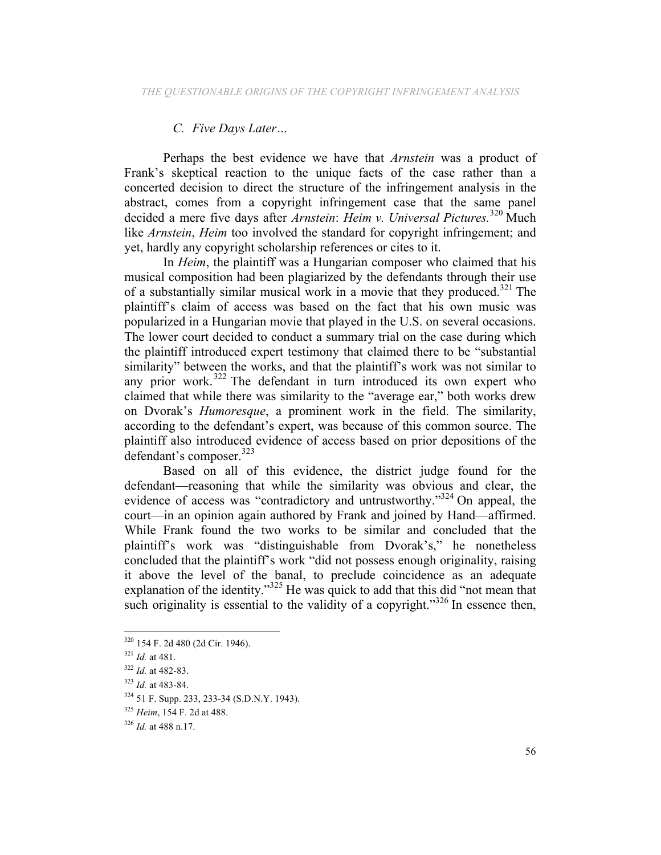# *C. Five Days Later…*

Perhaps the best evidence we have that *Arnstein* was a product of Frank's skeptical reaction to the unique facts of the case rather than a concerted decision to direct the structure of the infringement analysis in the abstract, comes from a copyright infringement case that the same panel decided a mere five days after *Arnstein*: *Heim v. Universal Pictures.*<sup>320</sup> Much like *Arnstein*, *Heim* too involved the standard for copyright infringement; and yet, hardly any copyright scholarship references or cites to it.

In *Heim*, the plaintiff was a Hungarian composer who claimed that his musical composition had been plagiarized by the defendants through their use of a substantially similar musical work in a movie that they produced.<sup>321</sup> The plaintiff's claim of access was based on the fact that his own music was popularized in a Hungarian movie that played in the U.S. on several occasions. The lower court decided to conduct a summary trial on the case during which the plaintiff introduced expert testimony that claimed there to be "substantial similarity" between the works, and that the plaintiff's work was not similar to any prior work.<sup>322</sup> The defendant in turn introduced its own expert who claimed that while there was similarity to the "average ear," both works drew on Dvorak's *Humoresque*, a prominent work in the field. The similarity, according to the defendant's expert, was because of this common source. The plaintiff also introduced evidence of access based on prior depositions of the defendant's composer.<sup>323</sup>

Based on all of this evidence, the district judge found for the defendant—reasoning that while the similarity was obvious and clear, the evidence of access was "contradictory and untrustworthy."<sup>324</sup> On appeal, the court—in an opinion again authored by Frank and joined by Hand—affirmed. While Frank found the two works to be similar and concluded that the plaintiff's work was "distinguishable from Dvorak's," he nonetheless concluded that the plaintiff's work "did not possess enough originality, raising it above the level of the banal, to preclude coincidence as an adequate explanation of the identity." $325$  He was quick to add that this did "not mean that such originality is essential to the validity of a copyright."<sup>326</sup> In essence then,

 <sup>320</sup> 154 F. 2d 480 (2d Cir. 1946).

<sup>321</sup> *Id.* at 481.

<sup>322</sup> *Id.* at 482-83.

<sup>323</sup> *Id.* at 483-84.

<sup>324</sup> 51 F. Supp. 233, 233-34 (S.D.N.Y. 1943).

<sup>325</sup> *Heim*, 154 F. 2d at 488.

<sup>326</sup> *Id.* at 488 n.17.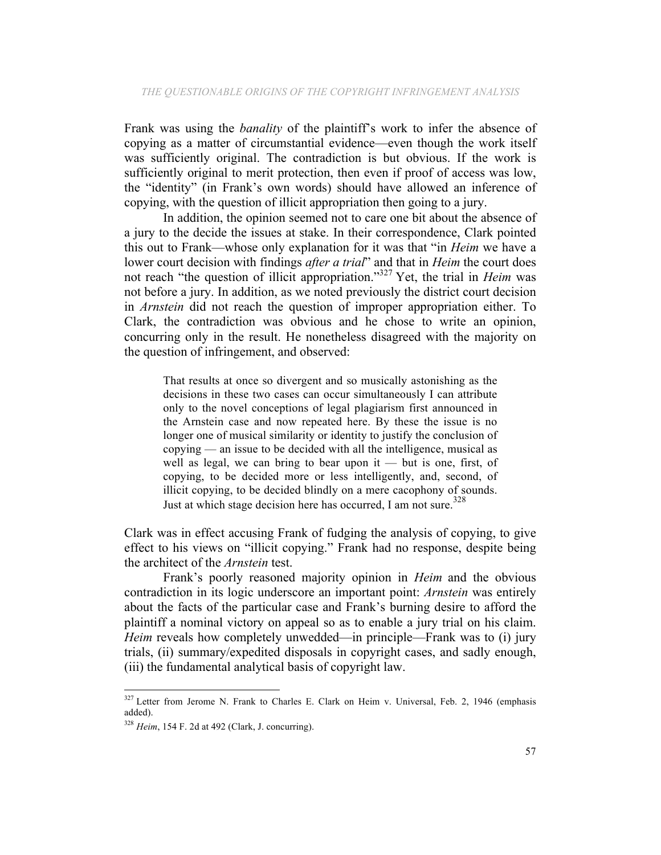Frank was using the *banality* of the plaintiff's work to infer the absence of copying as a matter of circumstantial evidence—even though the work itself was sufficiently original. The contradiction is but obvious. If the work is sufficiently original to merit protection, then even if proof of access was low, the "identity" (in Frank's own words) should have allowed an inference of copying, with the question of illicit appropriation then going to a jury.

In addition, the opinion seemed not to care one bit about the absence of a jury to the decide the issues at stake. In their correspondence, Clark pointed this out to Frank—whose only explanation for it was that "in *Heim* we have a lower court decision with findings *after a trial*" and that in *Heim* the court does not reach "the question of illicit appropriation."327 Yet, the trial in *Heim* was not before a jury. In addition, as we noted previously the district court decision in *Arnstein* did not reach the question of improper appropriation either. To Clark, the contradiction was obvious and he chose to write an opinion, concurring only in the result. He nonetheless disagreed with the majority on the question of infringement, and observed:

That results at once so divergent and so musically astonishing as the decisions in these two cases can occur simultaneously I can attribute only to the novel conceptions of legal plagiarism first announced in the Arnstein case and now repeated here. By these the issue is no longer one of musical similarity or identity to justify the conclusion of copying — an issue to be decided with all the intelligence, musical as well as legal, we can bring to bear upon it — but is one, first, of copying, to be decided more or less intelligently, and, second, of illicit copying, to be decided blindly on a mere cacophony of sounds. Just at which stage decision here has occurred, I am not sure.<sup>328</sup>

Clark was in effect accusing Frank of fudging the analysis of copying, to give effect to his views on "illicit copying." Frank had no response, despite being the architect of the *Arnstein* test.

Frank's poorly reasoned majority opinion in *Heim* and the obvious contradiction in its logic underscore an important point: *Arnstein* was entirely about the facts of the particular case and Frank's burning desire to afford the plaintiff a nominal victory on appeal so as to enable a jury trial on his claim. *Heim* reveals how completely unwedded—in principle—Frank was to (i) jury trials, (ii) summary/expedited disposals in copyright cases, and sadly enough, (iii) the fundamental analytical basis of copyright law.

<sup>&</sup>lt;sup>327</sup> Letter from Jerome N. Frank to Charles E. Clark on Heim v. Universal, Feb. 2, 1946 (emphasis added).

<sup>328</sup> *Heim*, 154 F. 2d at 492 (Clark, J. concurring).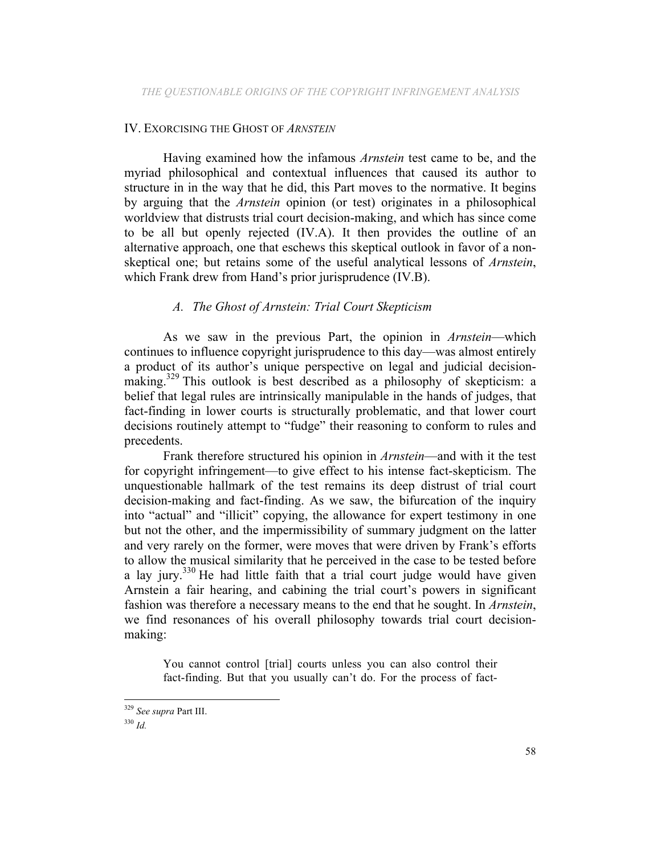#### IV. EXORCISING THE GHOST OF *ARNSTEIN*

Having examined how the infamous *Arnstein* test came to be, and the myriad philosophical and contextual influences that caused its author to structure in in the way that he did, this Part moves to the normative. It begins by arguing that the *Arnstein* opinion (or test) originates in a philosophical worldview that distrusts trial court decision-making, and which has since come to be all but openly rejected (IV.A). It then provides the outline of an alternative approach, one that eschews this skeptical outlook in favor of a nonskeptical one; but retains some of the useful analytical lessons of *Arnstein*, which Frank drew from Hand's prior jurisprudence *(IV.B)*.

### *A. The Ghost of Arnstein: Trial Court Skepticism*

As we saw in the previous Part, the opinion in *Arnstein*—which continues to influence copyright jurisprudence to this day—was almost entirely a product of its author's unique perspective on legal and judicial decisionmaking.<sup>329</sup> This outlook is best described as a philosophy of skepticism: a belief that legal rules are intrinsically manipulable in the hands of judges, that fact-finding in lower courts is structurally problematic, and that lower court decisions routinely attempt to "fudge" their reasoning to conform to rules and precedents.

Frank therefore structured his opinion in *Arnstein*—and with it the test for copyright infringement—to give effect to his intense fact-skepticism. The unquestionable hallmark of the test remains its deep distrust of trial court decision-making and fact-finding. As we saw, the bifurcation of the inquiry into "actual" and "illicit" copying, the allowance for expert testimony in one but not the other, and the impermissibility of summary judgment on the latter and very rarely on the former, were moves that were driven by Frank's efforts to allow the musical similarity that he perceived in the case to be tested before a lay jury. $330$  He had little faith that a trial court judge would have given Arnstein a fair hearing, and cabining the trial court's powers in significant fashion was therefore a necessary means to the end that he sought. In *Arnstein*, we find resonances of his overall philosophy towards trial court decisionmaking:

You cannot control [trial] courts unless you can also control their fact-finding. But that you usually can't do. For the process of fact-

 <sup>329</sup> *See supra* Part III.

<sup>330</sup> *Id.*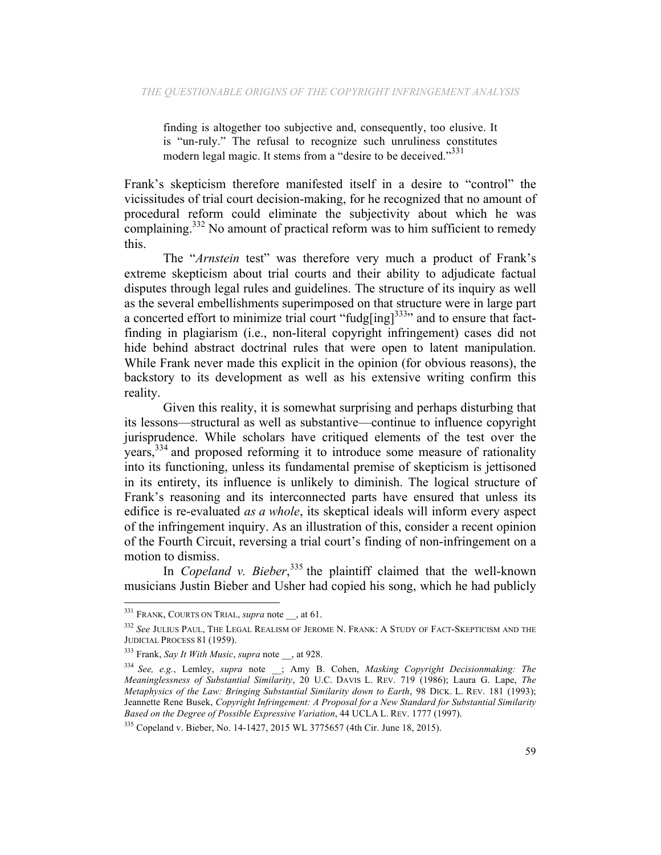finding is altogether too subjective and, consequently, too elusive. It is "un-ruly." The refusal to recognize such unruliness constitutes modern legal magic. It stems from a "desire to be deceived."<sup>331</sup>

Frank's skepticism therefore manifested itself in a desire to "control" the vicissitudes of trial court decision-making, for he recognized that no amount of procedural reform could eliminate the subjectivity about which he was complaining.<sup>332</sup> No amount of practical reform was to him sufficient to remedy this.

The "*Arnstein* test" was therefore very much a product of Frank's extreme skepticism about trial courts and their ability to adjudicate factual disputes through legal rules and guidelines. The structure of its inquiry as well as the several embellishments superimposed on that structure were in large part a concerted effort to minimize trial court "fudg[ing] $333$ " and to ensure that factfinding in plagiarism (i.e., non-literal copyright infringement) cases did not hide behind abstract doctrinal rules that were open to latent manipulation. While Frank never made this explicit in the opinion (for obvious reasons), the backstory to its development as well as his extensive writing confirm this reality.

Given this reality, it is somewhat surprising and perhaps disturbing that its lessons—structural as well as substantive—continue to influence copyright jurisprudence. While scholars have critiqued elements of the test over the years,<sup>334</sup> and proposed reforming it to introduce some measure of rationality into its functioning, unless its fundamental premise of skepticism is jettisoned in its entirety, its influence is unlikely to diminish. The logical structure of Frank's reasoning and its interconnected parts have ensured that unless its edifice is re-evaluated *as a whole*, its skeptical ideals will inform every aspect of the infringement inquiry. As an illustration of this, consider a recent opinion of the Fourth Circuit, reversing a trial court's finding of non-infringement on a motion to dismiss.

In *Copeland v. Bieber*<sup>335</sup>, the plaintiff claimed that the well-known musicians Justin Bieber and Usher had copied his song, which he had publicly

<sup>&</sup>lt;sup>331</sup> FRANK, COURTS ON TRIAL, *supra* note , at 61.

<sup>332</sup> *See* JULIUS PAUL, THE LEGAL REALISM OF JEROME N. FRANK: A STUDY OF FACT-SKEPTICISM AND THE JUDICIAL PROCESS 81 (1959).

<sup>333</sup> Frank, *Say It With Music*, *supra* note \_\_, at 928.

<sup>334</sup> *See, e.g.*, Lemley, *supra* note \_\_; Amy B. Cohen, *Masking Copyright Decisionmaking: The Meaninglessness of Substantial Similarity*, 20 U.C. DAVIS L. REV. 719 (1986); Laura G. Lape, *The Metaphysics of the Law: Bringing Substantial Similarity down to Earth*, 98 DICK. L. REV. 181 (1993); Jeannette Rene Busek, *Copyright Infringement: A Proposal for a New Standard for Substantial Similarity Based on the Degree of Possible Expressive Variation*, 44 UCLA L. REV. 1777 (1997).

<sup>335</sup> Copeland v. Bieber, No. 14-1427, 2015 WL 3775657 (4th Cir. June 18, 2015).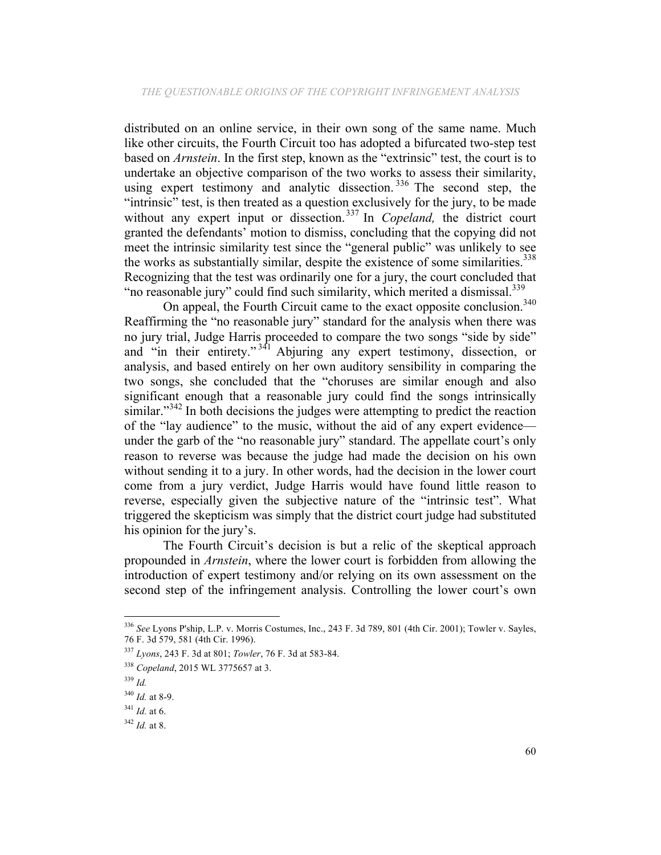distributed on an online service, in their own song of the same name. Much like other circuits, the Fourth Circuit too has adopted a bifurcated two-step test based on *Arnstein*. In the first step, known as the "extrinsic" test, the court is to undertake an objective comparison of the two works to assess their similarity, using expert testimony and analytic dissection.<sup>336</sup> The second step, the "intrinsic" test, is then treated as a question exclusively for the jury, to be made without any expert input or dissection.<sup>337</sup> In *Copeland*, the district court granted the defendants' motion to dismiss, concluding that the copying did not meet the intrinsic similarity test since the "general public" was unlikely to see the works as substantially similar, despite the existence of some similarities. $338$ Recognizing that the test was ordinarily one for a jury, the court concluded that "no reasonable jury" could find such similarity, which merited a dismissal.<sup>339</sup>

On appeal, the Fourth Circuit came to the exact opposite conclusion.<sup>340</sup> Reaffirming the "no reasonable jury" standard for the analysis when there was no jury trial, Judge Harris proceeded to compare the two songs "side by side" and "in their entirety." <sup>341</sup> Abjuring any expert testimony, dissection, or analysis, and based entirely on her own auditory sensibility in comparing the two songs, she concluded that the "choruses are similar enough and also significant enough that a reasonable jury could find the songs intrinsically similar."<sup>342</sup> In both decisions the judges were attempting to predict the reaction of the "lay audience" to the music, without the aid of any expert evidence under the garb of the "no reasonable jury" standard. The appellate court's only reason to reverse was because the judge had made the decision on his own without sending it to a jury. In other words, had the decision in the lower court come from a jury verdict, Judge Harris would have found little reason to reverse, especially given the subjective nature of the "intrinsic test". What triggered the skepticism was simply that the district court judge had substituted his opinion for the jury's.

The Fourth Circuit's decision is but a relic of the skeptical approach propounded in *Arnstein*, where the lower court is forbidden from allowing the introduction of expert testimony and/or relying on its own assessment on the second step of the infringement analysis. Controlling the lower court's own

<sup>336</sup> *See* Lyons P'ship, L.P. v. Morris Costumes, Inc., 243 F. 3d 789, 801 (4th Cir. 2001); Towler v. Sayles, 76 F. 3d 579, 581 (4th Cir. 1996).

<sup>337</sup> *Lyons*, 243 F. 3d at 801; *Towler*, 76 F. 3d at 583-84.

<sup>338</sup> *Copeland*, 2015 WL 3775657 at 3.

<sup>339</sup> *Id.*

<sup>340</sup> *Id.* at 8-9.

<sup>341</sup> *Id.* at 6.

<sup>342</sup> *Id.* at 8.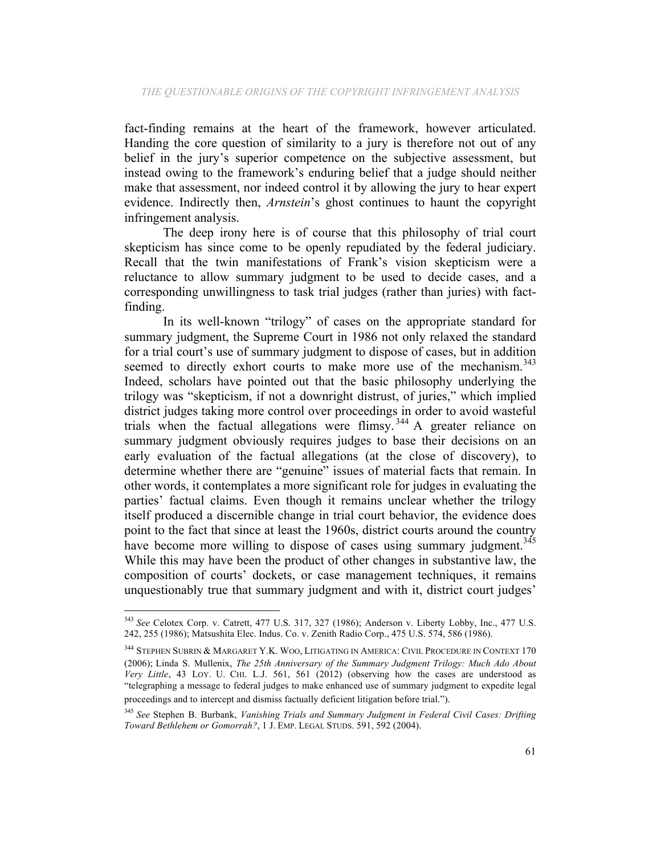fact-finding remains at the heart of the framework, however articulated. Handing the core question of similarity to a jury is therefore not out of any belief in the jury's superior competence on the subjective assessment, but instead owing to the framework's enduring belief that a judge should neither make that assessment, nor indeed control it by allowing the jury to hear expert evidence. Indirectly then, *Arnstein*'s ghost continues to haunt the copyright infringement analysis.

The deep irony here is of course that this philosophy of trial court skepticism has since come to be openly repudiated by the federal judiciary. Recall that the twin manifestations of Frank's vision skepticism were a reluctance to allow summary judgment to be used to decide cases, and a corresponding unwillingness to task trial judges (rather than juries) with factfinding.

In its well-known "trilogy" of cases on the appropriate standard for summary judgment, the Supreme Court in 1986 not only relaxed the standard for a trial court's use of summary judgment to dispose of cases, but in addition seemed to directly exhort courts to make more use of the mechanism.<sup>343</sup> Indeed, scholars have pointed out that the basic philosophy underlying the trilogy was "skepticism, if not a downright distrust, of juries," which implied district judges taking more control over proceedings in order to avoid wasteful trials when the factual allegations were flimsy.<sup>344</sup> A greater reliance on summary judgment obviously requires judges to base their decisions on an early evaluation of the factual allegations (at the close of discovery), to determine whether there are "genuine" issues of material facts that remain. In other words, it contemplates a more significant role for judges in evaluating the parties' factual claims. Even though it remains unclear whether the trilogy itself produced a discernible change in trial court behavior, the evidence does point to the fact that since at least the 1960s, district courts around the country have become more willing to dispose of cases using summary judgment.<sup>345</sup> While this may have been the product of other changes in substantive law, the composition of courts' dockets, or case management techniques, it remains unquestionably true that summary judgment and with it, district court judges'

<sup>343</sup> *See* Celotex Corp. v. Catrett, 477 U.S. 317, 327 (1986); Anderson v. Liberty Lobby, Inc., 477 U.S. 242, 255 (1986); Matsushita Elec. Indus. Co. v. Zenith Radio Corp., 475 U.S. 574, 586 (1986).

<sup>344</sup> STEPHEN SUBRIN & MARGARET Y.K. WOO, LITIGATING IN AMERICA: CIVIL PROCEDURE IN CONTEXT 170 (2006); Linda S. Mullenix, *The 25th Anniversary of the Summary Judgment Trilogy: Much Ado About Very Little*, 43 LOY. U. CHI. L.J. 561, 561 (2012) (observing how the cases are understood as "telegraphing a message to federal judges to make enhanced use of summary judgment to expedite legal proceedings and to intercept and dismiss factually deficient litigation before trial.").

<sup>345</sup> *See* Stephen B. Burbank, *Vanishing Trials and Summary Judgment in Federal Civil Cases: Drifting Toward Bethlehem or Gomorrah?*, 1 J. EMP. LEGAL STUDS. 591, 592 (2004).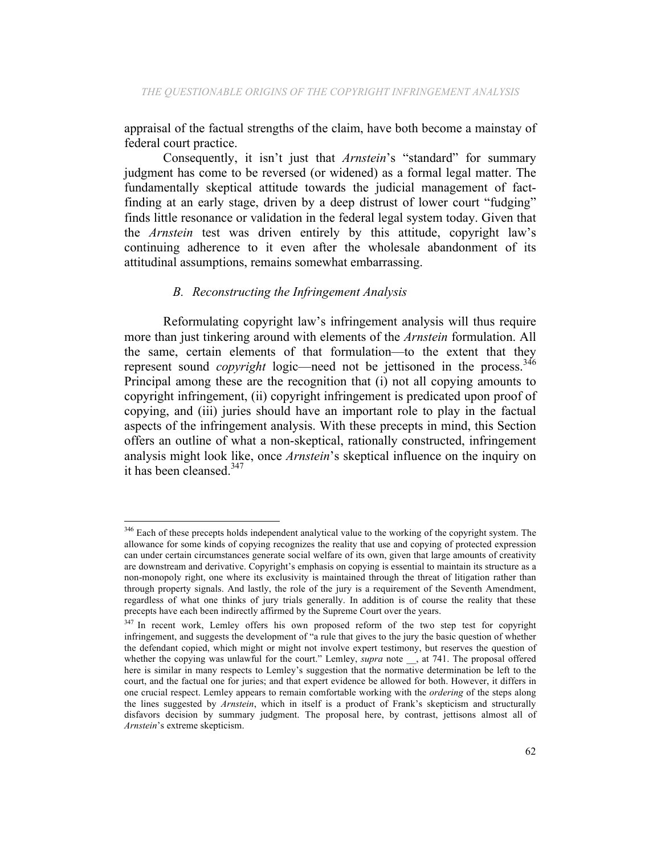appraisal of the factual strengths of the claim, have both become a mainstay of federal court practice.

Consequently, it isn't just that *Arnstein*'s "standard" for summary judgment has come to be reversed (or widened) as a formal legal matter. The fundamentally skeptical attitude towards the judicial management of factfinding at an early stage, driven by a deep distrust of lower court "fudging" finds little resonance or validation in the federal legal system today. Given that the *Arnstein* test was driven entirely by this attitude, copyright law's continuing adherence to it even after the wholesale abandonment of its attitudinal assumptions, remains somewhat embarrassing.

### *B. Reconstructing the Infringement Analysis*

 

Reformulating copyright law's infringement analysis will thus require more than just tinkering around with elements of the *Arnstein* formulation. All the same, certain elements of that formulation—to the extent that they represent sound *copyright* logic—need not be jettisoned in the process.<sup>346</sup> Principal among these are the recognition that (i) not all copying amounts to copyright infringement, (ii) copyright infringement is predicated upon proof of copying, and (iii) juries should have an important role to play in the factual aspects of the infringement analysis. With these precepts in mind, this Section offers an outline of what a non-skeptical, rationally constructed, infringement analysis might look like, once *Arnstein*'s skeptical influence on the inquiry on it has been cleansed.<sup>347</sup>

<sup>&</sup>lt;sup>346</sup> Each of these precepts holds independent analytical value to the working of the copyright system. The allowance for some kinds of copying recognizes the reality that use and copying of protected expression can under certain circumstances generate social welfare of its own, given that large amounts of creativity are downstream and derivative. Copyright's emphasis on copying is essential to maintain its structure as a non-monopoly right, one where its exclusivity is maintained through the threat of litigation rather than through property signals. And lastly, the role of the jury is a requirement of the Seventh Amendment, regardless of what one thinks of jury trials generally. In addition is of course the reality that these precepts have each been indirectly affirmed by the Supreme Court over the years.

<sup>&</sup>lt;sup>347</sup> In recent work, Lemley offers his own proposed reform of the two step test for copyright infringement, and suggests the development of "a rule that gives to the jury the basic question of whether the defendant copied, which might or might not involve expert testimony, but reserves the question of whether the copying was unlawful for the court." Lemley, *supra* note \_\_, at 741. The proposal offered here is similar in many respects to Lemley's suggestion that the normative determination be left to the court, and the factual one for juries; and that expert evidence be allowed for both. However, it differs in one crucial respect. Lemley appears to remain comfortable working with the *ordering* of the steps along the lines suggested by *Arnstein*, which in itself is a product of Frank's skepticism and structurally disfavors decision by summary judgment. The proposal here, by contrast, jettisons almost all of *Arnstein*'s extreme skepticism.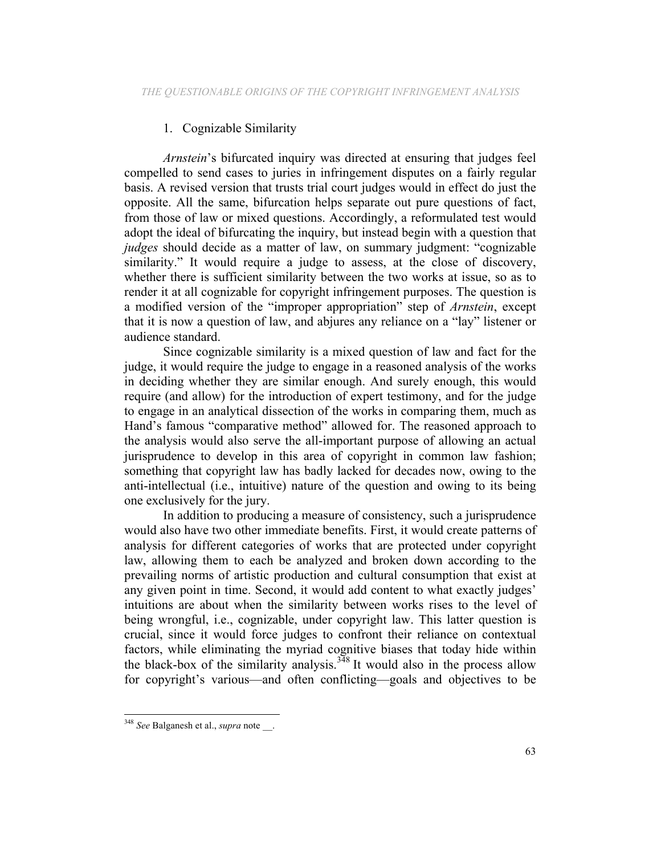### 1. Cognizable Similarity

*Arnstein*'s bifurcated inquiry was directed at ensuring that judges feel compelled to send cases to juries in infringement disputes on a fairly regular basis. A revised version that trusts trial court judges would in effect do just the opposite. All the same, bifurcation helps separate out pure questions of fact, from those of law or mixed questions. Accordingly, a reformulated test would adopt the ideal of bifurcating the inquiry, but instead begin with a question that *judges* should decide as a matter of law, on summary judgment: "cognizable" similarity." It would require a judge to assess, at the close of discovery, whether there is sufficient similarity between the two works at issue, so as to render it at all cognizable for copyright infringement purposes. The question is a modified version of the "improper appropriation" step of *Arnstein*, except that it is now a question of law, and abjures any reliance on a "lay" listener or audience standard.

Since cognizable similarity is a mixed question of law and fact for the judge, it would require the judge to engage in a reasoned analysis of the works in deciding whether they are similar enough. And surely enough, this would require (and allow) for the introduction of expert testimony, and for the judge to engage in an analytical dissection of the works in comparing them, much as Hand's famous "comparative method" allowed for. The reasoned approach to the analysis would also serve the all-important purpose of allowing an actual jurisprudence to develop in this area of copyright in common law fashion; something that copyright law has badly lacked for decades now, owing to the anti-intellectual (i.e., intuitive) nature of the question and owing to its being one exclusively for the jury.

In addition to producing a measure of consistency, such a jurisprudence would also have two other immediate benefits. First, it would create patterns of analysis for different categories of works that are protected under copyright law, allowing them to each be analyzed and broken down according to the prevailing norms of artistic production and cultural consumption that exist at any given point in time. Second, it would add content to what exactly judges' intuitions are about when the similarity between works rises to the level of being wrongful, i.e., cognizable, under copyright law. This latter question is crucial, since it would force judges to confront their reliance on contextual factors, while eliminating the myriad cognitive biases that today hide within the black-box of the similarity analysis.<sup>348</sup> It would also in the process allow for copyright's various—and often conflicting—goals and objectives to be

 <sup>348</sup> *See* Balganesh et al., *supra* note \_\_.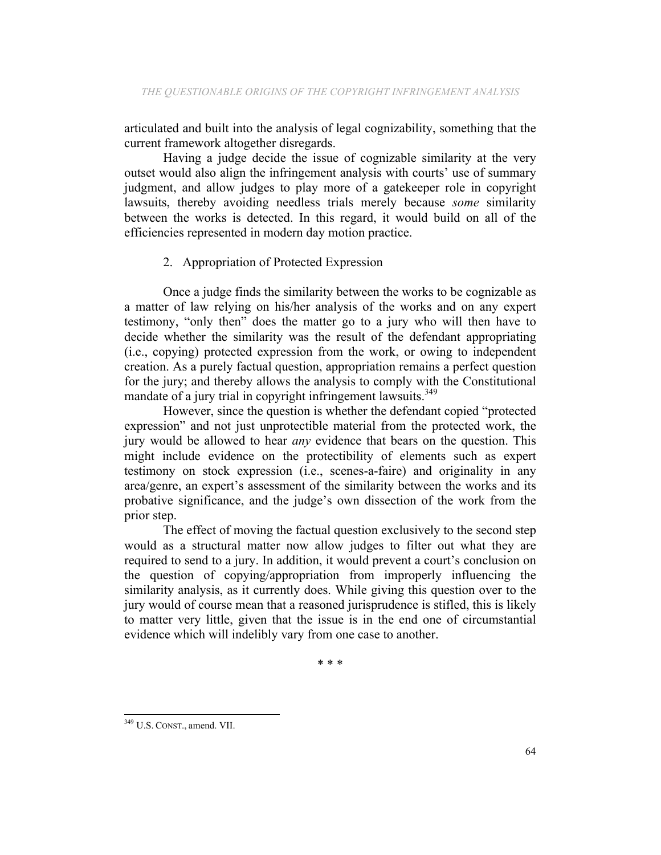articulated and built into the analysis of legal cognizability, something that the current framework altogether disregards.

Having a judge decide the issue of cognizable similarity at the very outset would also align the infringement analysis with courts' use of summary judgment, and allow judges to play more of a gatekeeper role in copyright lawsuits, thereby avoiding needless trials merely because *some* similarity between the works is detected. In this regard, it would build on all of the efficiencies represented in modern day motion practice.

### 2. Appropriation of Protected Expression

Once a judge finds the similarity between the works to be cognizable as a matter of law relying on his/her analysis of the works and on any expert testimony, "only then" does the matter go to a jury who will then have to decide whether the similarity was the result of the defendant appropriating (i.e., copying) protected expression from the work, or owing to independent creation. As a purely factual question, appropriation remains a perfect question for the jury; and thereby allows the analysis to comply with the Constitutional mandate of a jury trial in copyright infringement lawsuits.<sup>349</sup>

However, since the question is whether the defendant copied "protected expression" and not just unprotectible material from the protected work, the jury would be allowed to hear *any* evidence that bears on the question. This might include evidence on the protectibility of elements such as expert testimony on stock expression (i.e., scenes-a-faire) and originality in any area/genre, an expert's assessment of the similarity between the works and its probative significance, and the judge's own dissection of the work from the prior step.

The effect of moving the factual question exclusively to the second step would as a structural matter now allow judges to filter out what they are required to send to a jury. In addition, it would prevent a court's conclusion on the question of copying/appropriation from improperly influencing the similarity analysis, as it currently does. While giving this question over to the jury would of course mean that a reasoned jurisprudence is stifled, this is likely to matter very little, given that the issue is in the end one of circumstantial evidence which will indelibly vary from one case to another.

\* \* \*

 <sup>349</sup> U.S. CONST., amend. VII.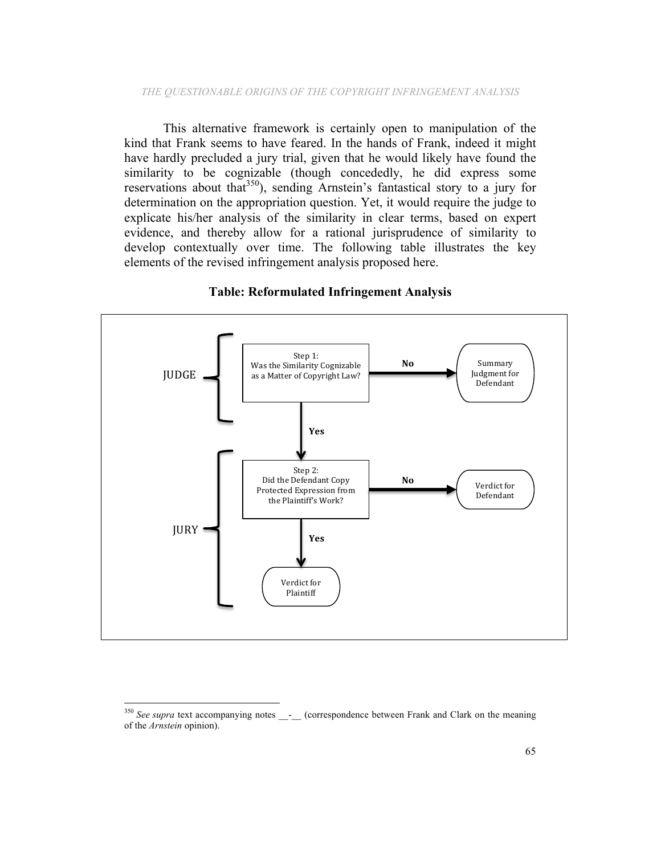This alternative framework is certainly open to manipulation of the kind that Frank seems to have feared. In the hands of Frank, indeed it might have hardly precluded a jury trial, given that he would likely have found the similarity to be cognizable (though concededly, he did express some reservations about that<sup>350</sup>), sending Arnstein's fantastical story to a jury for determination on the appropriation question. Yet, it would require the judge to explicate his/her analysis of the similarity in clear terms, based on expert evidence, and thereby allow for a rational jurisprudence of similarity to develop contextually over time. The following table illustrates the key elements of the revised infringement analysis proposed here.



#### **Table: Reformulated Infringement Analysis**

<sup>&</sup>lt;sup>350</sup> See supra text accompanying notes <sub>\_\_</sub>-\_\_ (correspondence between Frank and Clark on the meaning of the *Arnstein* opinion).